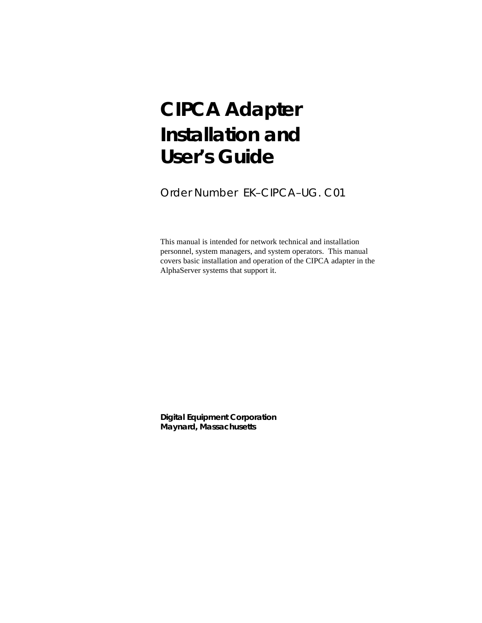# **CIPCA Adapter Installation and User's Guide**

Order Number EK–CIPCA–UG. C01

This manual is intended for network technical and installation personnel, system managers, and system operators. This manual covers basic installation and operation of the CIPCA adapter in the AlphaServer systems that support it.

**Digital Equipment Corporation Maynard, Massachusetts**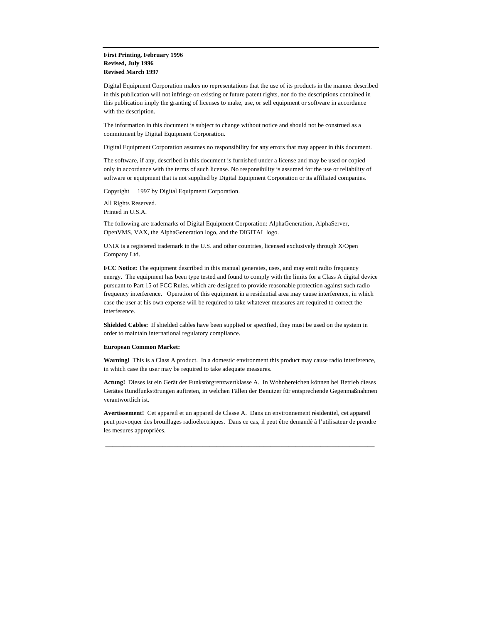#### **First Printing, February 1996 Revised, July 1996 Revised March 1997**

Digital Equipment Corporation makes no representations that the use of its products in the manner described in this publication will not infringe on existing or future patent rights, nor do the descriptions contained in this publication imply the granting of licenses to make, use, or sell equipment or software in accordance with the description.

The information in this document is subject to change without notice and should not be construed as a commitment by Digital Equipment Corporation.

Digital Equipment Corporation assumes no responsibility for any errors that may appear in this document.

The software, if any, described in this document is furnished under a license and may be used or copied only in accordance with the terms of such license. No responsibility is assumed for the use or reliability of software or equipment that is not supplied by Digital Equipment Corporation or its affiliated companies.

Copyright © 1997 by Digital Equipment Corporation.

All Rights Reserved. Printed in U.S.A.

The following are trademarks of Digital Equipment Corporation: AlphaGeneration, AlphaServer, OpenVMS, VAX, the AlphaGeneration logo, and the DIGITAL logo.

UNIX is a registered trademark in the U.S. and other countries, licensed exclusively through X/Open Company Ltd.

**FCC Notice:** The equipment described in this manual generates, uses, and may emit radio frequency energy. The equipment has been type tested and found to comply with the limits for a Class A digital device pursuant to Part 15 of FCC Rules, which are designed to provide reasonable protection against such radio frequency interference. Operation of this equipment in a residential area may cause interference, in which case the user at his own expense will be required to take whatever measures are required to correct the interference.

**Shielded Cables:** If shielded cables have been supplied or specified, they must be used on the system in order to maintain international regulatory compliance.

#### **European Common Market:**

**Warning!** This is a Class A product. In a domestic environment this product may cause radio interference, in which case the user may be required to take adequate measures.

**Actung!** Dieses ist ein Gerät der Funkstörgrenzwertklasse A. In Wohnbereichen können bei Betrieb dieses Gerätes Rundfunkstörungen auftreten, in welchen Fällen der Benutzer für entsprechende Gegenmaßnahmen verantwortlich ist.

**Avertissement!** Cet appareil et un appareil de Classe A. Dans un environnement résidentiel, cet appareil peut provoquer des brouillages radioélectriques. Dans ce cas, il peut être demandé à l'utilisateur de prendre les mesures appropriées.

\_\_\_\_\_\_\_\_\_\_\_\_\_\_\_\_\_\_\_\_\_\_\_\_\_\_\_\_\_\_\_\_\_\_\_\_\_\_\_\_\_\_\_\_\_\_\_\_\_\_\_\_\_\_\_\_\_\_\_\_\_\_\_\_\_\_\_\_\_\_\_\_\_\_\_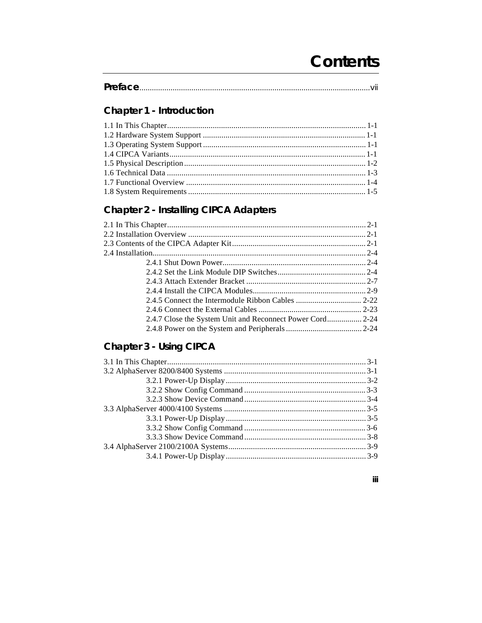# **Contents**

iii

# Chapter 1 - Introduction

# **Chapter 2 - Installing CIPCA Adapters**

| 2.4.7 Close the System Unit and Reconnect Power Cord 2-24 |  |
|-----------------------------------------------------------|--|
|                                                           |  |

## Chapter 3 - Using CIPCA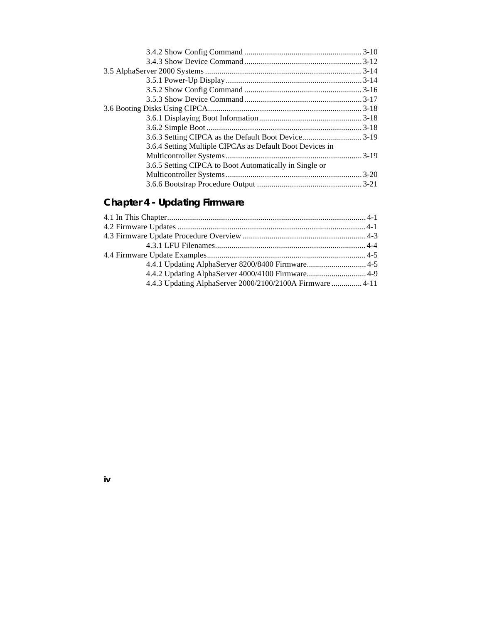| 3.6.4 Setting Multiple CIPCAs as Default Boot Devices in |
|----------------------------------------------------------|
|                                                          |
|                                                          |
|                                                          |
|                                                          |
| 3.6.5 Setting CIPCA to Boot Automatically in Single or   |

# **Chapter 4 - Updating Firmware**

| 4.4.1 Updating AlphaServer 8200/8400 Firmware 4-5         |  |
|-----------------------------------------------------------|--|
| 4.4.2 Updating AlphaServer 4000/4100 Firmware 4-9         |  |
| 4.4.3 Updating AlphaServer 2000/2100/2100A Firmware  4-11 |  |
|                                                           |  |

**iv**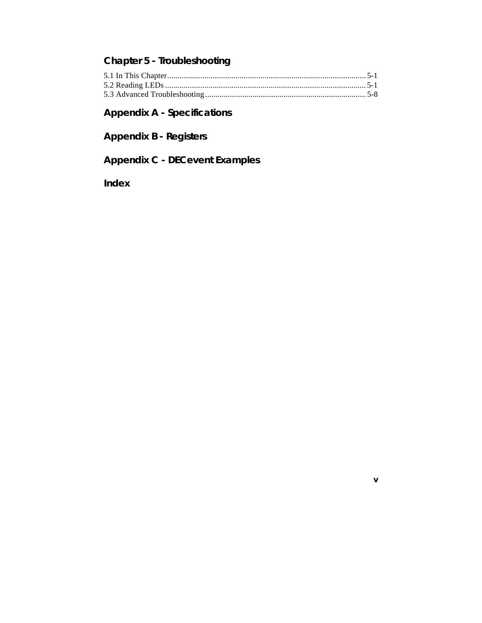## **Chapter 5 - Troubleshooting**

**v**

# **Appendix A - Specifications**

**Appendix B - Registers**

**Appendix C - DECevent Examples**

**Index**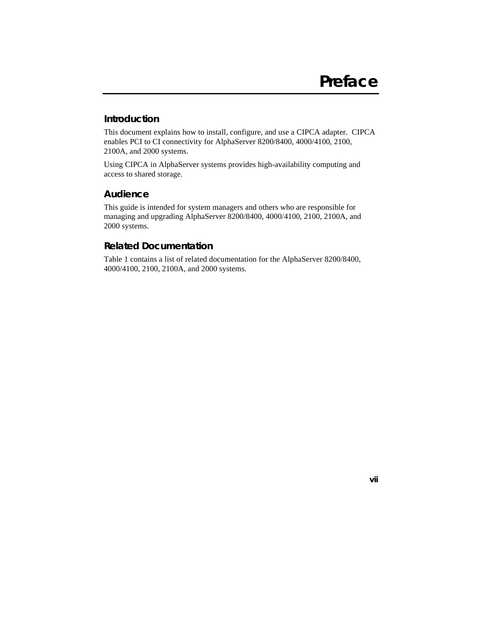#### **Introduction**

This document explains how to install, configure, and use a CIPCA adapter. CIPCA enables PCI to CI connectivity for AlphaServer 8200/8400, 4000/4100, 2100, 2100A, and 2000 systems.

Using CIPCA in AlphaServer systems provides high-availability computing and access to shared storage.

#### **Audience**

This guide is intended for system managers and others who are responsible for managing and upgrading AlphaServer 8200/8400, 4000/4100, 2100, 2100A, and 2000 systems.

#### **Related Documentation**

Table 1 contains a list of related documentation for the AlphaServer 8200/8400, 4000/4100, 2100, 2100A, and 2000 systems.

**vii**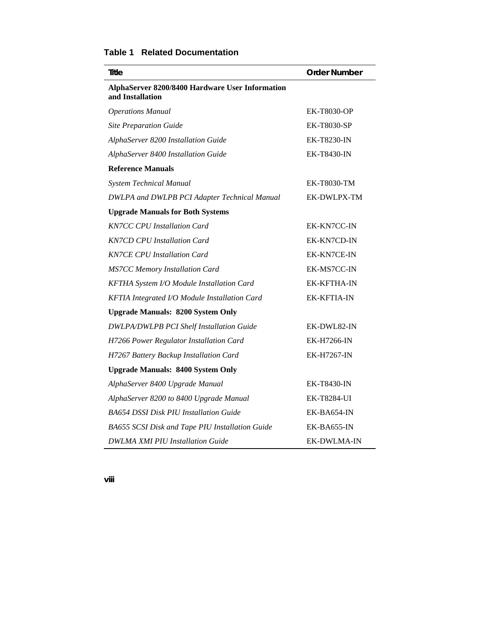| <b>Order Number</b> |
|---------------------|
|                     |
| <b>EK-T8030-OP</b>  |
| <b>EK-T8030-SP</b>  |
| EK-T8230-IN         |
| <b>EK-T8430-IN</b>  |
|                     |
| EK-T8030-TM         |
| EK-DWLPX-TM         |
|                     |
| EK-KN7CC-IN         |
| EK-KN7CD-IN         |
| EK-KN7CE-IN         |
| EK-MS7CC-IN         |
| <b>EK-KFTHA-IN</b>  |
| <b>EK-KFTIA-IN</b>  |
|                     |
| EK-DWL82-IN         |
| EK-H7266-IN         |
| <b>EK-H7267-IN</b>  |
|                     |
| EK-T8430-IN         |
| <b>EK-T8284-UI</b>  |
| EK-BA654-IN         |
| EK-BA655-IN         |
| <b>EK-DWLMA-IN</b>  |
|                     |

### **Table 1 Related Documentation**

**viii**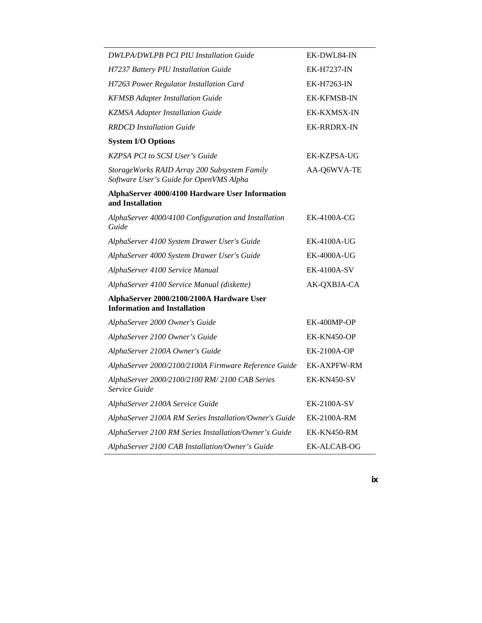| DWLPA/DWLPB PCI PIU Installation Guide                                                  | EK-DWL84-IN        |
|-----------------------------------------------------------------------------------------|--------------------|
| H7237 Battery PIU Installation Guide                                                    | EK-H7237-IN        |
| H7263 Power Regulator Installation Card                                                 | <b>EK-H7263-IN</b> |
| <b>KFMSB Adapter Installation Guide</b>                                                 | <b>EK-KFMSB-IN</b> |
| <b>KZMSA Adapter Installation Guide</b>                                                 | EK-KXMSX-IN        |
| <b>RRDCD</b> Installation Guide                                                         | <b>EK-RRDRX-IN</b> |
| <b>System I/O Options</b>                                                               |                    |
| <b>KZPSA PCI to SCSI User's Guide</b>                                                   | EK-KZPSA-UG        |
| StorageWorks RAID Array 200 Subsystem Family<br>Software User's Guide for OpenVMS Alpha | AA-Q6WVA-TE        |
| AlphaServer 4000/4100 Hardware User Information<br>and Installation                     |                    |
| AlphaServer 4000/4100 Configuration and Installation<br>Guide                           | EK-4100A-CG        |
| AlphaServer 4100 System Drawer User's Guide                                             | <b>EK-4100A-UG</b> |
| AlphaServer 4000 System Drawer User's Guide                                             | <b>EK-4000A-UG</b> |
| AlphaServer 4100 Service Manual                                                         | <b>EK-4100A-SV</b> |
| AlphaServer 4100 Service Manual (diskette)                                              | AK-QXBJA-CA        |
| AlphaServer 2000/2100/2100A Hardware User<br><b>Information and Installation</b>        |                    |
| AlphaServer 2000 Owner's Guide                                                          | EK-400MP-OP        |
| AlphaServer 2100 Owner's Guide                                                          | EK-KN450-OP        |
| AlphaServer 2100A Owner's Guide                                                         | <b>EK-2100A-OP</b> |
| AlphaServer 2000/2100/2100A Firmware Reference Guide                                    | <b>EK-AXPFW-RM</b> |
| AlphaServer 2000/2100/2100 RM/2100 CAB Series<br>Service Guide                          | EK-KN450-SV        |
| AlphaServer 2100A Service Guide                                                         | <b>EK-2100A-SV</b> |
| AlphaServer 2100A RM Series Installation/Owner's Guide                                  | EK-2100A-RM        |
| AlphaServer 2100 RM Series Installation/Owner's Guide                                   | EK-KN450-RM        |
| AlphaServer 2100 CAB Installation/Owner's Guide                                         | EK-ALCAB-OG        |

**ix**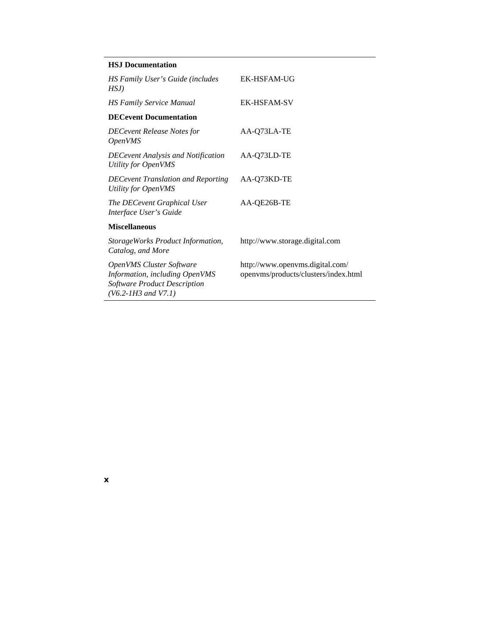|  | <b>HSJ</b> Documentation |
|--|--------------------------|
|--|--------------------------|

**x**

| HS Family User's Guide (includes<br>HSJ)                                                                                            | <b>EK-HSFAM-UG</b>                                                      |
|-------------------------------------------------------------------------------------------------------------------------------------|-------------------------------------------------------------------------|
| <b>HS Family Service Manual</b>                                                                                                     | <b>EK-HSFAM-SV</b>                                                      |
| <b>DECevent Documentation</b>                                                                                                       |                                                                         |
| <b>DECevent Release Notes for</b><br><i><b>OpenVMS</b></i>                                                                          | AA-Q73LA-TE                                                             |
| <b>DECevent Analysis and Notification</b><br>Utility for OpenVMS                                                                    | AA-Q73LD-TE                                                             |
| <b>DECevent Translation and Reporting</b><br>Utility for OpenVMS                                                                    | AA-Q73KD-TE                                                             |
| The DECevent Graphical User<br>Interface User's Guide                                                                               | AA-QE26B-TE                                                             |
| <b>Miscellaneous</b>                                                                                                                |                                                                         |
| StorageWorks Product Information,<br>Catalog, and More                                                                              | http://www.storage.digital.com                                          |
| <b>OpenVMS Cluster Software</b><br>Information, including OpenVMS<br><b>Software Product Description</b><br>$(V6.2-1H3$ and $V7.1)$ | http://www.openvms.digital.com/<br>openvms/products/clusters/index.html |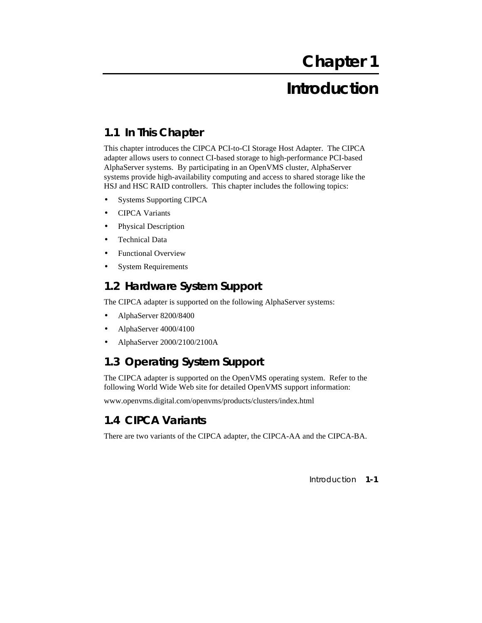# **Introduction**

## **1.1 In This Chapter**

This chapter introduces the CIPCA PCI-to-CI Storage Host Adapter. The CIPCA adapter allows users to connect CI-based storage to high-performance PCI-based AlphaServer systems. By participating in an OpenVMS cluster, AlphaServer systems provide high-availability computing and access to shared storage like the HSJ and HSC RAID controllers. This chapter includes the following topics:

- Systems Supporting CIPCA
- CIPCA Variants
- Physical Description
- Technical Data
- Functional Overview
- **System Requirements**

### **1.2 Hardware System Support**

The CIPCA adapter is supported on the following AlphaServer systems:

- AlphaServer 8200/8400
- AlphaServer 4000/4100
- AlphaServer 2000/2100/2100A

### **1.3 Operating System Support**

The CIPCA adapter is supported on the OpenVMS operating system. Refer to the following World Wide Web site for detailed OpenVMS support information:

www.openvms.digital.com/openvms/products/clusters/index.html

### **1.4 CIPCA Variants**

There are two variants of the CIPCA adapter, the CIPCA-AA and the CIPCA-BA.

Introduction **1-1**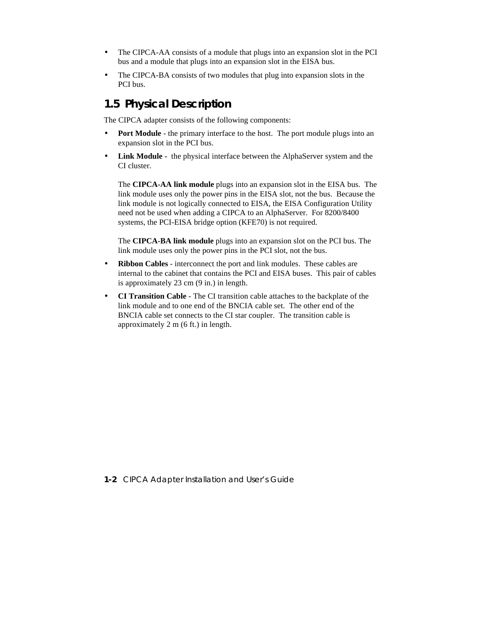- The CIPCA-AA consists of a module that plugs into an expansion slot in the PCI bus and a module that plugs into an expansion slot in the EISA bus.
- The CIPCA-BA consists of two modules that plug into expansion slots in the PCI bus.

### **1.5 Physical Description**

The CIPCA adapter consists of the following components:

- Port Module the primary interface to the host. The port module plugs into an expansion slot in the PCI bus.
- **Link Module** the physical interface between the AlphaServer system and the CI cluster.

The **CIPCA-AA link module** plugs into an expansion slot in the EISA bus. The link module uses only the power pins in the EISA slot, not the bus. Because the link module is not logically connected to EISA, the EISA Configuration Utility need not be used when adding a CIPCA to an AlphaServer. For 8200/8400 systems, the PCI-EISA bridge option (KFE70) is not required.

The **CIPCA-BA link module** plugs into an expansion slot on the PCI bus. The link module uses only the power pins in the PCI slot, not the bus.

- **Ribbon Cables** interconnect the port and link modules. These cables are internal to the cabinet that contains the PCI and EISA buses. This pair of cables is approximately 23 cm (9 in.) in length.
- **CI Transition Cable** The CI transition cable attaches to the backplate of the link module and to one end of the BNCIA cable set. The other end of the BNCIA cable set connects to the CI star coupler. The transition cable is approximately 2 m (6 ft.) in length.

**1-2** CIPCA Adapter Installation and User's Guide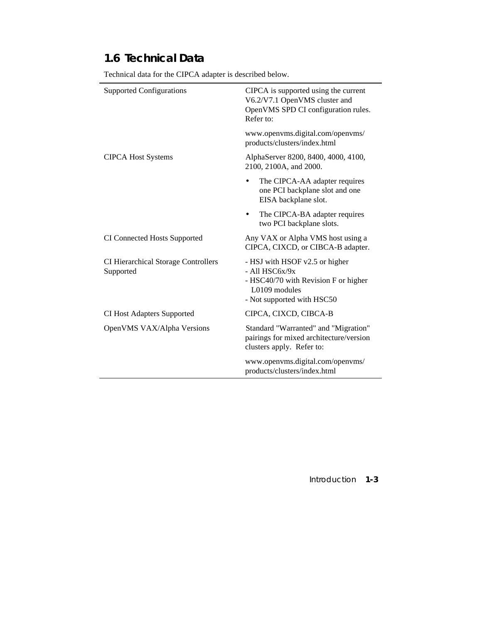## **1.6 Technical Data**

| <b>Supported Configurations</b>                         | CIPCA is supported using the current<br>V6.2/V7.1 OpenVMS cluster and<br>OpenVMS SPD CI configuration rules.<br>Refer to:                 |
|---------------------------------------------------------|-------------------------------------------------------------------------------------------------------------------------------------------|
|                                                         | www.openvms.digital.com/openvms/<br>products/clusters/index.html                                                                          |
| <b>CIPCA Host Systems</b>                               | AlphaServer 8200, 8400, 4000, 4100,<br>2100, 2100A, and 2000.                                                                             |
|                                                         | The CIPCA-AA adapter requires<br>one PCI backplane slot and one<br>EISA backplane slot.                                                   |
|                                                         | The CIPCA-BA adapter requires<br>two PCI backplane slots.                                                                                 |
| <b>CI Connected Hosts Supported</b>                     | Any VAX or Alpha VMS host using a<br>CIPCA, CIXCD, or CIBCA-B adapter.                                                                    |
| <b>CI Hierarchical Storage Controllers</b><br>Supported | - HSJ with HSOF v2.5 or higher<br>$-$ All HSC6x/9x<br>- HSC40/70 with Revision F or higher<br>L0109 modules<br>- Not supported with HSC50 |
| <b>CI Host Adapters Supported</b>                       | CIPCA, CIXCD, CIBCA-B                                                                                                                     |
| OpenVMS VAX/Alpha Versions                              | Standard "Warranted" and "Migration"<br>pairings for mixed architecture/version<br>clusters apply. Refer to:                              |
|                                                         | www.openvms.digital.com/openvms/<br>products/clusters/index.html                                                                          |

Technical data for the CIPCA adapter is described below.

Introduction **1-3**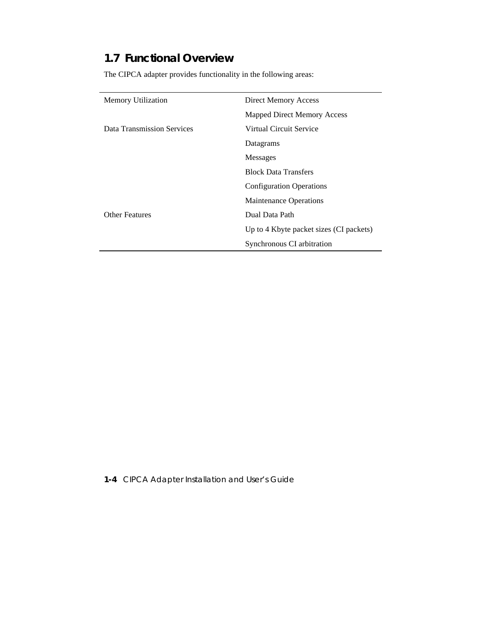## **1.7 Functional Overview**

The CIPCA adapter provides functionality in the following areas:

| Memory Utilization         | Direct Memory Access                    |
|----------------------------|-----------------------------------------|
|                            | Mapped Direct Memory Access             |
| Data Transmission Services | Virtual Circuit Service                 |
|                            | Datagrams                               |
|                            | <b>Messages</b>                         |
|                            | <b>Block Data Transfers</b>             |
|                            | <b>Configuration Operations</b>         |
|                            | <b>Maintenance Operations</b>           |
| <b>Other Features</b>      | Dual Data Path                          |
|                            | Up to 4 Kbyte packet sizes (CI packets) |
|                            | Synchronous CI arbitration              |

**1-4** CIPCA Adapter Installation and User's Guide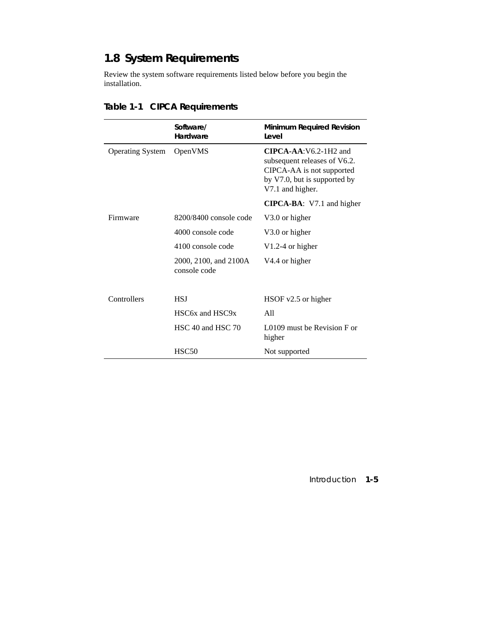# **1.8 System Requirements**

Review the system software requirements listed below before you begin the installation.

|                         | Software/<br>Hardware                 | Minimum Required Revision<br>Level                                                                                                       |
|-------------------------|---------------------------------------|------------------------------------------------------------------------------------------------------------------------------------------|
| <b>Operating System</b> | OpenVMS                               | $CIPCA-AA:V6.2-1H2$ and<br>subsequent releases of V6.2.<br>CIPCA-AA is not supported<br>by V7.0, but is supported by<br>V7.1 and higher. |
|                         |                                       | CIPCA-BA: V7.1 and higher                                                                                                                |
| Firmware                | $8200/8400$ console code              | V3.0 or higher                                                                                                                           |
|                         | 4000 console code                     | V3.0 or higher                                                                                                                           |
|                         | 4100 console code                     | $V1.2-4$ or higher                                                                                                                       |
|                         | 2000, 2100, and 2100A<br>console code | V4.4 or higher                                                                                                                           |
| Controllers             | <b>HSJ</b>                            | $HSOF$ v2.5 or higher                                                                                                                    |
|                         | HSC6x and HSC9x                       | A11                                                                                                                                      |
|                         | HSC 40 and HSC 70                     | L0109 must be Revision F or<br>higher                                                                                                    |
|                         | HSC <sub>50</sub>                     | Not supported                                                                                                                            |

# **Table 1-1 CIPCA Requirements**

Introduction **1-5**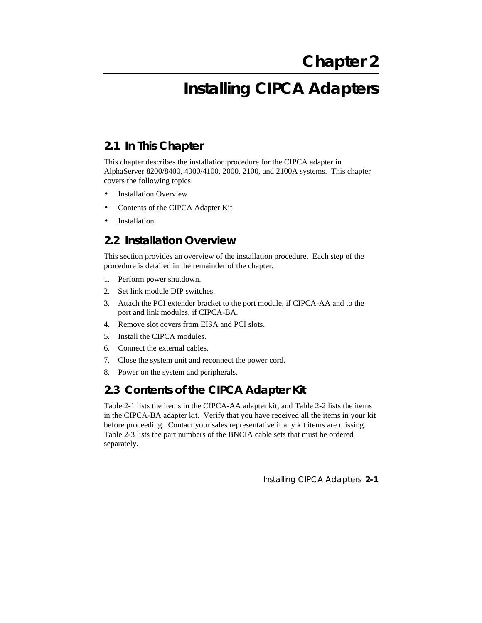# **Installing CIPCA Adapters**

## **2.1 In This Chapter**

This chapter describes the installation procedure for the CIPCA adapter in AlphaServer 8200/8400, 4000/4100, 2000, 2100, and 2100A systems. This chapter covers the following topics:

- **Installation Overview**
- Contents of the CIPCA Adapter Kit
- **Installation**

### **2.2 Installation Overview**

This section provides an overview of the installation procedure. Each step of the procedure is detailed in the remainder of the chapter.

- 1. Perform power shutdown.
- 2. Set link module DIP switches.
- 3. Attach the PCI extender bracket to the port module, if CIPCA-AA and to the port and link modules, if CIPCA-BA.
- 4. Remove slot covers from EISA and PCI slots.
- 5. Install the CIPCA modules.
- 6. Connect the external cables.
- 7. Close the system unit and reconnect the power cord.
- 8. Power on the system and peripherals.

### **2.3 Contents of the CIPCA Adapter Kit**

Table 2-1 lists the items in the CIPCA-AA adapter kit, and Table 2-2 lists the items in the CIPCA-BA adapter kit. Verify that you have received all the items in your kit before proceeding. Contact your sales representative if any kit items are missing. Table 2-3 lists the part numbers of the BNCIA cable sets that must be ordered separately.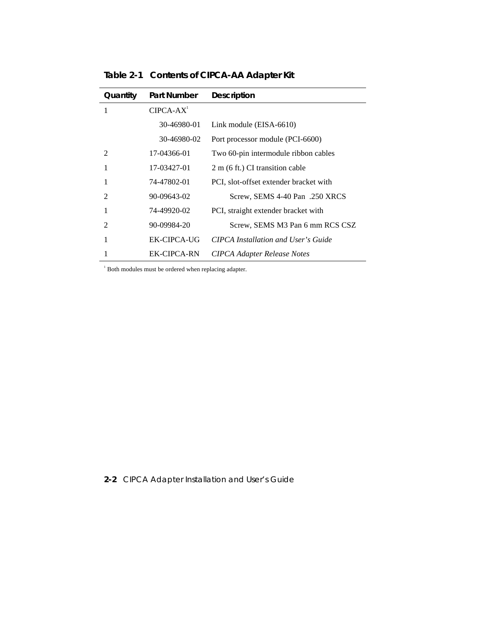| Quantity       | <b>Part Number</b> | <b>Description</b>                     |
|----------------|--------------------|----------------------------------------|
| 1              | $CIPCA-AX1$        |                                        |
|                | 30-46980-01        | Link module (EISA-6610)                |
|                | 30-46980-02        | Port processor module (PCI-6600)       |
| $\mathfrak{D}$ | 17-04366-01        | Two 60-pin intermodule ribbon cables   |
|                | 17-03427-01        | 2 m (6 ft.) CI transition cable        |
|                | 74-47802-01        | PCI, slot-offset extender bracket with |
| 2              | 90-09643-02        | Screw, SEMS 4-40 Pan .250 XRCS         |
|                | 74-49920-02        | PCI, straight extender bracket with    |
| 2              | 90-09984-20        | Screw, SEMS M3 Pan 6 mm RCS CSZ        |
|                | EK-CIPCA-UG        | CIPCA Installation and User's Guide    |
|                | EK-CIPCA-RN        | <b>CIPCA Adapter Release Notes</b>     |

**Table 2-1 Contents of CIPCA-AA Adapter Kit**

<sup>1</sup> Both modules must be ordered when replacing adapter.

### **2-2** CIPCA Adapter Installation and User's Guide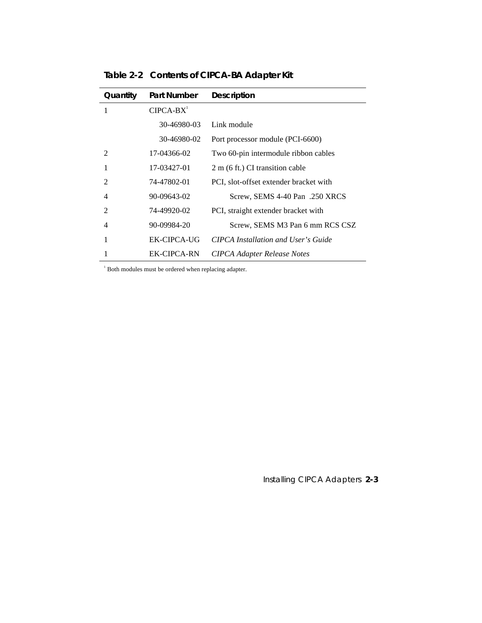| Quantity                    | <b>Part Number</b> | <b>Description</b>                     |
|-----------------------------|--------------------|----------------------------------------|
| 1                           | $CIPCA-BX1$        |                                        |
|                             | 30-46980-03        | Link module                            |
|                             | 30-46980-02        | Port processor module (PCI-6600)       |
| $\mathcal{D}_{\mathcal{L}}$ | 17-04366-02        | Two 60-pin intermodule ribbon cables   |
|                             | 17-03427-01        | 2 m (6 ft.) CI transition cable        |
| 2                           | 74-47802-01        | PCI, slot-offset extender bracket with |
| 4                           | 90-09643-02        | Screw, SEMS 4-40 Pan .250 XRCS         |
| $\mathfrak{D}$              | 74-49920-02        | PCI, straight extender bracket with    |
| 4                           | 90-09984-20        | Screw, SEMS M3 Pan 6 mm RCS CSZ        |
|                             | EK-CIPCA-UG        | CIPCA Installation and User's Guide    |
|                             | EK-CIPCA-RN        | <b>CIPCA Adapter Release Notes</b>     |

**Table 2-2 Contents of CIPCA-BA Adapter Kit**

<sup>1</sup> Both modules must be ordered when replacing adapter.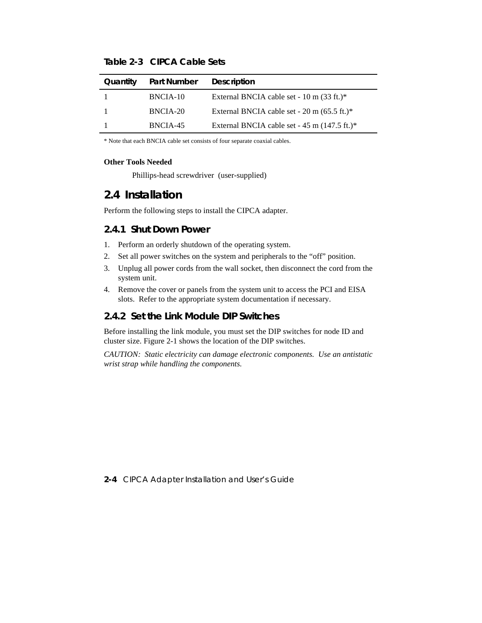| Quantity | Part Number | <b>Description</b>                                     |
|----------|-------------|--------------------------------------------------------|
|          | BNCIA-10    | External BNCIA cable set - 10 m $(33 \text{ ft.})^*$   |
|          | BNCIA-20    | External BNCIA cable set - $20 \text{ m}$ (65.5 ft.)*  |
|          | BNCIA-45    | External BNCIA cable set - $45 \text{ m}$ (147.5 ft.)* |

**Table 2-3 CIPCA Cable Sets**

\* Note that each BNCIA cable set consists of four separate coaxial cables.

#### **Other Tools Needed**

Phillips-head screwdriver (user-supplied)

### **2.4 Installation**

Perform the following steps to install the CIPCA adapter.

#### **2.4.1 Shut Down Power**

- 1. Perform an orderly shutdown of the operating system.
- 2. Set all power switches on the system and peripherals to the "off" position.
- 3. Unplug all power cords from the wall socket, then disconnect the cord from the system unit.
- 4. Remove the cover or panels from the system unit to access the PCI and EISA slots. Refer to the appropriate system documentation if necessary.

#### **2.4.2 Set the Link Module DIP Switches**

Before installing the link module, you must set the DIP switches for node ID and cluster size. Figure 2-1 shows the location of the DIP switches.

*CAUTION: Static electricity can damage electronic components. Use an antistatic wrist strap while handling the components.*

**2-4** CIPCA Adapter Installation and User's Guide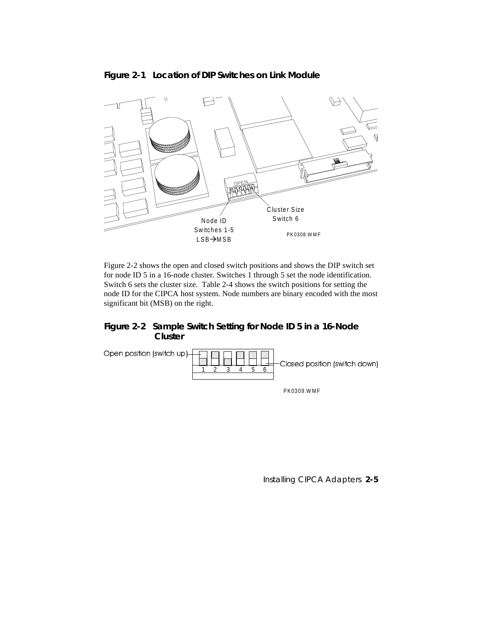

### **Figure 2-1 Location of DIP Switches on Link Module**

Figure 2-2 shows the open and closed switch positions and shows the DIP switch set for node ID 5 in a 16-node cluster. Switches 1 through 5 set the node identification. Switch 6 sets the cluster size. Table 2-4 shows the switch positions for setting the node ID for the CIPCA host system. Node numbers are binary encoded with the most significant bit (MSB) on the right.

### **Figure 2-2 Sample Switch Setting for Node ID 5 in a 16-Node Cluster**



PK0309.W MF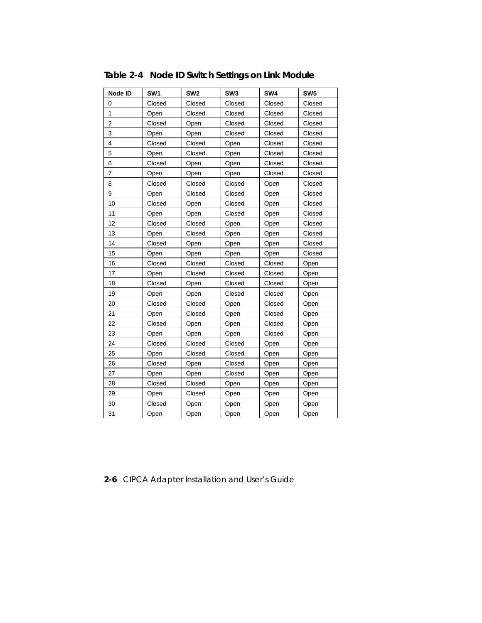| Node ID        | SW <sub>1</sub> | SW <sub>2</sub> | SW <sub>3</sub> | SW4    | SW <sub>5</sub> |
|----------------|-----------------|-----------------|-----------------|--------|-----------------|
| 0              | Closed          | Closed          | Closed          | Closed | Closed          |
| 1              | Open            | Closed          | Closed          | Closed | Closed          |
| $\overline{c}$ | Closed          | Open            | Closed          | Closed | Closed          |
| 3              | Open            | Open            | Closed          | Closed | Closed          |
| 4              | Closed          | Closed          | Open            | Closed | Closed          |
| 5              | Open            | Closed          | Open            | Closed | Closed          |
| 6              | Closed          | Open            | Open            | Closed | Closed          |
| 7              | Open            | Open            | Open            | Closed | Closed          |
| 8              | Closed          | Closed          | Closed          | Open   | Closed          |
| 9              | Open            | Closed          | Closed          | Open   | Closed          |
| 10             | Closed          | Open            | Closed          | Open   | Closed          |
| 11             | Open            | Open            | Closed          | Open   | Closed          |
| 12             | Closed          | Closed          | Open            | Open   | Closed          |
| 13             | Open            | Closed          | Open            | Open   | Closed          |
| 14             | Closed          | Open            | Open            | Open   | Closed          |
| 15             | Open            | Open            | Open            | Open   | Closed          |
| 16             | Closed          | Closed          | Closed          | Closed | Open            |
| 17             | Open            | Closed          | Closed          | Closed | Open            |
| 18             | Closed          | Open            | Closed          | Closed | Open            |
| 19             | Open            | Open            | Closed          | Closed | Open            |
| 20             | Closed          | Closed          | Open            | Closed | Open            |
| 21             | Open            | Closed          | Open            | Closed | Open            |
| 22             | Closed          | Open            | Open            | Closed | Open            |
| 23             | Open            | Open            | Open            | Closed | Open            |
| 24             | Closed          | Closed          | Closed          | Open   | Open            |
| 25             | Open            | Closed          | Closed          | Open   | Open            |
| 26             | Closed          | Open            | Closed          | Open   | Open            |
| 27             | Open            | Open            | Closed          | Open   | Open            |
| 28             | Closed          | Closed          | Open            | Open   | Open            |
| 29             | Open            | Closed          | Open            | Open   | Open            |
| 30             | Closed          | Open            | Open            | Open   | Open            |
| 31             | Open            | Open            | Open            | Open   | Open            |

**Table 2-4 Node ID Switch Settings on Link Module**

**2-6** CIPCA Adapter Installation and User's Guide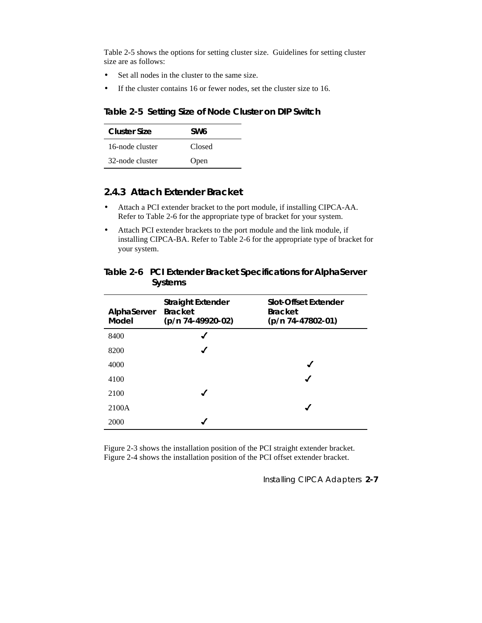Table 2-5 shows the options for setting cluster size. Guidelines for setting cluster size are as follows:

- Set all nodes in the cluster to the same size.
- If the cluster contains 16 or fewer nodes, set the cluster size to 16.

**Table 2-5 Setting Size of Node Cluster on DIP Switch**

| <b>Cluster Size</b> | SW6    |
|---------------------|--------|
| 16-node cluster     | Closed |
| 32-node cluster     | Open   |

#### **2.4.3 Attach Extender Bracket**

- Attach a PCI extender bracket to the port module, if installing CIPCA-AA. Refer to Table 2-6 for the appropriate type of bracket for your system.
- Attach PCI extender brackets to the port module and the link module, if installing CIPCA-BA. Refer to Table 2-6 for the appropriate type of bracket for your system.

#### **Table 2-6 PCI Extender Bracket Specifications for AlphaServer Systems**

| AlphaServer<br>Model | <b>Straight Extender</b><br><b>Bracket</b><br>(p/n 74-49920-02) | <b>Slot-Offset Extender</b><br><b>Bracket</b><br>$(p/n 74-47802-01)$ |
|----------------------|-----------------------------------------------------------------|----------------------------------------------------------------------|
| 8400                 | ✔                                                               |                                                                      |
| 8200                 | ✔                                                               |                                                                      |
| 4000                 |                                                                 | J                                                                    |
| 4100                 |                                                                 | J                                                                    |
| 2100                 | ✔                                                               |                                                                      |
| 2100A                |                                                                 |                                                                      |
| 2000                 |                                                                 |                                                                      |

Figure 2-3 shows the installation position of the PCI straight extender bracket. Figure 2-4 shows the installation position of the PCI offset extender bracket.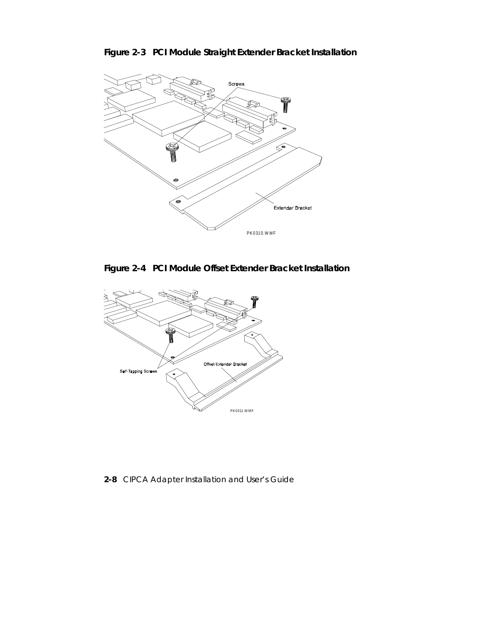**Figure 2-3 PCI Module Straight Extender Bracket Installation**



**Figure 2-4 PCI Module Offset Extender Bracket Installation**



**2-8** CIPCA Adapter Installation and User's Guide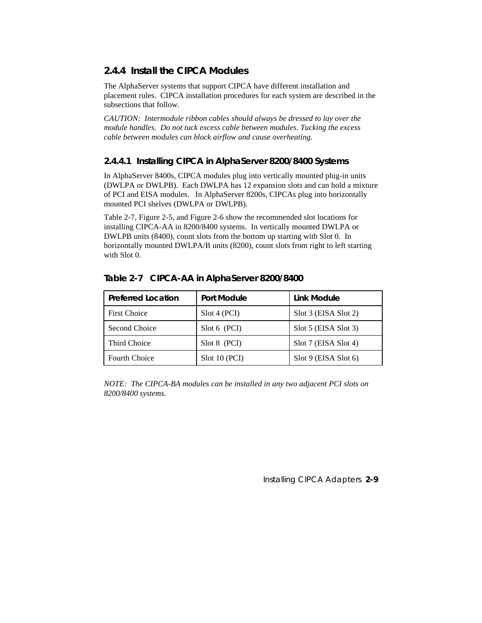### **2.4.4 Install the CIPCA Modules**

The AlphaServer systems that support CIPCA have different installation and placement rules. CIPCA installation procedures for each system are described in the subsections that follow.

*CAUTION: Intermodule ribbon cables should always be dressed to lay over the module handles. Do not tuck excess cable between modules. Tucking the excess cable between modules can block airflow and cause overheating.*

#### **2.4.4.1 Installing CIPCA in AlphaServer 8200/8400 Systems**

In AlphaServer 8400s, CIPCA modules plug into vertically mounted plug-in units (DWLPA or DWLPB). Each DWLPA has 12 expansion slots and can hold a mixture of PCI and EISA modules. In AlphaServer 8200s, CIPCAs plug into horizontally mounted PCI shelves (DWLPA or DWLPB).

Table 2-7, Figure 2-5, and Figure 2-6 show the recommended slot locations for installing CIPCA-AA in 8200/8400 systems. In vertically mounted DWLPA or DWLPB units (8400), count slots from the bottom up starting with Slot 0. In horizontally mounted DWLPA/B units (8200), count slots from right to left starting with Slot 0.

| <b>Preferred Location</b> | <b>Port Module</b> | Link Module               |
|---------------------------|--------------------|---------------------------|
| <b>First Choice</b>       | Slot 4 (PCI)       | Slot 3 (EISA Slot 2)      |
| Second Choice             | Slot 6 (PCI)       | $Slot 5$ (EISA $Slot 3$ ) |
| Third Choice              | Slot 8 (PCI)       | Slot 7 (EISA Slot 4)      |
| <b>Fourth Choice</b>      | Slot 10 (PCI)      | $Slot 9$ (EISA $Slot 6$ ) |

#### **Table 2-7 CIPCA-AA in AlphaServer 8200/8400**

*NOTE: The CIPCA-BA modules can be installed in any two adjacent PCI slots on 8200/8400 systems.*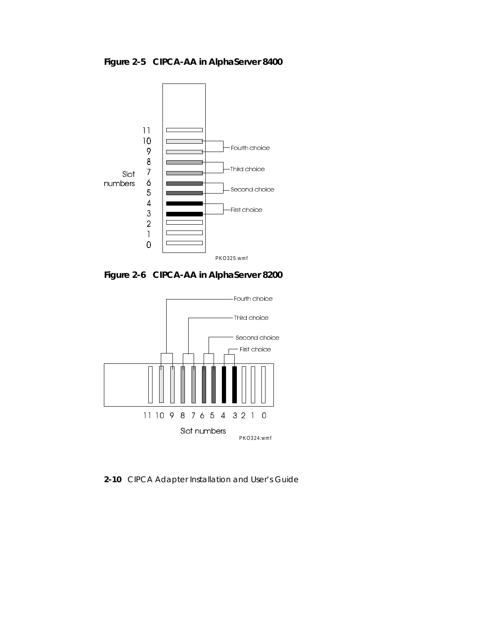**Figure 2-5 CIPCA-AA in AlphaServer 8400**



**Figure 2-6 CIPCA-AA in AlphaServer 8200**



**2-10** CIPCA Adapter Installation and User's Guide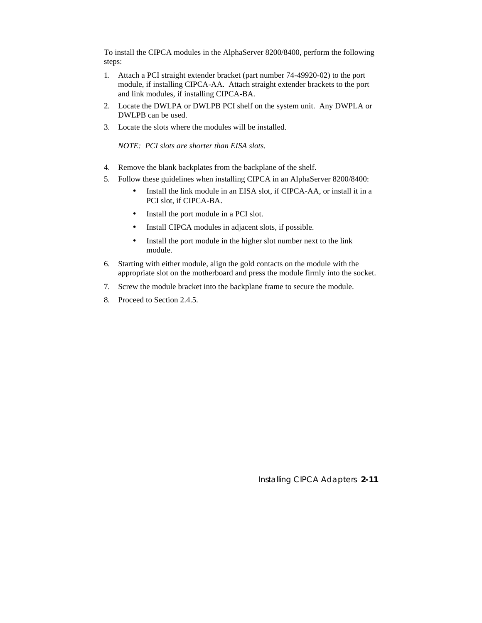To install the CIPCA modules in the AlphaServer 8200/8400, perform the following steps:

- 1. Attach a PCI straight extender bracket (part number 74-49920-02) to the port module, if installing CIPCA-AA. Attach straight extender brackets to the port and link modules, if installing CIPCA-BA.
- 2. Locate the DWLPA or DWLPB PCI shelf on the system unit. Any DWPLA or DWLPB can be used.
- 3. Locate the slots where the modules will be installed.

*NOTE: PCI slots are shorter than EISA slots.*

- 4. Remove the blank backplates from the backplane of the shelf.
- 5. Follow these guidelines when installing CIPCA in an AlphaServer 8200/8400:
	- Install the link module in an EISA slot, if CIPCA-AA, or install it in a PCI slot, if CIPCA-BA.
	- Install the port module in a PCI slot.
	- Install CIPCA modules in adjacent slots, if possible.
	- Install the port module in the higher slot number next to the link module.
- 6. Starting with either module, align the gold contacts on the module with the appropriate slot on the motherboard and press the module firmly into the socket.
- 7. Screw the module bracket into the backplane frame to secure the module.
- 8. Proceed to Section 2.4.5.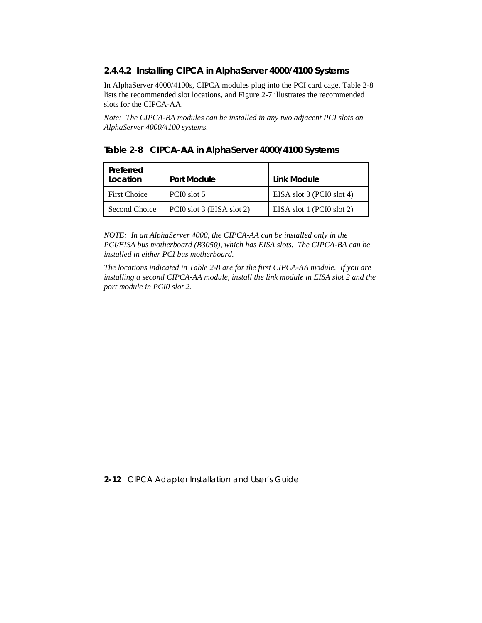#### **2.4.4.2 Installing CIPCA in AlphaServer 4000/4100 Systems**

In AlphaServer 4000/4100s, CIPCA modules plug into the PCI card cage. Table 2-8 lists the recommended slot locations, and Figure 2-7 illustrates the recommended slots for the CIPCA-AA.

*Note: The CIPCA-BA modules can be installed in any two adjacent PCI slots on AlphaServer 4000/4100 systems.*

|  | Table 2-8 CIPCA-AA in AlphaServer 4000/4100 Systems |  |  |  |
|--|-----------------------------------------------------|--|--|--|
|--|-----------------------------------------------------|--|--|--|

| Preferred<br>Location | Port Module               | Link Module               |
|-----------------------|---------------------------|---------------------------|
| <b>First Choice</b>   | PCIO slot 5               | EISA slot 3 (PCI0 slot 4) |
| Second Choice         | PCI0 slot 3 (EISA slot 2) | EISA slot 1 (PCI0 slot 2) |

*NOTE: In an AlphaServer 4000, the CIPCA-AA can be installed only in the PCI/EISA bus motherboard (B3050), which has EISA slots. The CIPCA-BA can be installed in either PCI bus motherboard.*

*The locations indicated in Table 2-8 are for the first CIPCA-AA module. If you are installing a second CIPCA-AA module, install the link module in EISA slot 2 and the port module in PCI0 slot 2.*

#### **2-12** CIPCA Adapter Installation and User's Guide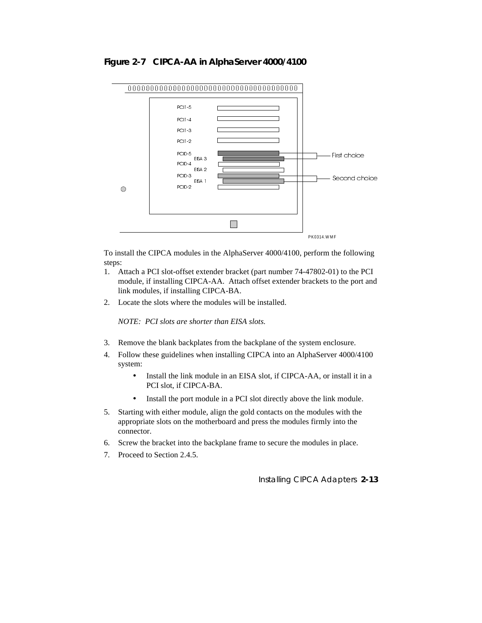



To install the CIPCA modules in the AlphaServer 4000/4100, perform the following steps:

- 1. Attach a PCI slot-offset extender bracket (part number 74-47802-01) to the PCI module, if installing CIPCA-AA. Attach offset extender brackets to the port and link modules, if installing CIPCA-BA.
- 2. Locate the slots where the modules will be installed.

*NOTE: PCI slots are shorter than EISA slots.*

- 3. Remove the blank backplates from the backplane of the system enclosure.
- 4. Follow these guidelines when installing CIPCA into an AlphaServer 4000/4100 system:
	- Install the link module in an EISA slot, if CIPCA-AA, or install it in a PCI slot, if CIPCA-BA.
	- Install the port module in a PCI slot directly above the link module.
- 5. Starting with either module, align the gold contacts on the modules with the appropriate slots on the motherboard and press the modules firmly into the connector.
- 6. Screw the bracket into the backplane frame to secure the modules in place.
- 7. Proceed to Section 2.4.5.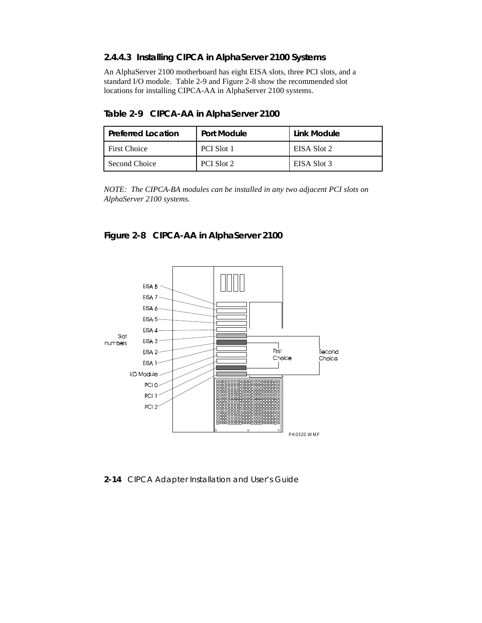### **2.4.4.3 Installing CIPCA in AlphaServer 2100 Systems**

An AlphaServer 2100 motherboard has eight EISA slots, three PCI slots, and a standard I/O module. Table 2-9 and Figure 2-8 show the recommended slot locations for installing CIPCA-AA in AlphaServer 2100 systems.

**Table 2-9 CIPCA-AA in AlphaServer 2100**

| <b>Preferred Location</b> | Port Module | Link Module |
|---------------------------|-------------|-------------|
| <b>First Choice</b>       | PCI Slot 1  | EISA Slot 2 |
| Second Choice             | PCI Slot 2  | EISA Slot 3 |

*NOTE: The CIPCA-BA modules can be installed in any two adjacent PCI slots on AlphaServer 2100 systems.*





**2-14** CIPCA Adapter Installation and User's Guide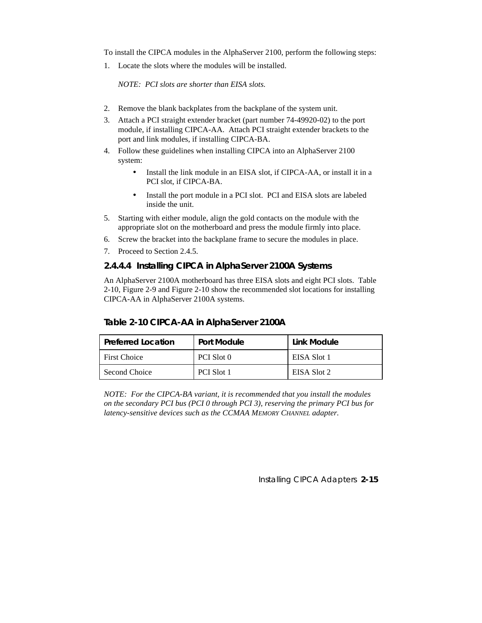To install the CIPCA modules in the AlphaServer 2100, perform the following steps:

1. Locate the slots where the modules will be installed.

*NOTE: PCI slots are shorter than EISA slots.*

- 2. Remove the blank backplates from the backplane of the system unit.
- 3. Attach a PCI straight extender bracket (part number 74-49920-02) to the port module, if installing CIPCA-AA. Attach PCI straight extender brackets to the port and link modules, if installing CIPCA-BA.
- 4. Follow these guidelines when installing CIPCA into an AlphaServer 2100 system:
	- Install the link module in an EISA slot, if CIPCA-AA, or install it in a PCI slot, if CIPCA-BA.
	- Install the port module in a PCI slot. PCI and EISA slots are labeled inside the unit.
- 5. Starting with either module, align the gold contacts on the module with the appropriate slot on the motherboard and press the module firmly into place.
- 6. Screw the bracket into the backplane frame to secure the modules in place.
- 7. Proceed to Section 2.4.5.

#### **2.4.4.4 Installing CIPCA in AlphaServer 2100A Systems**

An AlphaServer 2100A motherboard has three EISA slots and eight PCI slots. Table 2-10, Figure 2-9 and Figure 2-10 show the recommended slot locations for installing CIPCA-AA in AlphaServer 2100A systems.

#### **Table 2-10 CIPCA-AA in AlphaServer 2100A**

| <b>Preferred Location</b> | Port Module       | Link Module |
|---------------------------|-------------------|-------------|
| <b>First Choice</b>       | PCI Slot 0        | EISA Slot 1 |
| Second Choice             | <b>PCI Slot 1</b> | EISA Slot 2 |

*NOTE: For the CIPCA-BA variant, it is recommended that you install the modules on the secondary PCI bus (PCI 0 through PCI 3), reserving the primary PCI bus for latency-sensitive devices such as the CCMAA MEMORY CHANNEL adapter.*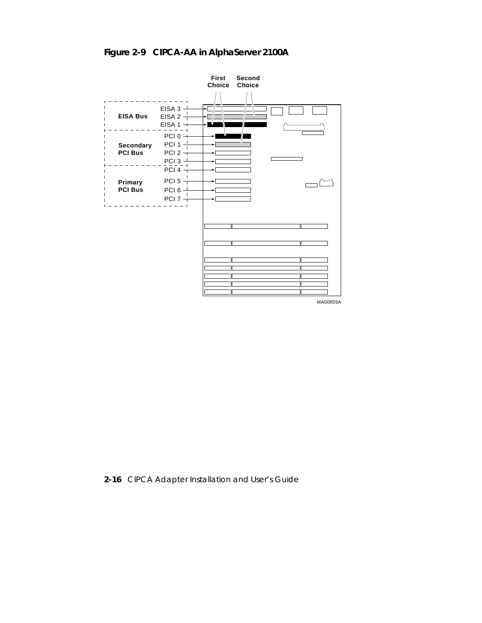# **Figure 2-9 CIPCA-AA in AlphaServer 2100A**



**2-16** CIPCA Adapter Installation and User's Guide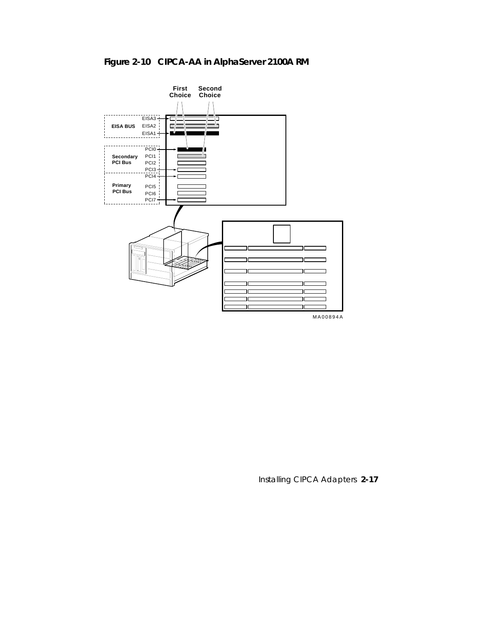### **Figure 2-10 CIPCA-AA in AlphaServer 2100A RM**

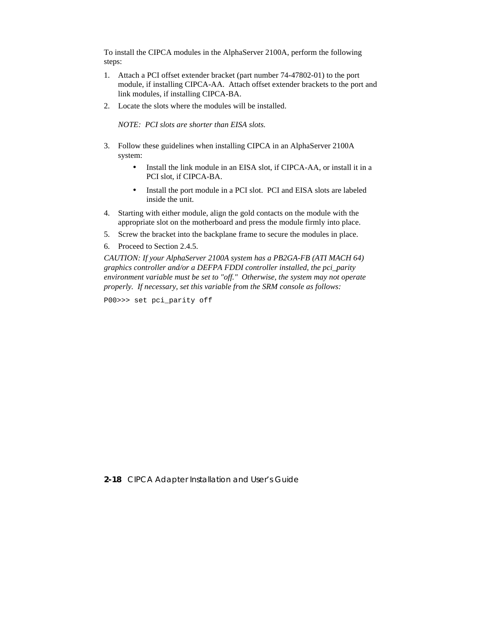To install the CIPCA modules in the AlphaServer 2100A, perform the following steps:

- 1. Attach a PCI offset extender bracket (part number 74-47802-01) to the port module, if installing CIPCA-AA. Attach offset extender brackets to the port and link modules, if installing CIPCA-BA.
- 2. Locate the slots where the modules will be installed.

*NOTE: PCI slots are shorter than EISA slots.*

- 3. Follow these guidelines when installing CIPCA in an AlphaServer 2100A system:
	- Install the link module in an EISA slot, if CIPCA-AA, or install it in a PCI slot, if CIPCA-BA.
	- Install the port module in a PCI slot. PCI and EISA slots are labeled inside the unit.
- 4. Starting with either module, align the gold contacts on the module with the appropriate slot on the motherboard and press the module firmly into place.
- 5. Screw the bracket into the backplane frame to secure the modules in place.

6. Proceed to Section 2.4.5.

*CAUTION: If your AlphaServer 2100A system has a PB2GA-FB (ATI MACH 64) graphics controller and/or a DEFPA FDDI controller installed, the pci\_parity environment variable must be set to "off." Otherwise, the system may not operate properly. If necessary, set this variable from the SRM console as follows:*

P00>>> set pci\_parity off

**2-18** CIPCA Adapter Installation and User's Guide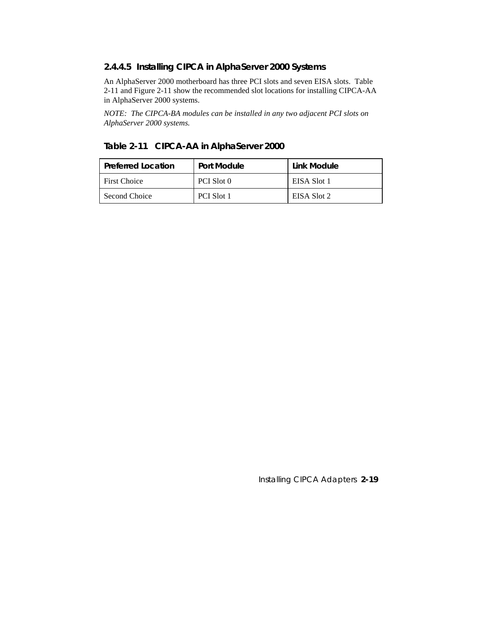#### **2.4.4.5 Installing CIPCA in AlphaServer 2000 Systems**

An AlphaServer 2000 motherboard has three PCI slots and seven EISA slots. Table 2-11 and Figure 2-11 show the recommended slot locations for installing CIPCA-AA in AlphaServer 2000 systems.

*NOTE: The CIPCA-BA modules can be installed in any two adjacent PCI slots on AlphaServer 2000 systems.*

#### **Table 2-11 CIPCA-AA in AlphaServer 2000**

| <b>Preferred Location</b> | Port Module       | Link Module |
|---------------------------|-------------------|-------------|
| <b>First Choice</b>       | PCI Slot 0        | EISA Slot 1 |
| Second Choice             | <b>PCI Slot 1</b> | EISA Slot 2 |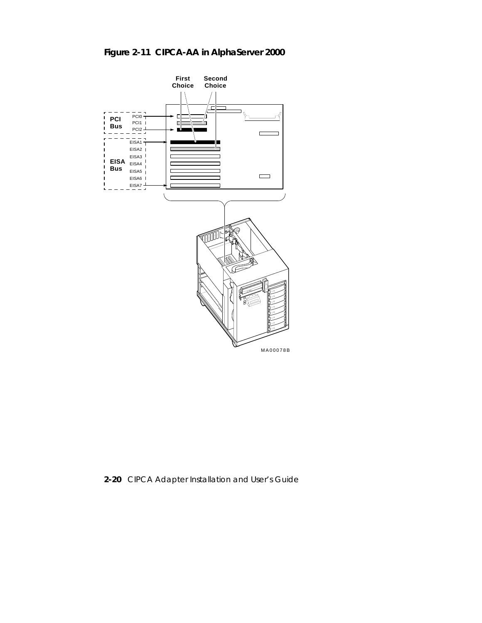### **Figure 2-11 CIPCA-AA in AlphaServer 2000**



**2-20** CIPCA Adapter Installation and User's Guide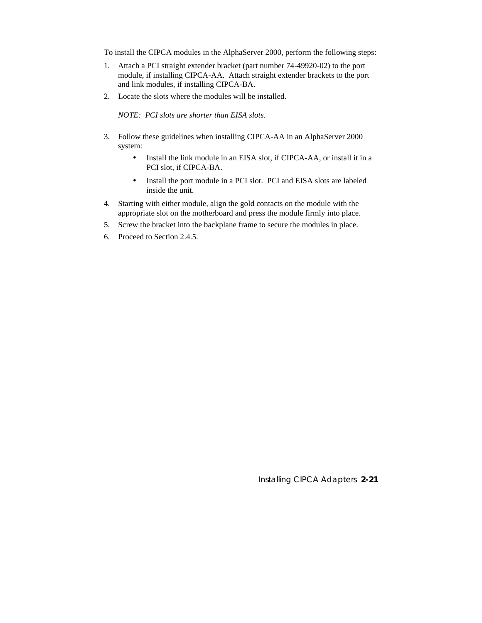To install the CIPCA modules in the AlphaServer 2000, perform the following steps:

- 1. Attach a PCI straight extender bracket (part number 74-49920-02) to the port module, if installing CIPCA-AA. Attach straight extender brackets to the port and link modules, if installing CIPCA-BA.
- 2. Locate the slots where the modules will be installed.

*NOTE: PCI slots are shorter than EISA slots.*

- 3. Follow these guidelines when installing CIPCA-AA in an AlphaServer 2000 system:
	- Install the link module in an EISA slot, if CIPCA-AA, or install it in a PCI slot, if CIPCA-BA.
	- Install the port module in a PCI slot. PCI and EISA slots are labeled inside the unit.
- 4. Starting with either module, align the gold contacts on the module with the appropriate slot on the motherboard and press the module firmly into place.
- 5. Screw the bracket into the backplane frame to secure the modules in place.
- 6. Proceed to Section 2.4.5.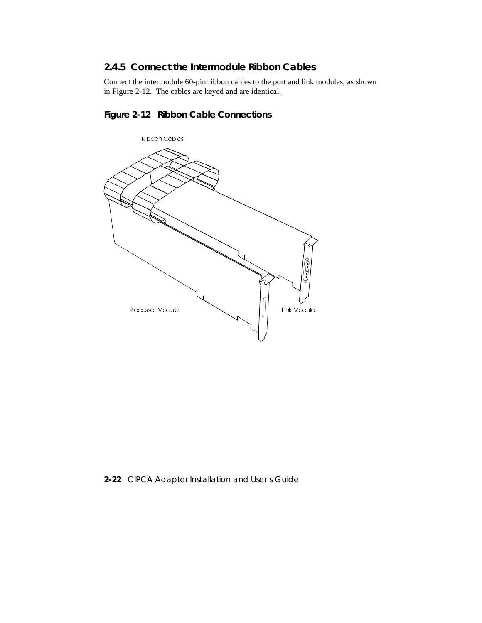### **2.4.5 Connect the Intermodule Ribbon Cables**

Connect the intermodule 60-pin ribbon cables to the port and link modules, as shown in Figure 2-12. The cables are keyed and are identical.

### **Figure 2-12 Ribbon Cable Connections**



**2-22** CIPCA Adapter Installation and User's Guide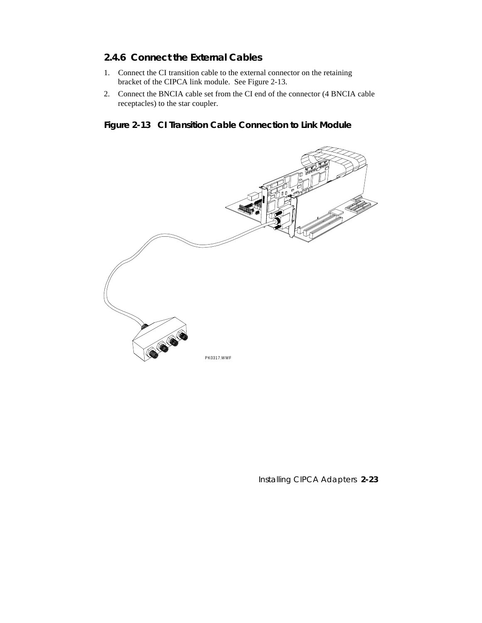# **2.4.6 Connect the External Cables**

- 1. Connect the CI transition cable to the external connector on the retaining bracket of the CIPCA link module. See Figure 2-13.
- 2. Connect the BNCIA cable set from the CI end of the connector (4 BNCIA cable receptacles) to the star coupler.

# **Figure 2-13 CI Transition Cable Connection to Link Module**



Installing CIPCA Adapters **2-23**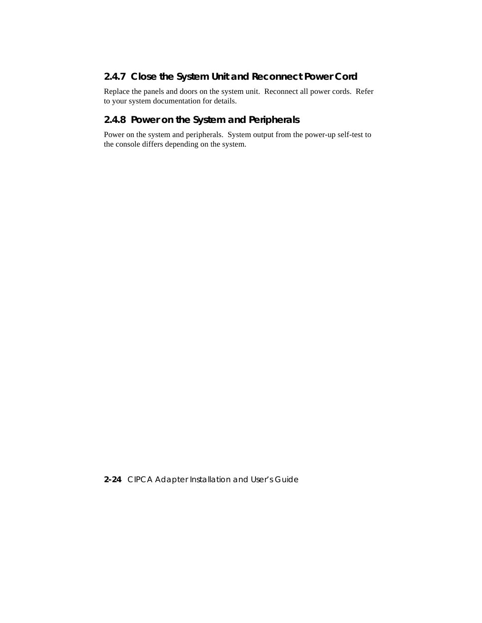# **2.4.7 Close the System Unit and Reconnect Power Cord**

Replace the panels and doors on the system unit. Reconnect all power cords. Refer to your system documentation for details.

# **2.4.8 Power on the System and Peripherals**

Power on the system and peripherals. System output from the power-up self-test to the console differs depending on the system.

**2-24** CIPCA Adapter Installation and User's Guide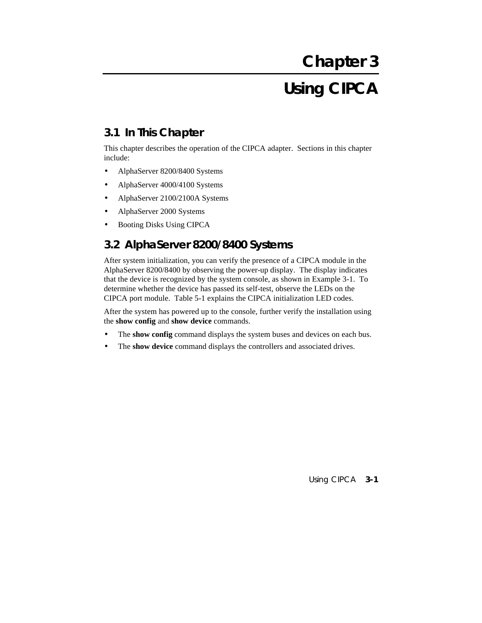# **Using CIPCA**

# **3.1 In This Chapter**

This chapter describes the operation of the CIPCA adapter. Sections in this chapter include:

- AlphaServer 8200/8400 Systems
- AlphaServer 4000/4100 Systems
- AlphaServer 2100/2100A Systems
- AlphaServer 2000 Systems
- Booting Disks Using CIPCA

# **3.2 AlphaServer 8200/8400 Systems**

After system initialization, you can verify the presence of a CIPCA module in the AlphaServer 8200/8400 by observing the power-up display. The display indicates that the device is recognized by the system console, as shown in Example 3-1. To determine whether the device has passed its self-test, observe the LEDs on the CIPCA port module. Table 5-1 explains the CIPCA initialization LED codes.

After the system has powered up to the console, further verify the installation using the **show config** and **show device** commands.

- The **show config** command displays the system buses and devices on each bus.
- The **show device** command displays the controllers and associated drives.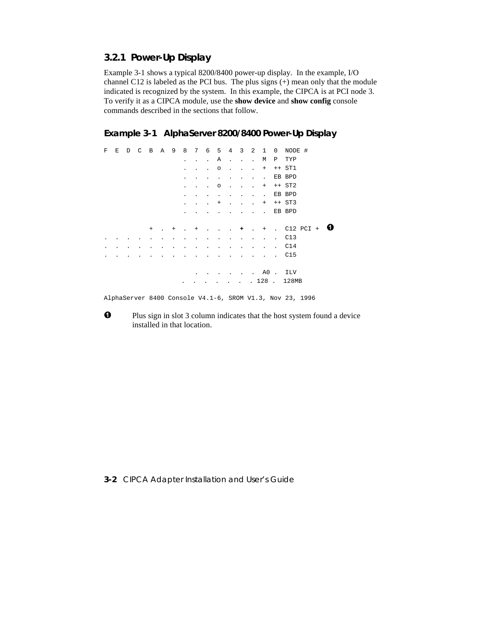# **3.2.1 Power-Up Display**

Example 3-1 shows a typical 8200/8400 power-up display. In the example, I/O channel C12 is labeled as the PCI bus. The plus signs (+) mean only that the module indicated is recognized by the system. In this example, the CIPCA is at PCI node 3. To verify it as a CIPCA module, use the **show device** and **show config** console commands described in the sections that follow.

**Example 3-1 AlphaServer 8200/8400 Power-Up Display**

F E D C B A 9 8 7 6 5 4 3 2 1 0 NODE # . . . A . . . M P TYP . . . o . . . + ++ ST1 . . . . . . . . EB BPD<br>. . . 0 . . . + ++ ST2 . . .  $\circ$  . . . . . . . . . . EB BPD .  $+$  . . .  $+$   $+$   $\text{ST3}$  . . . . . . . . EB BPD + . + . + . . . **+** . + . C12 PCI + . . . . . . . . . . . . . . . . C13 . . . . . . . . . . . . . . . . . C14 . . . . . . . . . . . . . . . . C15 . . . . . . A0 . ILV . . . . . . . 128 . 128MB

AlphaServer 8400 Console V4.1-6, SROM V1.3, Nov 23, 1996

 $\bullet$  Plus sign in slot 3 column indicates that the host system found a device installed in that location.

**3-2** CIPCA Adapter Installation and User's Guide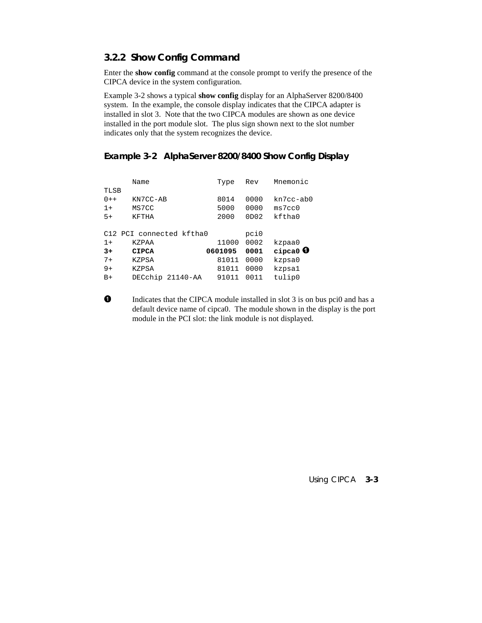# **3.2.2 Show Config Command**

Enter the **show config** command at the console prompt to verify the presence of the CIPCA device in the system configuration.

Example 3-2 shows a typical **show config** display for an AlphaServer 8200/8400 system. In the example, the console display indicates that the CIPCA adapter is installed in slot 3. Note that the two CIPCA modules are shown as one device installed in the port module slot. The plus sign shown next to the slot number indicates only that the system recognizes the device.

# **Example 3-2 AlphaServer 8200/8400 Show Config Display**

|         | Name                     | Type    | Mnemonic<br>Rev |                    |  |  |
|---------|--------------------------|---------|-----------------|--------------------|--|--|
| TLSB    |                          |         |                 |                    |  |  |
| $0 + +$ | KN7CC-AB                 | 8014    | 0000            | $kn7cc - ab0$      |  |  |
| $1 +$   | MS7CC                    | 5000    | 0000            | ms7cc0             |  |  |
| $5+$    | <b>KFTHA</b>             | 2000    | 0D02            | kftha0             |  |  |
|         |                          |         |                 |                    |  |  |
|         | C12 PCI connected kftha0 |         | pci0            |                    |  |  |
| $1 +$   | <b>KZPAA</b>             | 11000   | 0002            | kzpaa0             |  |  |
| $3+$    | <b>CIPCA</b>             | 0601095 | 0001            | cipca0 $\mathbf 0$ |  |  |
| $7+$    | <b>KZPSA</b>             | 81011   | 0000            | kzpsa0             |  |  |
| $9+$    | <b>KZPSA</b>             | 81011   | 0000            | kzpsal             |  |  |
| $B+$    | DECchip<br>21140-AA      | 91011   | 0011            | tulip0             |  |  |

 Indicates that the CIPCA module installed in slot 3 is on bus pci0 and has a default device name of cipca0. The module shown in the display is the port module in the PCI slot: the link module is not displayed.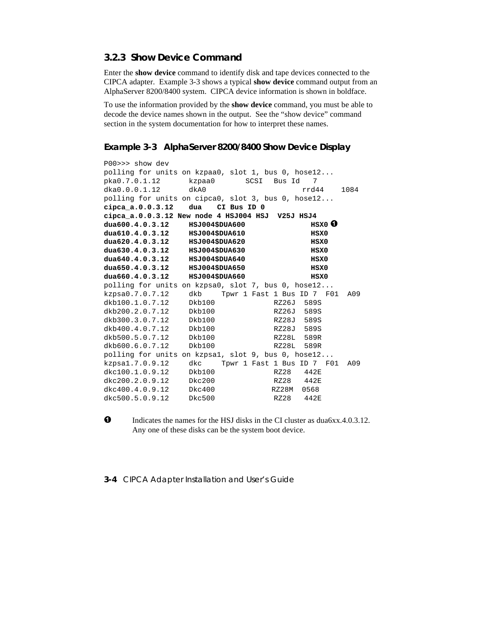# **3.2.3 Show Device Command**

Enter the **show device** command to identify disk and tape devices connected to the CIPCA adapter. Example 3-3 shows a typical **show device** command output from an AlphaServer 8200/8400 system. CIPCA device information is shown in boldface.

To use the information provided by the **show device** command, you must be able to decode the device names shown in the output. See the "show device" command section in the system documentation for how to interpret these names.

# **Example 3-3 AlphaServer 8200/8400 Show Device Display**

```
P00>>> show dev
polling for units on kzpaa0, slot 1, bus 0, hose12...
pka0.7.0.1.12 kzpaa0 SCSI Bus Id 7
dka0.0.0.1.12 dkA0 rrd44 1084
polling for units on cipca0, slot 3, bus 0, hose12...
cipca_a.0.0.3.12 dua CI Bus ID 0
cipca_a.0.0.3.12 New node 4 HSJ004 HSJ V25J HSJ4
dua600.4.0.3.12 HSJ004$DUA600 HSX0 
dua610.4.0.3.12 HSJ004$DUA610 HSX0
dua620.4.0.3.12 HSJ004$DUA620 HSX0
dua630.4.0.3.12 HSJ004$DUA630 HSX0
dua640.4.0.3.12 HSJ004$DUA640 HSX0
dua650.4.0.3.12 HSJ004$DUA650 HSX0
dua660.4.0.3.12 HSJ004$DUA660 HSX0
polling for units on kzpsa0, slot 7, bus 0, hose12...
kzpsa0.7.0.7.12 dkb Tpwr 1 Fast 1 Bus ID 7 F01 A09
dkb100.1.0.7.12
dkb200.2.0.7.12 Dkb100 RZ26J 589S
dkb300.3.0.7.12 Dkb100 RZ28J 589S
dkb400.4.0.7.12 Dkb100 RZ28J 589S
dkb500.5.0.7.12 Dkb100 RZ28L 589R
dkb600.6.0.7.12 Dkb100 RZ28L 589R
polling for units on kzpsa1, slot 9, bus 0, hose12...
kzpsa1.7.0.9.12 dkc Tpwr 1 Fast 1 Bus ID 7 F01 A09
dkc100.1.0.9.12 Dkb100 RZ28 442E
dkc200.2.0.9.12 Dkc200 RZ28 442E
dkc400.4.0.9.12 Dkc400 RZ28M 0568
dkc500.5.0.9.12 Dkc500 RZ28 442E
```
**O** Indicates the names for the HSJ disks in the CI cluster as dua6xx.4.0.3.12. Any one of these disks can be the system boot device.

**3-4** CIPCA Adapter Installation and User's Guide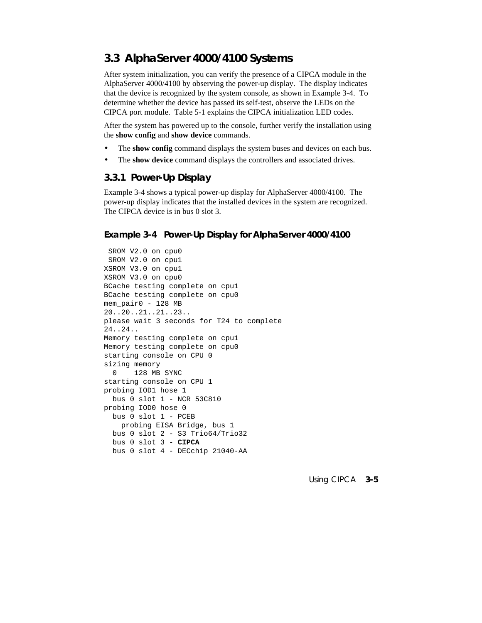# **3.3 AlphaServer 4000/4100 Systems**

After system initialization, you can verify the presence of a CIPCA module in the AlphaServer 4000/4100 by observing the power-up display. The display indicates that the device is recognized by the system console, as shown in Example 3-4. To determine whether the device has passed its self-test, observe the LEDs on the CIPCA port module. Table 5-1 explains the CIPCA initialization LED codes.

After the system has powered up to the console, further verify the installation using the **show config** and **show device** commands.

- The **show config** command displays the system buses and devices on each bus.
- The **show device** command displays the controllers and associated drives.

# **3.3.1 Power-Up Display**

Example 3-4 shows a typical power-up display for AlphaServer 4000/4100. The power-up display indicates that the installed devices in the system are recognized. The CIPCA device is in bus 0 slot 3.

#### **Example 3-4 Power-Up Display for AlphaServer 4000/4100**

```
 SROM V2.0 on cpu0
 SROM V2.0 on cpu1
XSROM V3.0 on cpu1
XSROM V3.0 on cpu0
BCache testing complete on cpu1
BCache testing complete on cpu0
mem_pair0 - 128 MB
20..20..21..21..23..
please wait 3 seconds for T24 to complete
24..24..
Memory testing complete on cpu1
Memory testing complete on cpu0
starting console on CPU 0
sizing memory
  0 128 MB SYNC
starting console on CPU 1
probing IOD1 hose 1
  bus 0 slot 1 - NCR 53C810
probing IOD0 hose 0
  bus 0 slot 1 - PCEB
    probing EISA Bridge, bus 1
  bus 0 slot 2 - S3 Trio64/Trio32
  bus 0 slot 3 - CIPCA
  bus 0 slot 4 - DECchip 21040-AA
```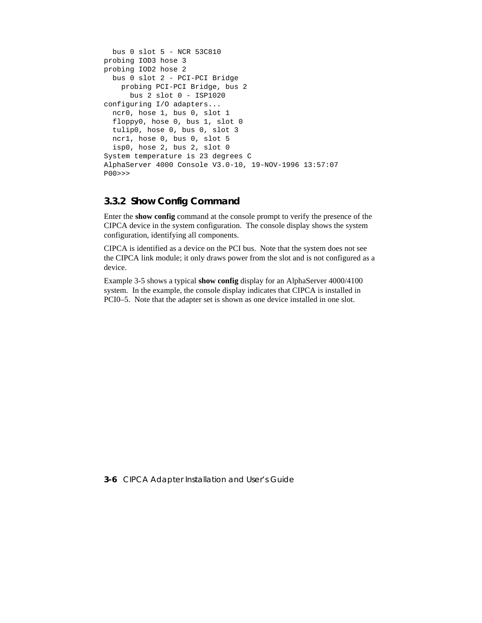```
 bus 0 slot 5 - NCR 53C810
probing IOD3 hose 3
probing IOD2 hose 2
   bus 0 slot 2 - PCI-PCI Bridge
     probing PCI-PCI Bridge, bus 2
       bus 2 slot 0 - ISP1020
configuring I/O adapters...
  ncr0, hose 1, bus 0, slot 1
   floppy0, hose 0, bus 1, slot 0
   tulip0, hose 0, bus 0, slot 3
  ncr1, hose 0, bus 0, slot 5
  isp0, hose 2, bus 2, slot 0
System temperature is 23 degrees C
AlphaServer 4000 Console V3.0-10, 19-NOV-1996 13:57:07
P00>>>
```
# **3.3.2 Show Config Command**

Enter the **show config** command at the console prompt to verify the presence of the CIPCA device in the system configuration. The console display shows the system configuration, identifying all components.

CIPCA is identified as a device on the PCI bus. Note that the system does not see the CIPCA link module; it only draws power from the slot and is not configured as a device.

Example 3-5 shows a typical **show config** display for an AlphaServer 4000/4100 system. In the example, the console display indicates that CIPCA is installed in PCI0–5. Note that the adapter set is shown as one device installed in one slot.

**3-6** CIPCA Adapter Installation and User's Guide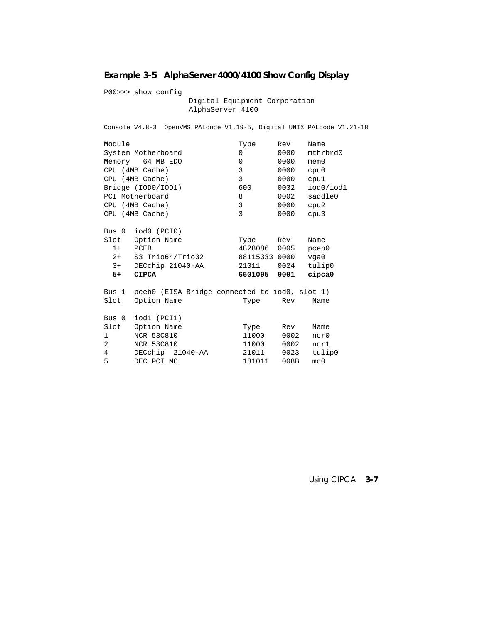# **Example 3-5 AlphaServer 4000/4100 Show Config Display**

P00>>> show config Digital Equipment Corporation AlphaServer 4100 Console V4.8-3 OpenVMS PALcode V1.19-5, Digital UNIX PALcode V1.21-18 Module Type Rev Name<br>System Motherboard 10 0000 mthrbrd0 System Motherboard and 0 0000 mthrhodor 0 0000 memory 64 MB EDO 0 000 memory Memory 64 MB EDO 0 0000<br>
CPU (4MB Cache) 3 0000<br>
CPU (4MB Cache) 3 0000 CPU (4MB Cache) 3 0000 cpu0 CPU (4MB Cache) 3 0000 cpu1 Bridge (IOD0/IOD1) 600 0032 iod0/iod1 PCI Motherboard and the state of the Motherboard and the Second State of the Second State of the Second State O CPU (4MB Cache) 3 0000 cpu2 CPU (4MB Cache) 3 0000 cpu3 Bus 0 iod0 (PCI0) Slot Option Name Type Rev Name<br>1+ PCEB 4828086 0005 pceb 1+ PCEB 4828086 0005 pceb0 2+ S3 Trio64/Trio32 88115333 0000 vga0 3+ DECchip 21040-AA 21011 0024 tulip0  **5+ CIPCA 6601095 0001 cipca0** Bus 1 pceb0 (EISA Bridge connected to iod0, slot 1) Slot Option Name Type Rev Name Bus 0 iod1 (PCI1) Slot Option Name Type Rev Name<br>1 NCR 53C810 11000 0002 ncr0 1 NCR 53C810 11000 0002 ncr0 2 NCR 53C810 11000 0002 ncr1 4 DECchip 21040-AA 21011 0023 tulip0 5 DEC PCI MC 181011 008B mc0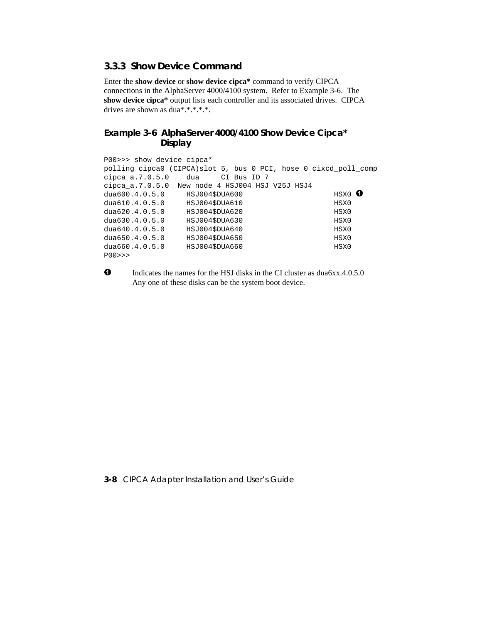# **3.3.3 Show Device Command**

Enter the **show device** or **show device cipca\*** command to verify CIPCA connections in the AlphaServer 4000/4100 system. Refer to Example 3-6. The **show device cipca\*** output lists each controller and its associated drives. CIPCA drives are shown as dua\*.\*.\*.\*.\*.

# **Example 3-6 AlphaServer 4000/4100 Show Device Cipca\* Display**

```
P00>>> show device cipca*
polling cipca0 (CIPCA)slot 5, bus 0 PCI, hose 0 cixcd_poll_comp
cipca_a.7.0.5.0 dua CI Bus ID 7
cipca_a.7.0.5.0 New node 4 HSJ004 HSJ V25J HSJ4
dua600.4.0.5.0 HSJ004$DUA600 HSX0 
dua610.4.0.5.0 HSJ004$DUA610 HSX0
dua620.4.0.5.0 HSJ004$DUA620 HSX0
dua630.4.0.5.0 HSJ004$DUA630 HSX0
dua640.4.0.5.0 HSJ004$DUA640 HSX0
dua650.4.0.5.0 HSJ004$DUA650 HSX0
dua660.4.0.5.0 HSJ004$DUA660 HSX0
P00>>>
```
**O** Indicates the names for the HSJ disks in the CI cluster as dua6xx.4.0.5.0 Any one of these disks can be the system boot device.

#### **3-8** CIPCA Adapter Installation and User's Guide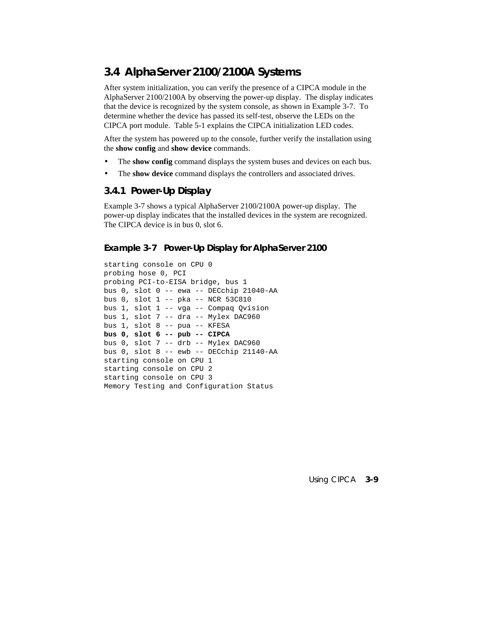# **3.4 AlphaServer 2100/2100A Systems**

After system initialization, you can verify the presence of a CIPCA module in the AlphaServer 2100/2100A by observing the power-up display. The display indicates that the device is recognized by the system console, as shown in Example 3-7. To determine whether the device has passed its self-test, observe the LEDs on the CIPCA port module. Table 5-1 explains the CIPCA initialization LED codes.

After the system has powered up to the console, further verify the installation using the **show config** and **show device** commands.

- The **show config** command displays the system buses and devices on each bus.
- The **show device** command displays the controllers and associated drives.

# **3.4.1 Power-Up Display**

Example 3-7 shows a typical AlphaServer 2100/2100A power-up display. The power-up display indicates that the installed devices in the system are recognized. The CIPCA device is in bus 0, slot 6.

#### **Example 3-7 Power-Up Display for AlphaServer 2100**

starting console on CPU 0 probing hose 0, PCI probing PCI-to-EISA bridge, bus 1 bus 0, slot 0 -- ewa -- DECchip 21040-AA bus 0, slot 1 -- pka -- NCR 53C810 bus 1, slot 1 -- vga -- Compaq Qvision bus 1, slot 7 -- dra -- Mylex DAC960 bus 1, slot 8 -- pua -- KFESA **bus 0, slot 6 -- pub -- CIPCA** bus 0, slot 7 -- drb -- Mylex DAC960 bus 0, slot 8 -- ewb -- DECchip 21140-AA starting console on CPU 1 starting console on CPU 2 starting console on CPU 3 Memory Testing and Configuration Status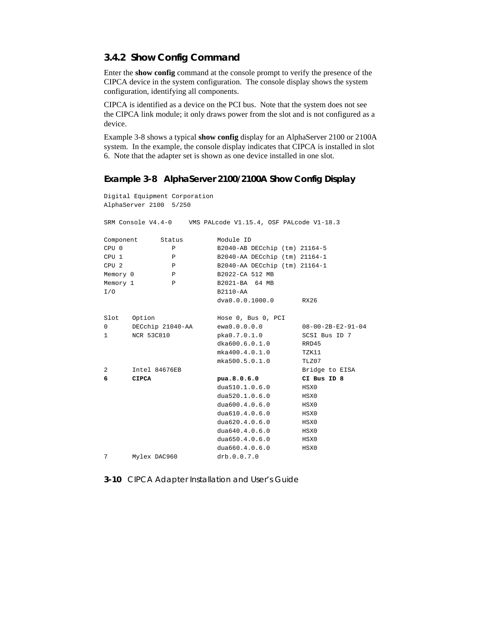# **3.4.2 Show Config Command**

Enter the **show config** command at the console prompt to verify the presence of the CIPCA device in the system configuration. The console display shows the system configuration, identifying all components.

CIPCA is identified as a device on the PCI bus. Note that the system does not see the CIPCA link module; it only draws power from the slot and is not configured as a device.

Example 3-8 shows a typical **show config** display for an AlphaServer 2100 or 2100A system. In the example, the console display indicates that CIPCA is installed in slot 6. Note that the adapter set is shown as one device installed in one slot.

#### **Example 3-8 AlphaServer 2100/2100A Show Config Display**

```
Digital Equipment Corporation
AlphaServer 2100 5/250
SRM Console V4.4-0 VMS PALcode V1.15.4, OSF PALcode V1-18.3
Component Status Module ID<br>CPU 0 P B2040-AB I
CPU 0 P B2040-AB DECchip (tm) 21164-5
CPU 1 P B2040-AA DECchip (tm) 21164-1
CPU 2 P B2040-AA DECchip (tm) 21164-1
Memory 0 P B2022-CA 512 MB
Memory 1 P B2021-BA 64 MB
I/O B2110-AA
                     dva0.0.0.1000.0 RX26
Slot Option Mose 0, Bus 0, PCI
0 DECchip 21040-AA ewa0.0.0.0.0 08-00-2B-E2-91-04
1 NCR 53C810 pka0.7.0.1.0 SCSI Bus ID 7
                      dka600.6.0.1.0 RRD45<br>mka400.4.0.1.0 TZK11
                      mka400.4.0.1.0mka500.5.0.1.0 TLZ07
2 Intel 84676EB<br>
6 CIPCA Bua.8.0.6.0 CI Bus ID 8
6 CIPCA pua.8.0.6.0
                      dua510.1.0.6.0 HSX0
                      dua520.1.0.6.0 HSX0
                      dua600.4.0.6.0 HSX0
                      dua610.4.0.6.0 HSX0
                      dua620.4.0.6.0 HSX0
                      dua640.4.0.6.0 HSX0<br>dua650.4.0.6.0 HSX0
                      dua650.4.0.6.0dua660.4.0.6.0 HSX0
7 Mylex DAC960 drb.0.0.7.0
```
**3-10** CIPCA Adapter Installation and User's Guide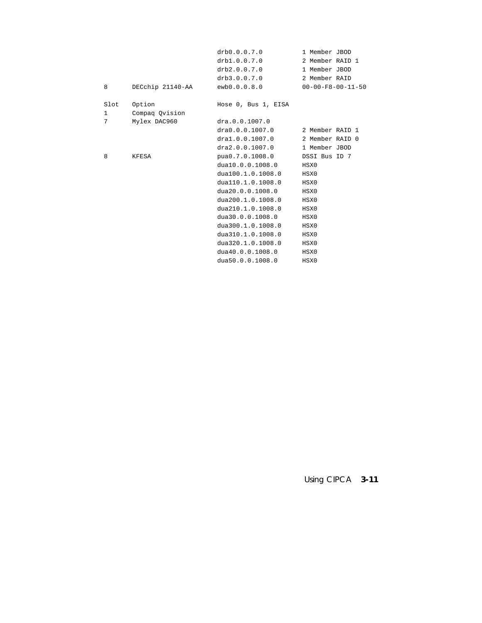|              |                  | drb0.0.0.7.0        | 1 Member JBOD                 |
|--------------|------------------|---------------------|-------------------------------|
|              |                  | drb1.0.0.7.0        | 2 Member RAID 1               |
|              |                  | drb2.0.0.7.0        | 1 Member JBOD                 |
|              |                  | drb3.0.0.7.0        | 2 Member RAID                 |
| 8            | DECchip 21140-AA | ewb0.0.0.8.0        | $00 - 00 - F8 - 00 - 11 - 50$ |
| Slot         | Option           | Hose 0, Bus 1, EISA |                               |
| $\mathbf{1}$ | Compag Ovision   |                     |                               |
| 7            | Mylex DAC960     | dra.0.0.1007.0      |                               |
|              |                  | dra0.0.0.1007.0     | 2 Member RAID 1               |
|              |                  | dra1.0.0.1007.0     | 2 Member RAID 0               |
|              |                  | dra2.0.0.1007.0     | 1 Member JBOD                 |
| 8            | KFESA            | pua0.7.0.1008.0     | DSSI Bus ID 7                 |
|              |                  | dua10.0.0.1008.0    | HSX0                          |
|              |                  | dua100.1.0.1008.0   | HSX0                          |
|              |                  | dual10.1.0.1008.0   | HSX0                          |
|              |                  | dua20.0.0.1008.0    | HSX0                          |
|              |                  | dua200.1.0.1008.0   | HSX0                          |
|              |                  | dua210.1.0.1008.0   | HSX0                          |
|              |                  | dua30.0.0.1008.0    | HSX0                          |
|              |                  | dua300.1.0.1008.0   | HSX0                          |
|              |                  | dua310.1.0.1008.0   | HSX0                          |
|              |                  | dua320.1.0.1008.0   | HSX0                          |
|              |                  | dua40.0.0.1008.0    | HSX0                          |
|              |                  | dua50.0.0.1008.0    | HSX0                          |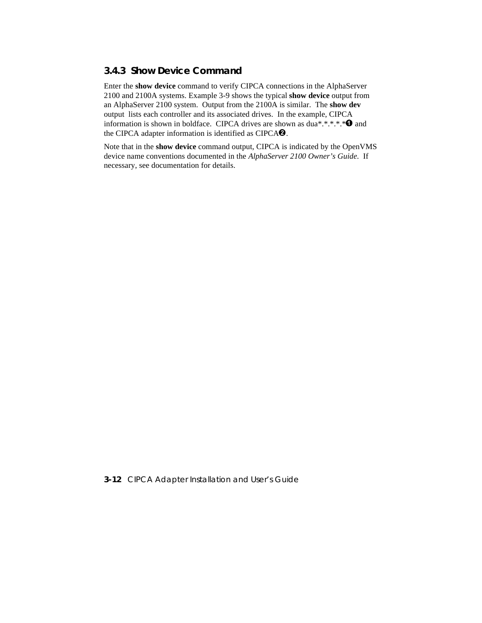# **3.4.3 Show Device Command**

Enter the **show device** command to verify CIPCA connections in the AlphaServer 2100 and 2100A systems. Example 3-9 shows the typical **show device** output from an AlphaServer 2100 system. Output from the 2100A is similar. The **show dev** output lists each controller and its associated drives. In the example, CIPCA information is shown in boldface. CIPCA drives are shown as dua\*.\*.\*.\*.\*  $\bullet$  and the CIPCA adapter information is identified as CIPCA $\Theta$ .

Note that in the **show device** command output, CIPCA is indicated by the OpenVMS device name conventions documented in the *AlphaServer 2100 Owner's Guide*. If necessary, see documentation for details.

**3-12** CIPCA Adapter Installation and User's Guide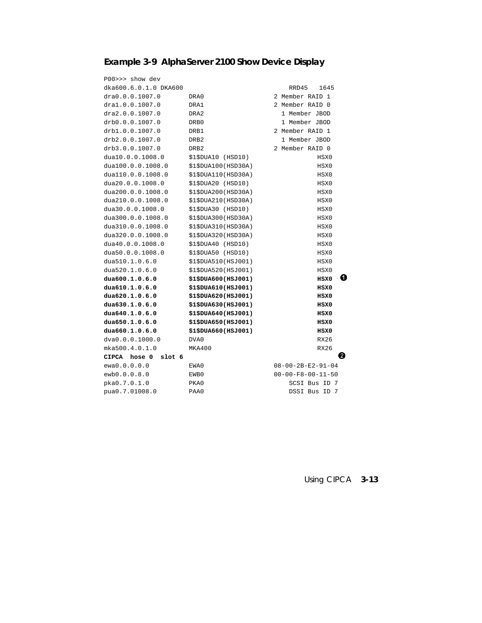# **Example 3-9 AlphaServer 2100 Show Device Display**

| P00>>> show dev        |                       |                               |
|------------------------|-----------------------|-------------------------------|
| dka600.6.0.1.0 DKA600  |                       | 1645<br>RRD45                 |
| dra0.0.0.1007.0        | DRA0                  | 2 Member RAID 1               |
| dra1.0.0.1007.0        | DRA1                  | 2 Member RAID 0               |
| dra2.0.0.1007.0        | DRA <sub>2</sub>      | 1 Member JBOD                 |
| drb0.0.0.1007.0        | DRB0                  | 1 Member JBOD                 |
| drb1.0.0.1007.0        | DRB1                  | 2 Member RAID 1               |
| drb2.0.0.1007.0        | DRB <sub>2</sub>      | 1 Member JBOD                 |
| drb3.0.0.1007.0        | DRB <sub>2</sub>      | 2 Member RAID 0               |
| dua10.0.0.1008.0       | \$1\$DUA10 (HSD10)    | HSX0                          |
| dua100.0.0.1008.0      | \$1\$DUA100(HSD30A)   | HSX0                          |
| dual10.0.0.1008.0      | \$1\$DUA110(HSD30A)   | HSX0                          |
| dua20.0.0.1008.0       | \$1\$DUA20 (HSD10)    | HSX0                          |
| dua200.0.0.1008.0      | \$1\$DUA200(HSD30A)   | HSX0                          |
| dua210.0.0.1008.0      | \$1\$DUA210(HSD30A)   | HSX0                          |
| dua30.0.0.1008.0       | $$1$DUA30$ (HSD $10)$ | HSX0                          |
| dua300.0.0.1008.0      | \$1\$DUA300(HSD30A)   | HSX0                          |
| dua310.0.0.1008.0      | \$1\$DUA310(HSD30A)   | HSX0                          |
| dua320.0.0.1008.0      | \$1\$DUA320(HSD30A)   | HSX0                          |
| dua40.0.0.1008.0       | \$1\$DUA40 (HSD10)    | HSX0                          |
| dua50.0.0.1008.0       | \$1\$DUA50 (HSD10)    | HSX0                          |
| dua510.1.0.6.0         | \$1\$DUA510(HSJ001)   | HSX0                          |
| dua520.1.0.6.0         | \$1\$DUA520(HSJ001)   | HSX0                          |
| dua600.1.0.6.0         | \$1\$DUA600(HSJ001)   | 1.<br>HSX0                    |
| dua610.1.0.6.0         | \$1\$DUA610(HSJ001)   | HSX0                          |
| dua620.1.0.6.0         | \$1\$DUA620(HSJ001)   | HSX0                          |
| dua630.1.0.6.0         | \$1\$DUA630(HSJ001)   | HSX0                          |
| dua640.1.0.6.0         | \$1\$DUA640(HSJ001)   | HSX0                          |
| dua650.1.0.6.0         | \$1\$DUA650(HSJ001)   | HSX0                          |
| dua660.1.0.6.0         | \$1\$DUA660(HSJ001)   | HSX0                          |
| dva0.0.0.1000.0        | DVA0                  | <b>RX26</b>                   |
| mka500.4.0.1.0         | MKA400                | <b>RX26</b>                   |
| slot 6<br>CIPCA hose 0 |                       | 2                             |
| ewa0.0.0.0.0           | EWA0                  | $08 - 00 - 2B - E2 - 91 - 04$ |
| ewb0.0.0.8.0           | EWB0                  | $00 - 00 - F8 - 00 - 11 - 50$ |
| pka0.7.0.1.0           | PKA0                  | SCSI Bus ID 7                 |
| pua0.7.01008.0         | PAA0                  | DSSI Bus ID<br>- 7            |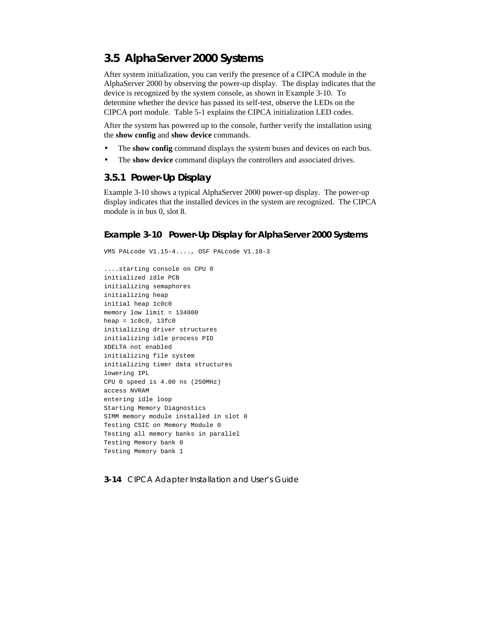# **3.5 AlphaServer 2000 Systems**

After system initialization, you can verify the presence of a CIPCA module in the AlphaServer 2000 by observing the power-up display. The display indicates that the device is recognized by the system console, as shown in Example 3-10. To determine whether the device has passed its self-test, observe the LEDs on the CIPCA port module. Table 5-1 explains the CIPCA initialization LED codes.

After the system has powered up to the console, further verify the installation using the **show config** and **show device** commands.

- The **show config** command displays the system buses and devices on each bus.
- The **show device** command displays the controllers and associated drives.

# **3.5.1 Power-Up Display**

Example 3-10 shows a typical AlphaServer 2000 power-up display. The power-up display indicates that the installed devices in the system are recognized. The CIPCA module is in bus 0, slot 8.

#### **Example 3-10 Power-Up Display for AlphaServer 2000 Systems**

```
VMS PALcode V1.15-4...., OSF PALcode V1.18-3
....starting console on CPU 0
initialized idle PCB
initializing semaphores
initializing heap
initial heap 1c0c0
memory low limit = 134000
heap = 1c0c0, 13fc0initializing driver structures
initializing idle process PID
XDELTA not enabled
initializing file system
initializing timer data structures
lowering IPL
CPU 0 speed is 4.00 ns (250MHz)
access NVRAM
entering idle loop
Starting Memory Diagnostics
SIMM memory module installed in slot 0
Testing CSIC on Memory Module 0
Testing all memory banks in parallel
Testing Memory bank 0
Testing Memory bank 1
```
**3-14** CIPCA Adapter Installation and User's Guide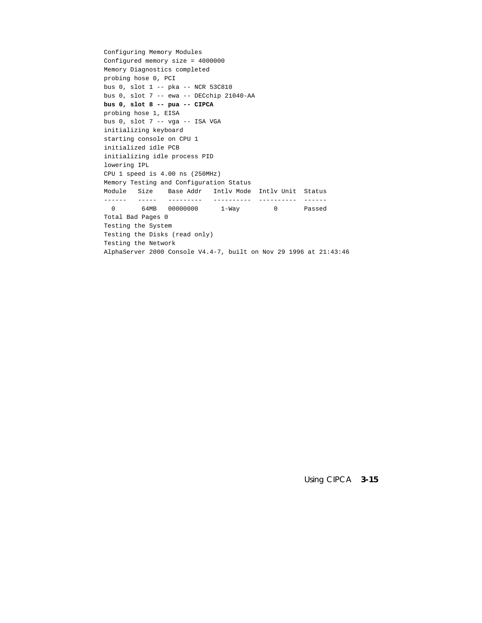```
Configuring Memory Modules
Configured memory size = 4000000
Memory Diagnostics completed
probing hose 0, PCI
bus 0, slot 1 -- pka -- NCR 53C810
bus 0, slot 7 -- ewa -- DECchip 21040-AA
bus 0, slot 8 -- pua -- CIPCA
probing hose 1, EISA
bus 0, slot 7 -- vga -- ISA VGA
initializing keyboard
starting console on CPU 1
initialized idle PCB
initializing idle process PID
lowering IPL
CPU 1 speed is 4.00 ns (250MHz)
Memory Testing and Configuration Status
Module Size Base Addr Intlv Mode Intlv Unit Status
------ ----- --------- ---------- ---------- ------
  0 64MB 00000000 1-Way 0 Passed
Total Bad Pages 0
Testing the System
Testing the Disks (read only)
Testing the Network
AlphaServer 2000 Console V4.4-7, built on Nov 29 1996 at 21:43:46
```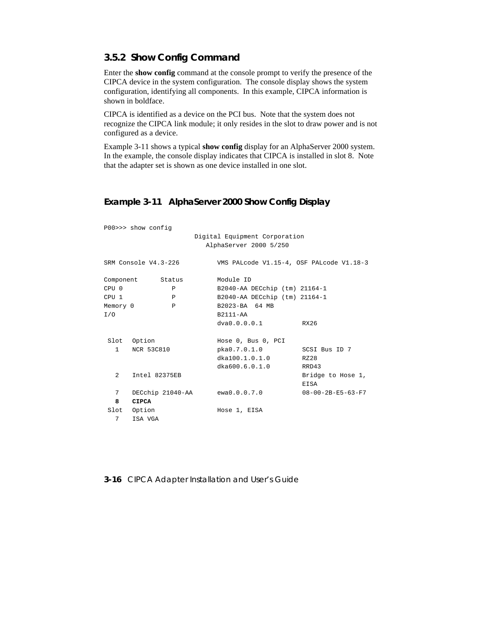# **3.5.2 Show Config Command**

Enter the **show config** command at the console prompt to verify the presence of the CIPCA device in the system configuration. The console display shows the system configuration, identifying all components. In this example, CIPCA information is shown in boldface.

CIPCA is identified as a device on the PCI bus. Note that the system does not recognize the CIPCA link module; it only resides in the slot to draw power and is not configured as a device.

Example 3-11 shows a typical **show config** display for an AlphaServer 2000 system. In the example, the console display indicates that CIPCA is installed in slot 8. Note that the adapter set is shown as one device installed in one slot.

# **Example 3-11 AlphaServer 2000 Show Config Display**

|                        | P00>>> show config   |                                          |                               |
|------------------------|----------------------|------------------------------------------|-------------------------------|
|                        |                      | Digital Equipment Corporation            |                               |
|                        |                      | AlphaServer 2000 5/250                   |                               |
|                        | SRM Console V4.3-226 | VMS PALcode V1.15-4, OSF PALcode V1.18-3 |                               |
|                        | Component Status     | Module ID                                |                               |
| CPU 0                  | P                    | B2040-AA DECchip (tm) 21164-1            |                               |
| CPU 1                  | $\mathbf{P}$         | B2040-AA DECchip (tm) 21164-1            |                               |
| Memory 0               | $\mathbf{P}$         | B2023-BA 64 MB                           |                               |
| I/O                    |                      | B2111-AA                                 |                               |
|                        |                      | dva0.0.0.0.1                             | RX26                          |
|                        | Slot Option          | Hose 0, Bus 0, PCI                       |                               |
| $1 \quad \blacksquare$ | <b>NCR 53C810</b>    | pka0.7.0.1.0                             | SCSI Bus ID 7                 |
|                        |                      | dka100.1.0.1.0                           | RZ28                          |
|                        |                      | dka600.6.0.1.0                           | RRD43                         |
| 2                      | Intel 82375EB        |                                          | Bridge to Hose 1,             |
|                        |                      |                                          | EISA                          |
| 7                      |                      | DECchip 21040-AA ewa0.0.0.7.0            | $08 - 00 - 2B - E5 - 63 - F7$ |
| 8                      | <b>CIPCA</b>         |                                          |                               |
|                        | Slot Option          | Hose 1, EISA                             |                               |
| 7                      | ISA VGA              |                                          |                               |

**3-16** CIPCA Adapter Installation and User's Guide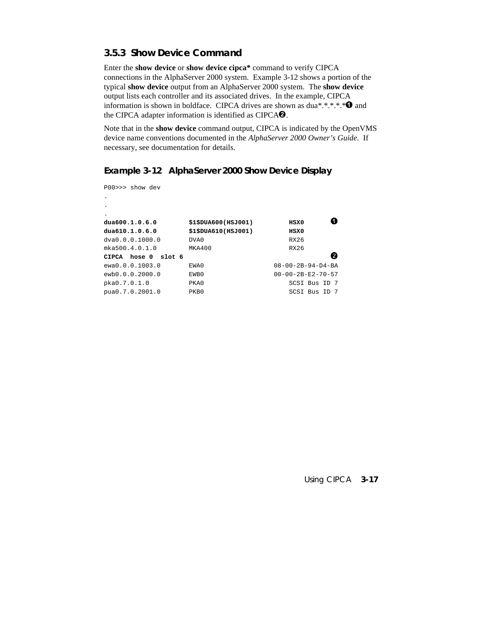# **3.5.3 Show Device Command**

Enter the **show device** or **show device cipca\*** command to verify CIPCA connections in the AlphaServer 2000 system. Example 3-12 shows a portion of the typical **show device** output from an AlphaServer 2000 system. The **show device** output lists each controller and its associated drives. In the example, CIPCA information is shown in boldface. CIPCA drives are shown as dua\*.\*.\*.\*.\*  $\bullet$  and the CIPCA adapter information is identified as CIPCA $\Theta$ .

Note that in the **show device** command output, CIPCA is indicated by the OpenVMS device name conventions documented in the *AlphaServer 2000 Owner's Guide*. If necessary, see documentation for details.

# **Example 3-12 AlphaServer 2000 Show Device Display**

P00>>> show dev

.

| dua600.1.0.6.0            | \$1\$DUA600(HSJ001) | HSX0                          |
|---------------------------|---------------------|-------------------------------|
| dua610.1.0.6.0            | \$1\$DUA610(HSJ001) | HSX0                          |
| dva0.0.0.1000.0           | DVA0                | RX26                          |
| mka500.4.0.1.0            | MKA400              | RX26                          |
| slot 6<br>hose 0<br>CIPCA |                     |                               |
| ewa0.0.0.1003.0           | EWA0                | $08 - 00 - 2B - 94 - D4 - BA$ |
| ewb0.0.0.2000.0           | EWB0                | $00 - 00 - 2B - E2 - 70 - 57$ |
| pka0.7.0.1.0              | PKA0                | SCSI Bus ID 7                 |
| pua0.7.0.2001.0           | PKB0                | SCSI Bus ID 7                 |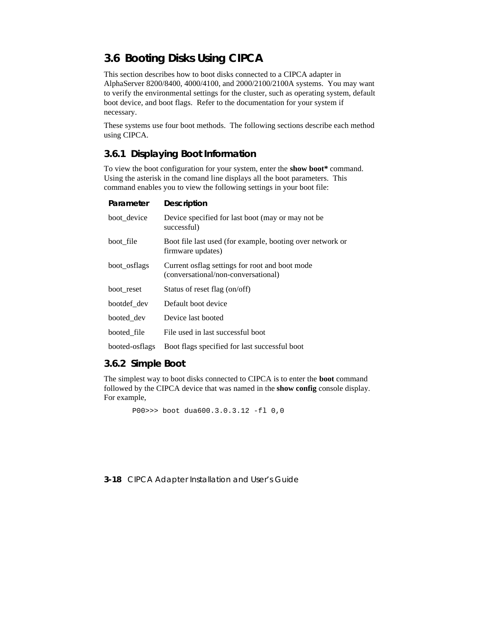# **3.6 Booting Disks Using CIPCA**

This section describes how to boot disks connected to a CIPCA adapter in AlphaServer 8200/8400, 4000/4100, and 2000/2100/2100A systems. You may want to verify the environmental settings for the cluster, such as operating system, default boot device, and boot flags. Refer to the documentation for your system if necessary.

These systems use four boot methods. The following sections describe each method using CIPCA.

# **3.6.1 Displaying Boot Information**

To view the boot configuration for your system, enter the **show boot\*** command. Using the asterisk in the comand line displays all the boot parameters. This command enables you to view the following settings in your boot file:

#### **Parameter Description**

| boot_device    | Device specified for last boot (may or may not be<br>successful)                      |
|----------------|---------------------------------------------------------------------------------------|
| boot file      | Boot file last used (for example, booting over network or<br>firmware updates)        |
| boot osflags   | Current osflag settings for root and boot mode<br>(conversational/non-conversational) |
| boot reset     | Status of reset flag (on/off)                                                         |
| bootdef dev    | Default boot device                                                                   |
| booted dev     | Device last booted                                                                    |
| booted file    | File used in last successful boot                                                     |
| booted-osflags | Boot flags specified for last successful boot                                         |

# **3.6.2 Simple Boot**

The simplest way to boot disks connected to CIPCA is to enter the **boot** command followed by the CIPCA device that was named in the **show config** console display. For example,

P00>>> boot dua600.3.0.3.12 -fl 0,0

#### **3-18** CIPCA Adapter Installation and User's Guide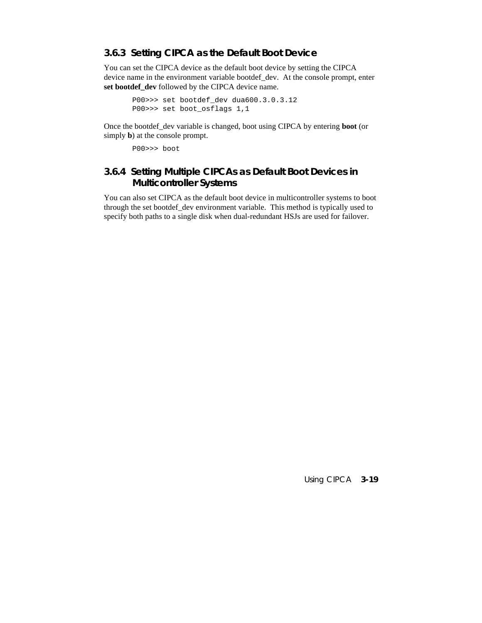#### **3.6.3 Setting CIPCA as the Default Boot Device**

You can set the CIPCA device as the default boot device by setting the CIPCA device name in the environment variable bootdef\_dev. At the console prompt, enter **set bootdef\_dev** followed by the CIPCA device name.

```
P00>>> set bootdef_dev dua600.3.0.3.12
P00>>> set boot_osflags 1,1
```
Once the bootdef\_dev variable is changed, boot using CIPCA by entering **boot** (or simply **b**) at the console prompt.

P00>>> boot

# **3.6.4 Setting Multiple CIPCAs as Default Boot Devices in Multicontroller Systems**

You can also set CIPCA as the default boot device in multicontroller systems to boot through the set bootdef\_dev environment variable. This method is typically used to specify both paths to a single disk when dual-redundant HSJs are used for failover.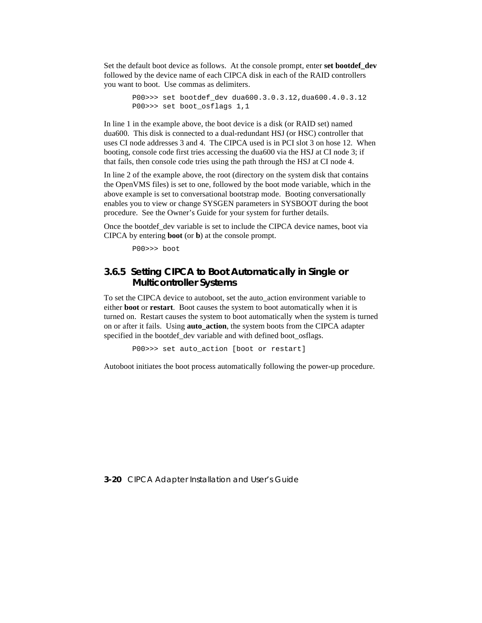Set the default boot device as follows. At the console prompt, enter **set bootdef\_dev** followed by the device name of each CIPCA disk in each of the RAID controllers you want to boot. Use commas as delimiters.

```
P00>>> set bootdef_dev dua600.3.0.3.12,dua600.4.0.3.12
P00>>> set boot_osflags 1,1
```
In line 1 in the example above, the boot device is a disk (or RAID set) named dua600. This disk is connected to a dual-redundant HSJ (or HSC) controller that uses CI node addresses 3 and 4. The CIPCA used is in PCI slot 3 on hose 12. When booting, console code first tries accessing the dua600 via the HSJ at CI node 3; if that fails, then console code tries using the path through the HSJ at CI node 4.

In line 2 of the example above, the root (directory on the system disk that contains the OpenVMS files) is set to one, followed by the boot mode variable, which in the above example is set to conversational bootstrap mode. Booting conversationally enables you to view or change SYSGEN parameters in SYSBOOT during the boot procedure. See the Owner's Guide for your system for further details.

Once the bootdef dev variable is set to include the CIPCA device names, boot via CIPCA by entering **boot** (or **b**) at the console prompt.

P00>>> boot

# **3.6.5 Setting CIPCA to Boot Automatically in Single or Multicontroller Systems**

To set the CIPCA device to autoboot, set the auto\_action environment variable to either **boot** or **restart**. Boot causes the system to boot automatically when it is turned on. Restart causes the system to boot automatically when the system is turned on or after it fails. Using **auto\_action**, the system boots from the CIPCA adapter specified in the bootdef\_dev variable and with defined boot\_osflags.

P00>>> set auto\_action [boot or restart]

Autoboot initiates the boot process automatically following the power-up procedure.

**3-20** CIPCA Adapter Installation and User's Guide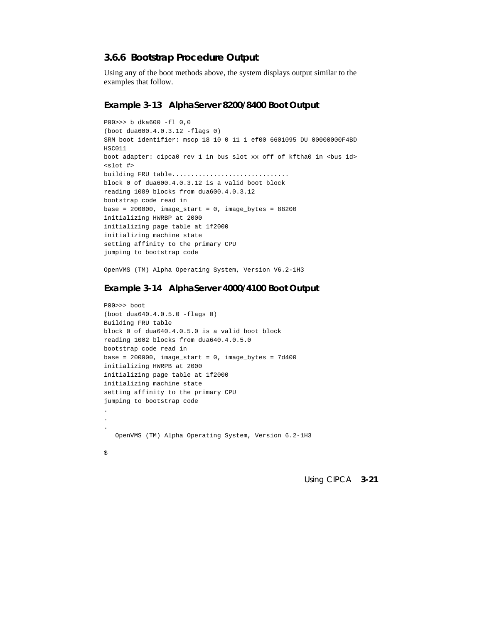# **3.6.6 Bootstrap Procedure Output**

Using any of the boot methods above, the system displays output similar to the examples that follow.

#### **Example 3-13 AlphaServer 8200/8400 Boot Output**

```
P00>>> b dka600 -fl 0,0
(boot dua600.4.0.3.12 -flags 0)
SRM boot identifier: mscp 18 10 0 11 1 ef00 6601095 DU 00000000F4BD
HSC011
boot adapter: cipca0 rev 1 in bus slot xx off of kftha0 in <br/>bus id>
<slot #>
building FRU table...............................
block 0 of dua600.4.0.3.12 is a valid boot block
reading 1089 blocks from dua600.4.0.3.12
bootstrap code read in
base = 200000, image\_start = 0, image\_bytes = 88200initializing HWRBP at 2000
initializing page table at 1f2000
initializing machine state
setting affinity to the primary CPU
jumping to bootstrap code
```
OpenVMS (TM) Alpha Operating System, Version V6.2-1H3

#### **Example 3-14 AlphaServer 4000/4100 Boot Output**

```
P00>>> boot
(boot dua640.4.0.5.0 -flags 0)
Building FRU table
block 0 of dua640.4.0.5.0 is a valid boot block
reading 1002 blocks from dua640.4.0.5.0
bootstrap code read in
base = 200000, image_start = 0, image_bytes = 7d400initializing HWRPB at 2000
initializing page table at 1f2000
initializing machine state
setting affinity to the primary CPU
jumping to bootstrap code
.
.
.
    OpenVMS (TM) Alpha Operating System, Version 6.2-1H3
```
 $\ddot{s}$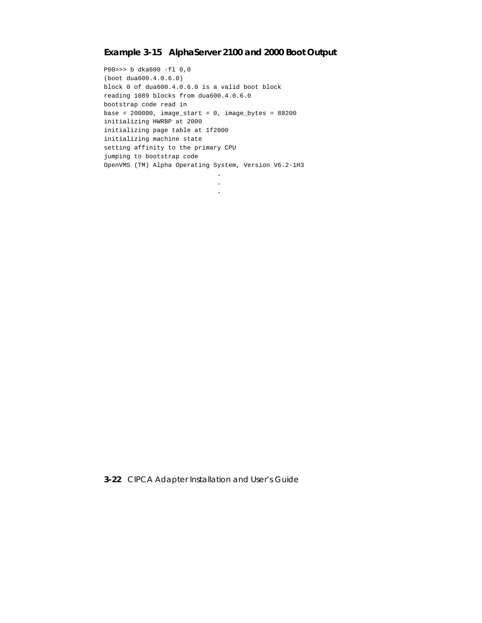# **Example 3-15 AlphaServer 2100 and 2000 Boot Output**

**. . .**

P00>>> b dka600 -fl 0,0 (boot dua600.4.0.6.0) block 0 of dua600.4.0.6.0 is a valid boot block reading 1089 blocks from dua600.4.0.6.0 bootstrap code read in base =  $200000$ , image\_start = 0, image\_bytes =  $88200$ initializing HWRBP at 2000 initializing page table at 1f2000 initializing machine state setting affinity to the primary CPU jumping to bootstrap code OpenVMS (TM) Alpha Operating System, Version V6.2-1H3

**3-22** CIPCA Adapter Installation and User's Guide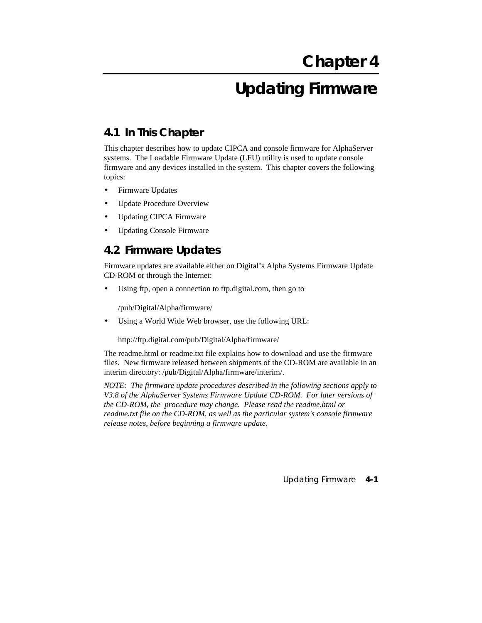# **Updating Firmware**

# **4.1 In This Chapter**

This chapter describes how to update CIPCA and console firmware for AlphaServer systems. The Loadable Firmware Update (LFU) utility is used to update console firmware and any devices installed in the system. This chapter covers the following topics:

- Firmware Updates
- Update Procedure Overview
- Updating CIPCA Firmware
- Updating Console Firmware

# **4.2 Firmware Updates**

Firmware updates are available either on Digital's Alpha Systems Firmware Update CD-ROM or through the Internet:

Using ftp, open a connection to ftp.digital.com, then go to

/pub/Digital/Alpha/firmware/

Using a World Wide Web browser, use the following URL:

http://ftp.digital.com/pub/Digital/Alpha/firmware/

The readme.html or readme.txt file explains how to download and use the firmware files. New firmware released between shipments of the CD-ROM are available in an interim directory: /pub/Digital/Alpha/firmware/interim/.

*NOTE: The firmware update procedures described in the following sections apply to V3.8 of the AlphaServer Systems Firmware Update CD-ROM. For later versions of the CD-ROM, the procedure may change. Please read the readme.html or readme.txt file on the CD-ROM, as well as the particular system's console firmware release notes, before beginning a firmware update.*

Updating Firmware **4-1**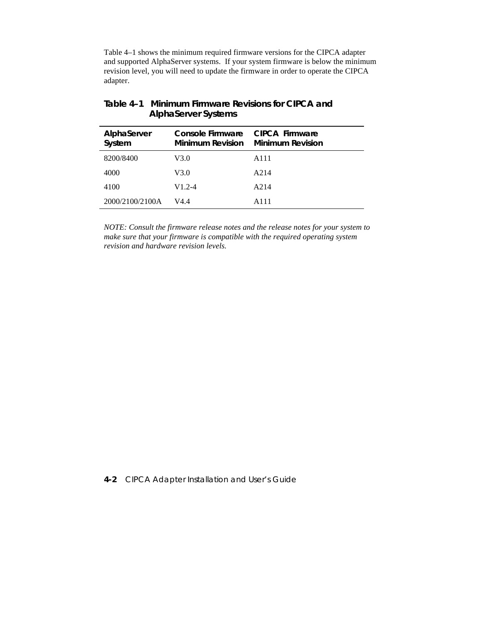Table 4–1 shows the minimum required firmware versions for the CIPCA adapter and supported AlphaServer systems. If your system firmware is below the minimum revision level, you will need to update the firmware in order to operate the CIPCA adapter.

| AlphaServer<br>System | Console Firmware<br>Minimum Revision | <b>CIPCA Firmware</b><br><b>Minimum Revision</b> |
|-----------------------|--------------------------------------|--------------------------------------------------|
| 8200/8400             | V3.0                                 | A111                                             |
| 4000                  | V3.0                                 | A214                                             |
| 4100                  | $V1.2 - 4$                           | A214                                             |
| 2000/2100/2100A       | V4.4                                 | A111                                             |

# **Table 4–1 Minimum Firmware Revisions for CIPCA and AlphaServer Systems**

*NOTE: Consult the firmware release notes and the release notes for your system to make sure that your firmware is compatible with the required operating system revision and hardware revision levels.*

### **4-2** CIPCA Adapter Installation and User's Guide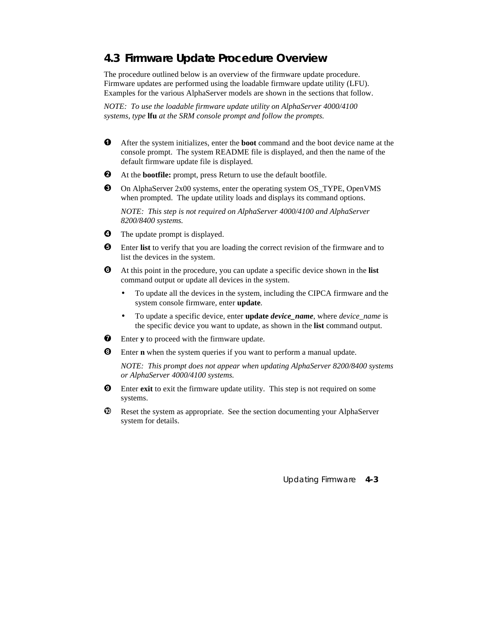# **4.3 Firmware Update Procedure Overview**

The procedure outlined below is an overview of the firmware update procedure. Firmware updates are performed using the loadable firmware update utility (LFU). Examples for the various AlphaServer models are shown in the sections that follow.

*NOTE: To use the loadable firmware update utility on AlphaServer 4000/4100 systems, type* **lfu** *at the SRM console prompt and follow the prompts.*

- After the system initializes, enter the **boot** command and the boot device name at the console prompt. The system README file is displayed, and then the name of the default firmware update file is displayed.
- At the **bootfile:** prompt, press Return to use the default bootfile.
- On AlphaServer 2x00 systems, enter the operating system OS\_TYPE, OpenVMS when prompted. The update utility loads and displays its command options.

*NOTE: This step is not required on AlphaServer 4000/4100 and AlphaServer 8200/8400 systems.*

- $\bullet$  The update prompt is displayed.
- Enter **list** to verify that you are loading the correct revision of the firmware and to list the devices in the system.
- At this point in the procedure, you can update a specific device shown in the **list** command output or update all devices in the system.
	- To update all the devices in the system, including the CIPCA firmware and the system console firmware, enter **update**.
	- To update a specific device, enter **update** *device\_name*, where *device\_name* is the specific device you want to update, as shown in the **list** command output.
- $\bullet$  Enter **y** to proceed with the firmware update.
- Enter **n** when the system queries if you want to perform a manual update.

*NOTE: This prompt does not appear when updating AlphaServer 8200/8400 systems or AlphaServer 4000/4100 systems.*

- $\Theta$  Enter **exit** to exit the firmware update utility. This step is not required on some systems.
- $\Phi$  Reset the system as appropriate. See the section documenting your AlphaServer system for details.

Updating Firmware **4-3**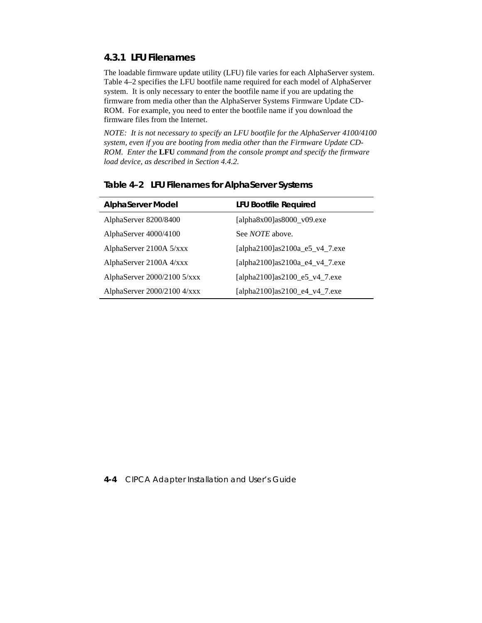# **4.3.1 LFU Filenames**

The loadable firmware update utility (LFU) file varies for each AlphaServer system. Table 4–2 specifies the LFU bootfile name required for each model of AlphaServer system. It is only necessary to enter the bootfile name if you are updating the firmware from media other than the AlphaServer Systems Firmware Update CD-ROM. For example, you need to enter the bootfile name if you download the firmware files from the Internet.

*NOTE: It is not necessary to specify an LFU bootfile for the AlphaServer 4100/4100 system, even if you are booting from media other than the Firmware Update CD-ROM. Enter the* **LFU** *command from the console prompt and specify the firmware load device, as described in Section 4.4.2.*

| <b>AlphaServer Model</b>      | <b>LFU Bootfile Required</b>      |
|-------------------------------|-----------------------------------|
| AlphaServer 8200/8400         | [alpha $8x00$ ]as $8000$ _v09.exe |
| AlphaServer 4000/4100         | See <i>NOTE</i> above.            |
| AlphaServer 2100A 5/xxx       | [alpha2100] as2100a_e5_v4_7.exe   |
| AlphaServer 2100A 4/xxx       | [alpha2100] as2100a_e4_v4_7.exe   |
| AlphaServer $2000/2100$ 5/xxx | [alpha2100]as2100_e5_v4_7.exe     |
| AlphaServer $2000/2100$ 4/xxx | [alpha2100]as2100_e4_v4_7.exe     |

#### **Table 4–2 LFU Filenames for AlphaServer Systems**

#### **4-4** CIPCA Adapter Installation and User's Guide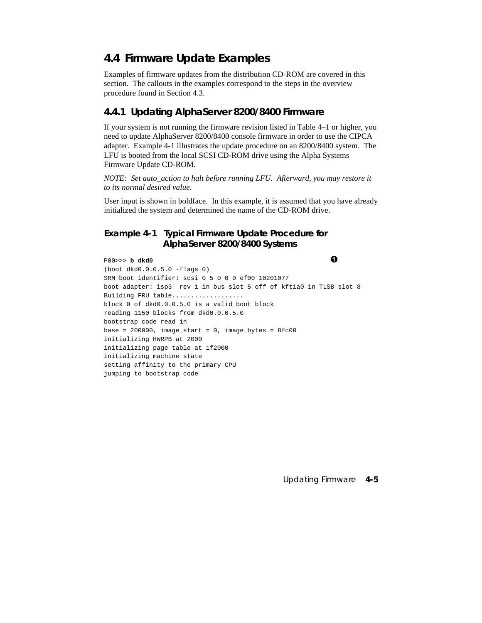# **4.4 Firmware Update Examples**

Examples of firmware updates from the distribution CD-ROM are covered in this section. The callouts in the examples correspond to the steps in the overview procedure found in Section 4.3.

# **4.4.1 Updating AlphaServer 8200/8400 Firmware**

If your system is not running the firmware revision listed in Table 4–1 or higher, you need to update AlphaServer 8200/8400 console firmware in order to use the CIPCA adapter. Example 4-1 illustrates the update procedure on an 8200/8400 system. The LFU is booted from the local SCSI CD-ROM drive using the Alpha Systems Firmware Update CD-ROM.

*NOTE: Set auto\_action to halt before running LFU. Afterward, you may restore it to its normal desired value.*

User input is shown in boldface. In this example, it is assumed that you have already initialized the system and determined the name of the CD-ROM drive.

# **Example 4-1 Typical Firmware Update Procedure for AlphaServer 8200/8400 Systems**

P00>>> **b dkd0** (boot dkd0.0.0.5.0 -flags 0) SRM boot identifier: scsi 0 5 0 0 0 ef00 10201077 boot adapter: isp3 rev 1 in bus slot 5 off of kftia0 in TLSB slot 8 Building FRU table................... block 0 of dkd0.0.0.5.0 is a valid boot block reading 1150 blocks from dkd0.0.0.5.0 bootstrap code read in base = 200000, image start = 0, image bytes =  $8fc00$ initializing HWRPB at 2000 initializing page table at 1f2000 initializing machine state setting affinity to the primary CPU jumping to bootstrap code

Updating Firmware **4-5**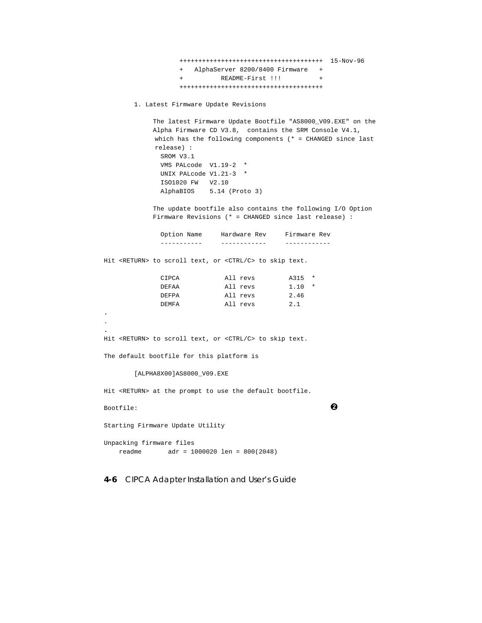++++++++++++++++++++++++++++++++++++++ 15-Nov-96 + AlphaServer 8200/8400 Firmware + + README-First !!! + ++++++++++++++++++++++++++++++++++++++

```
 1. Latest Firmware Update Revisions
```
 The latest Firmware Update Bootfile "AS8000\_V09.EXE" on the Alpha Firmware CD V3.8, contains the SRM Console V4.1, which has the following components (\* = CHANGED since last release) : SROM V3.1 VMS PALcode V1.19-2 \* UNIX PALcode V1.21-3 \* ISO1020 FW V2.10 AlphaBIOS 5.14 (Proto 3)

 The update bootfile also contains the following I/O Option Firmware Revisions (\* = CHANGED since last release) :

 Option Name Hardware Rev Firmware Rev ----------- ------------ ------------ Hit <RETURN> to scroll text, or <CTRL/C> to skip text. CIPCA All revs A315 \* DEFAA All revs 1.10 \* DEFPA All revs 2.46 DEMFA All revs 2.1 Hit <RETURN> to scroll text, or <CTRL/C> to skip text. The default bootfile for this platform is [ALPHA8X00]AS8000\_V09.EXE Hit <RETURN> at the prompt to use the default bootfile. Bootfile:  $\bullet$ Starting Firmware Update Utility

Unpacking firmware files readme adr = 1000020 len = 800(2048)

**.** . **.**

**4-6** CIPCA Adapter Installation and User's Guide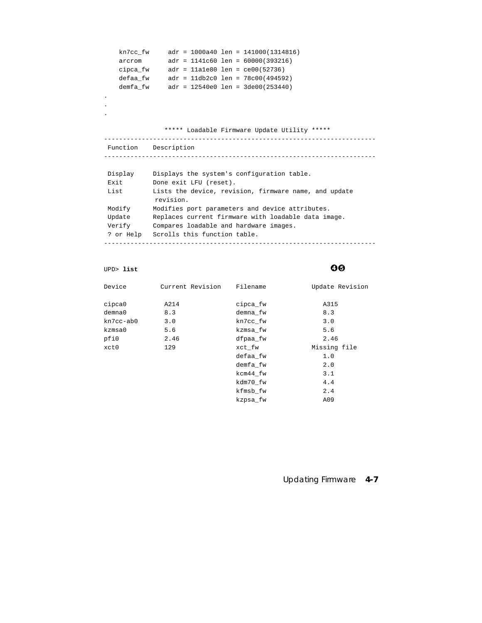```
 kn7cc_fw adr = 1000a40 len = 141000(1314816)
 arcrom adr = 1141c60 len = 60000(393216)
 cipca_fw adr = 11a1e80 len = ce00(52736)
 defaa_fw adr = 11db2c0 len = 78c00(494592)
 demfa_fw adr = 12540e0 len = 3de00(253440)
.
.
.
               ***** Loadable Firmware Update Utility *****
------------------------------------------------------------------------
 Function Description
------------------------------------------------------------------------
 Display Displays the system's configuration table.
 Exit Done exit LFU (reset).
 List Lists the device, revision, firmware name, and update
            revision.
 Modify Modifies port parameters and device attributes.
 Update Replaces current firmware with loadable data image.
 Verify Compares loadable and hardware images.
 ? or Help Scrolls this function table.
------------------------------------------------------------------------
```
UPD> list **OO** 

| Device       | Current Revision | Filename | Update Revision |
|--------------|------------------|----------|-----------------|
| cipca0       | A214             | cipca_fw | A315            |
| $d$ emna $0$ | 8.3              | demna_fw | 8.3             |
| kn7cc-ab0    | 3.0              | kn7cc_fw | 3.0             |
| kzmsa0       | 5.6              | kzmsa fw | 5.6             |
| pfi0         | 2.46             | dfpaa fw | 2.46            |
| xct0         | 129              | xct_fw   | Missing file    |
|              |                  | defaa_fw | 1.0             |
|              |                  | demfa_fw | 2.0             |
|              |                  | kcm44 fw | 3.1             |
|              |                  | kdm70 fw | 4.4             |
|              |                  | kfmsb_fw | 2.4             |
|              |                  | kzpsa fw | A09             |

#### Updating Firmware **4-7**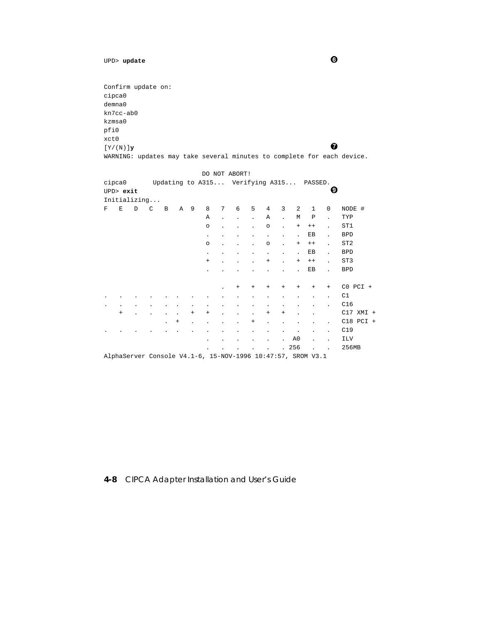```
UPD> update 0
```
Confirm update on: cipca0 demna0 kn7cc-ab0 kzmsa0 pfi0 xct0 [Y/(N)]**<sup>y</sup>** WARNING: updates may take several minutes to complete for each device.

|   |                     |              |   |                      |              |        |                                                             |   | DO NOT ABORT! |              |                                  |                                  |                      |              |                      |                 |
|---|---------------------|--------------|---|----------------------|--------------|--------|-------------------------------------------------------------|---|---------------|--------------|----------------------------------|----------------------------------|----------------------|--------------|----------------------|-----------------|
|   | cipca0<br>UPD> exit |              |   |                      |              |        | Updating to A315 Verifying A315 PASSED.                     |   |               |              |                                  |                                  |                      |              | Ø                    |                 |
|   |                     | Initializing |   |                      |              |        |                                                             |   |               |              |                                  |                                  |                      |              |                      |                 |
| F | Ε                   | D            | C | B                    | $\mathsf{A}$ | - 9    | 8                                                           | 7 | 6             | 5            | 4                                | 3                                | 2                    | $\mathbf{1}$ | $\mathbf 0$          | NODE #          |
|   |                     |              |   |                      |              |        | Α                                                           |   | $\bullet$     | $\mathbf{r}$ | Α                                | $\ddot{\phantom{a}}$             | М                    | $\mathbf P$  | $\ddot{\phantom{0}}$ | TYP             |
|   |                     |              |   |                      |              |        | $\circ$                                                     |   |               |              | $\circ$                          |                                  | $^{+}$               | $++$         |                      | ST1             |
|   |                     |              |   |                      |              |        | $\bullet$                                                   |   |               |              | $\bullet$                        |                                  | $\ddot{\phantom{a}}$ | ЕB           | $\ddot{\phantom{0}}$ | <b>BPD</b>      |
|   |                     |              |   |                      |              |        | $\circ$                                                     |   |               |              | $\circ$                          | $\ddot{\phantom{a}}$             | $\ddot{}$            | $++$         | ÷.                   | ST <sub>2</sub> |
|   |                     |              |   |                      |              |        | $\bullet$                                                   |   |               |              |                                  |                                  | $\cdot$              | ЕB           | ÷.                   | <b>BPD</b>      |
|   |                     |              |   |                      |              |        | $\ddot{}$                                                   |   |               |              | $\! + \!\!\!\!$                  | $\cdot$                          | $\ddot{}$            | $++$         | $\ddot{\phantom{a}}$ | ST3             |
|   |                     |              |   |                      |              |        |                                                             |   |               |              |                                  |                                  |                      | EB           |                      | <b>BPD</b>      |
|   |                     |              |   |                      |              |        |                                                             |   | $\ddot{}$     | $^{+}$       | $\begin{array}{c} + \end{array}$ | $\begin{array}{c} + \end{array}$ | $\ddot{}$            | $+$          | $+$                  | $CO$ $PCI$ +    |
|   |                     |              |   |                      |              |        |                                                             |   |               |              |                                  |                                  |                      |              |                      | C1              |
|   |                     |              |   |                      |              |        |                                                             |   |               |              |                                  |                                  |                      |              |                      | C16             |
|   | $\ddot{}$           |              |   |                      |              | $^{+}$ | $^{+}$                                                      |   |               | $\bullet$    | $\begin{array}{c} + \end{array}$ | $\! + \!\!\!\!$                  |                      |              |                      | $C17$ XMI +     |
|   |                     |              |   | $\ddot{\phantom{0}}$ | $^{+}$       |        |                                                             |   |               | $^{+}$       | $\ddot{\phantom{0}}$             |                                  |                      |              | $\ddot{\phantom{0}}$ | $C18$ PCI +     |
|   |                     |              |   |                      |              |        |                                                             |   |               |              |                                  |                                  | $\ddot{\phantom{0}}$ |              | $\bullet$            | C19             |
|   |                     |              |   |                      |              |        |                                                             |   |               |              |                                  |                                  | A0                   |              | $\ddot{\phantom{a}}$ | <b>ILV</b>      |
|   |                     |              |   |                      |              |        |                                                             |   |               |              |                                  | $\mathbf{r}$                     | 256                  |              | $\ddot{\phantom{a}}$ | 256MB           |
|   |                     |              |   |                      |              |        | AlphaServer Console V4.1-6, 15-NOV-1996 10:47:57, SROM V3.1 |   |               |              |                                  |                                  |                      |              |                      |                 |

# **4-8** CIPCA Adapter Installation and User's Guide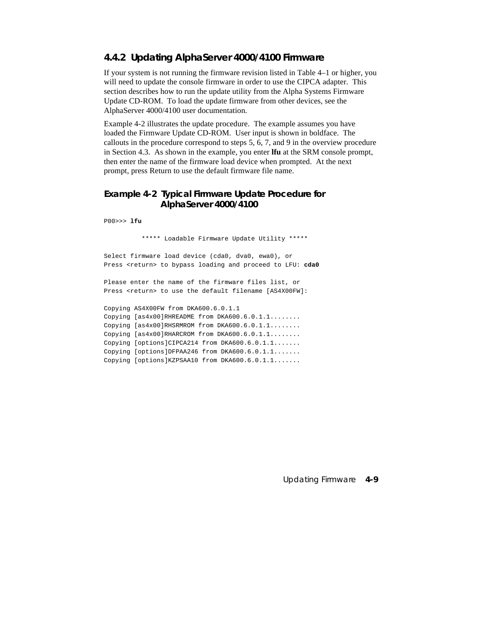# **4.4.2 Updating AlphaServer 4000/4100 Firmware**

If your system is not running the firmware revision listed in Table 4–1 or higher, you will need to update the console firmware in order to use the CIPCA adapter. This section describes how to run the update utility from the Alpha Systems Firmware Update CD-ROM. To load the update firmware from other devices, see the AlphaServer 4000/4100 user documentation.

Example 4-2 illustrates the update procedure. The example assumes you have loaded the Firmware Update CD-ROM. User input is shown in boldface. The callouts in the procedure correspond to steps 5, 6, 7, and 9 in the overview procedure in Section 4.3. As shown in the example, you enter **lfu** at the SRM console prompt, then enter the name of the firmware load device when prompted. At the next prompt, press Return to use the default firmware file name.

# **Example 4-2 Typical Firmware Update Procedure for AlphaServer 4000/4100**

P00>>> **lfu**

\*\*\*\*\* Loadable Firmware Update Utility \*\*\*\*\*

Select firmware load device (cda0, dva0, ewa0), or Press <return> to bypass loading and proceed to LFU: cda0

Please enter the name of the firmware files list, or Press <return> to use the default filename [AS4X00FW]:

Copying AS4X00FW from DKA600.6.0.1.1 Copying [as4x00]RHREADME from DKA600.6.0.1.1........ Copying [as4x00]RHSRMROM from DKA600.6.0.1.1........ Copying [as4x00]RHARCROM from DKA600.6.0.1.1........ Copying [options]CIPCA214 from DKA600.6.0.1.1....... Copying [options]DFPAA246 from DKA600.6.0.1.1....... Copying [options]KZPSAA10 from DKA600.6.0.1.1.......

Updating Firmware **4-9**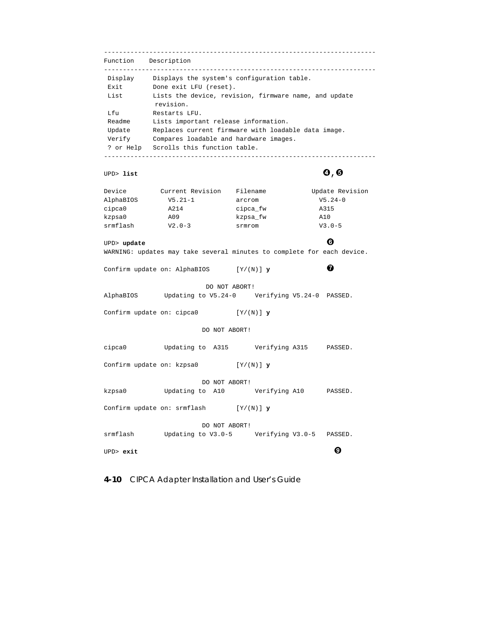------------------------------------------------------------------------ Function Description ------------------------------------------------------------------------ Display Displays the system's configuration table. Exit Done exit LFU (reset). List Lists the device, revision, firmware name, and update revision. Lfu Restarts LFU. Readme Lists important release information. Update Replaces current firmware with loadable data image. Verify Compares loadable and hardware images. ? or Help Scrolls this function table. ------------------------------------------------------------------------ UPD> list  $\bigcirc$ ,  $\bigcirc$ Device Current Revision Filename Update Revision AlphaBIOS V5.21-1 arcrom V5.24-0 cipca0 A214 cipca\_fw A315 kzpsa0 A09 kzpsa\_fw A10 srmflash  $V2.0-3$  srmrom  $V3.0-5$ UPD> **update**  WARNING: updates may take several minutes to complete for each device. Confirm update on: AlphaBIOS  $[Y/(N)]$  **y**  DO NOT ABORT! AlphaBIOS Updating to V5.24-0 Verifying V5.24-0 PASSED. Confirm update on: cipca0 [Y/(N)] **y**  DO NOT ABORT! cipca0 Updating to A315 Verifying A315 PASSED. Confirm update on: kzpsa0 [Y/(N)] **y** DO NOT ABORT! kzpsa0 Updating to A10 Verifying A10 PASSED. Confirm update on: srmflash [Y/(N)] **y** DO NOT ABORT! srmflash Updating to V3.0-5 Verifying V3.0-5 PASSED. UPD> **exit** ¡

**4-10** CIPCA Adapter Installation and User's Guide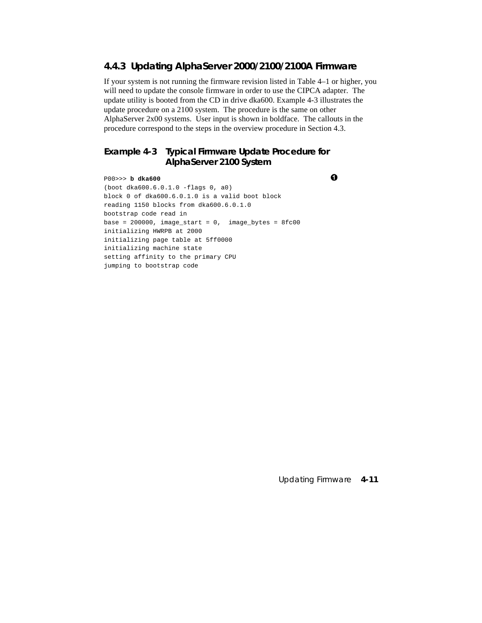# **4.4.3 Updating AlphaServer 2000/2100/2100A Firmware**

If your system is not running the firmware revision listed in Table 4–1 or higher, you will need to update the console firmware in order to use the CIPCA adapter. The update utility is booted from the CD in drive dka600. Example 4-3 illustrates the update procedure on a 2100 system. The procedure is the same on other AlphaServer 2x00 systems. User input is shown in boldface. The callouts in the procedure correspond to the steps in the overview procedure in Section 4.3.

# **Example 4-3 Typical Firmware Update Procedure for AlphaServer 2100 System**

P00>>> **b dka600** (boot dka600.6.0.1.0 -flags 0, a0) block 0 of dka600.6.0.1.0 is a valid boot block reading 1150 blocks from dka600.6.0.1.0 bootstrap code read in base = 200000, image start = 0, image bytes =  $8fc00$ initializing HWRPB at 2000 initializing page table at 5ff0000 initializing machine state setting affinity to the primary CPU jumping to bootstrap code

Updating Firmware **4-11**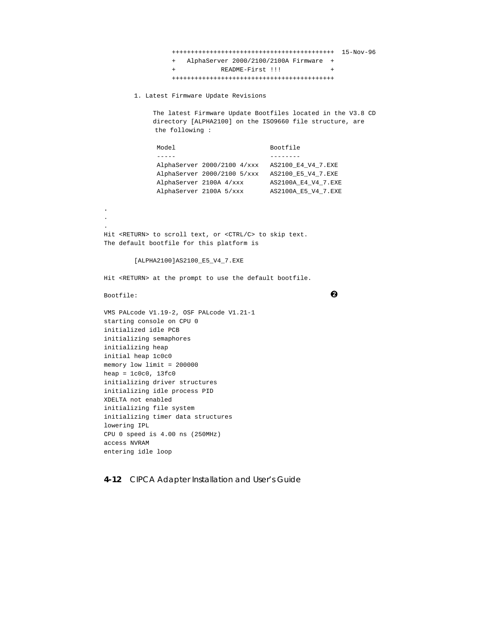+++++++++++++++++++++++++++++++++++++++++++ 15-Nov-96 + AlphaServer 2000/2100/2100A Firmware + README-First !!! +++++++++++++++++++++++++++++++++++++++++++ 1. Latest Firmware Update Revisions The latest Firmware Update Bootfiles located in the V3.8 CD directory [ALPHA2100] on the ISO9660 file structure, are the following : Model Bootfile ----- -------- AlphaServer 2000/2100 4/xxx AS2100\_E4\_V4\_7.EXE AlphaServer 2000/2100 5/xxx AS2100\_E5\_V4\_7.EXE AlphaServer 2100A 4/xxx AS2100A\_E4\_V4\_7.EXE AlphaServer 2100A 5/xxx AS2100A\_E5\_V4\_7.EXE **.** . . Hit <RETURN> to scroll text, or <CTRL/C> to skip text. The default bootfile for this platform is [ALPHA2100]AS2100\_E5\_V4\_7.EXE Hit <RETURN> at the prompt to use the default bootfile. Bootfile:  $\bullet$ VMS PALcode V1.19-2, OSF PALcode V1.21-1 starting console on CPU 0 initialized idle PCB initializing semaphores initializing heap initial heap 1c0c0 memory low limit = 200000 heap =  $1c0c0$ ,  $13fc0$ initializing driver structures initializing idle process PID XDELTA not enabled initializing file system initializing timer data structures lowering IPL CPU 0 speed is 4.00 ns (250MHz) access NVRAM entering idle loop

**4-12** CIPCA Adapter Installation and User's Guide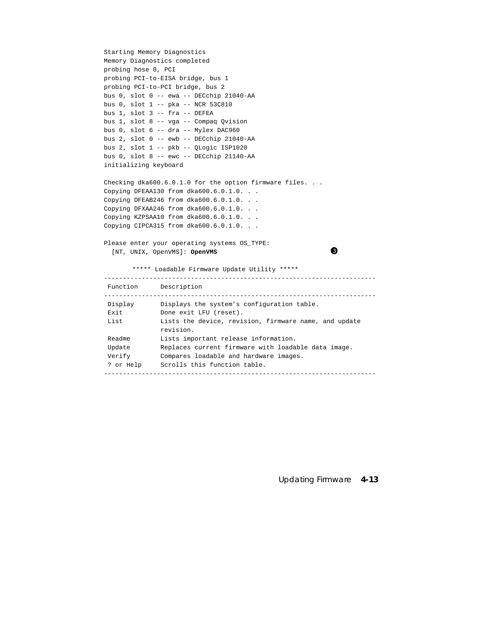```
Starting Memory Diagnostics
Memory Diagnostics completed
probing hose 0, PCI
probing PCI-to-EISA bridge, bus 1
probing PCI-to-PCI bridge, bus 2
bus 0, slot 0 -- ewa -- DECchip 21040-AA
bus 0, slot 1 -- pka -- NCR 53C810
bus 1, slot 3 -- fra -- DEFEA
bus 1, slot 8 -- vga -- Compaq Qvision
bus 0, slot 6 -- dra -- Mylex DAC960
bus 2, slot 0 -- ewb -- DECchip 21040-AA
bus 2, slot 1 -- pkb -- QLogic ISP1020
bus 0, slot 8 -- ewc -- DECchip 21140-AA
initializing keyboard
Checking dka600.6.0.1.0 for the option firmware files. . .
Copying DFEAA130 from dka600.6.0.1.0. . .
Copying DFEAB246 from dka600.6.0.1.0. . .
Copying DFXAA246 from dka600.6.0.1.0. . .
Copying KZPSAA10 from dka600.6.0.1.0. . .
Copying CIPCA315 from dka600.6.0.1.0. . .
Please enter your operating systems OS_TYPE:
  [NT, UNIX, OpenVMS]: OpenVMS 
       ***** Loadable Firmware Update Utility *****
------------------------------------------------------------------------
  Function Description
------------------------------------------------------------------------
 Display Displays the system's configuration table.
Exit Done exit LFU (reset).
 List Lists the device, revision, firmware name, and update 
             revision.
 Readme Lists important release information.
Update Replaces current firmware with loadable data image.
 Verify Compares loadable and hardware images.
 ? or Help Scrolls this function table.
------------------------------------------------------------------------
```
Updating Firmware **4-13**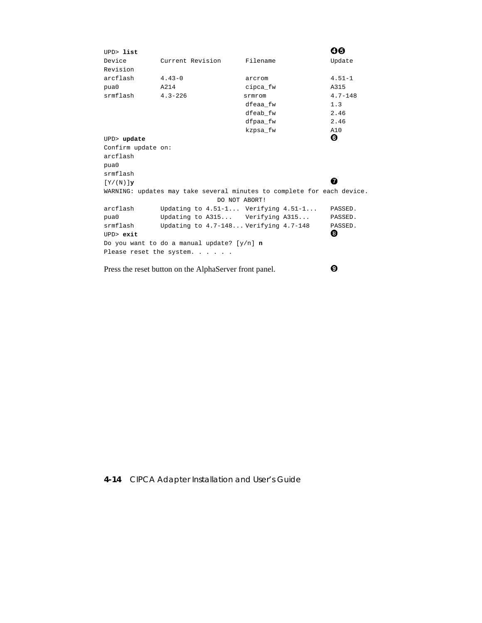| UPD> list          |                                                        |                                                                        | 00          |
|--------------------|--------------------------------------------------------|------------------------------------------------------------------------|-------------|
| Device             | Current Revision                                       | Filename                                                               | Update      |
| Revision           |                                                        |                                                                        |             |
| arcflash           | $4.43 - 0$                                             | arcrom                                                                 | $4.51 - 1$  |
| pua0               | A214                                                   | cipca fw                                                               | A315        |
| srmflash           | $4.3 - 226$                                            | srmrom                                                                 | $4.7 - 148$ |
|                    |                                                        | dfeaa fw                                                               | 1.3         |
|                    |                                                        | dfeab fw                                                               | 2.46        |
|                    |                                                        | dfpaa fw                                                               | 2.46        |
|                    |                                                        | kzpsa fw                                                               | A10         |
| UPD> update        |                                                        |                                                                        | ❻           |
| Confirm update on: |                                                        |                                                                        |             |
| arcflash           |                                                        |                                                                        |             |
| pua0               |                                                        |                                                                        |             |
| srmflash           |                                                        |                                                                        |             |
| $[Y/(N)]$ y        |                                                        |                                                                        | 7           |
|                    |                                                        | WARNING: updates may take several minutes to complete for each device. |             |
|                    | DO NOT ABORT!                                          |                                                                        |             |
| arcflash           |                                                        | Updating to $4.51-1$ Verifying $4.51-1$                                | PASSED.     |
| pua0               | Updating to A315 Verifying A315                        |                                                                        | PASSED.     |
| srmflash           | Updating to $4.7-148$ Verifying $4.7-148$              |                                                                        | PASSED.     |
| $UPD>$ exit        |                                                        |                                                                        | ❸           |
|                    | Do you want to do a manual update? [y/n] $n$           |                                                                        |             |
|                    | Please reset the system.                               |                                                                        |             |
|                    |                                                        |                                                                        |             |
|                    | Press the reset button on the AlphaServer front panel. |                                                                        | ø           |

## **4-14** CIPCA Adapter Installation and User's Guide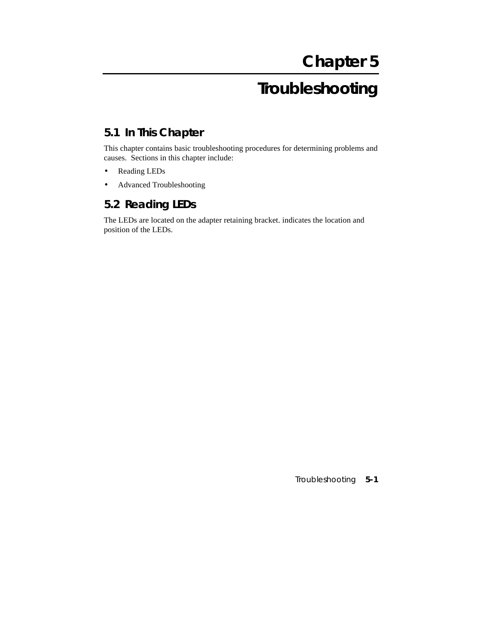# **Troubleshooting**

# **5.1 In This Chapter**

This chapter contains basic troubleshooting procedures for determining problems and causes. Sections in this chapter include:

- Reading LEDs
- Advanced Troubleshooting

## **5.2 Reading LEDs**

The LEDs are located on the adapter retaining bracket. indicates the location and position of the LEDs.

Troubleshooting **5-1**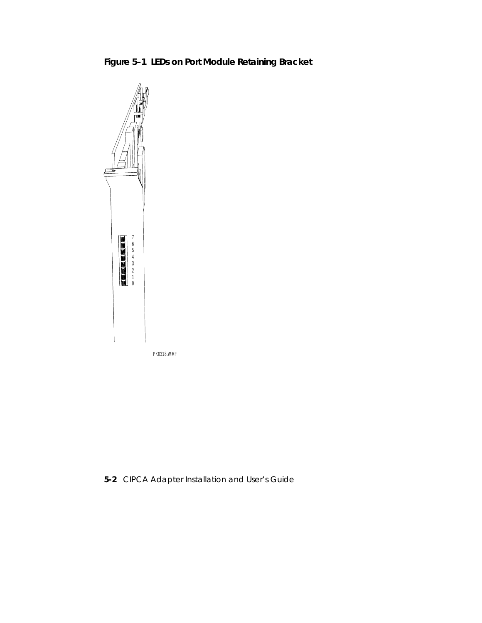



**5-2** CIPCA Adapter Installation and User's Guide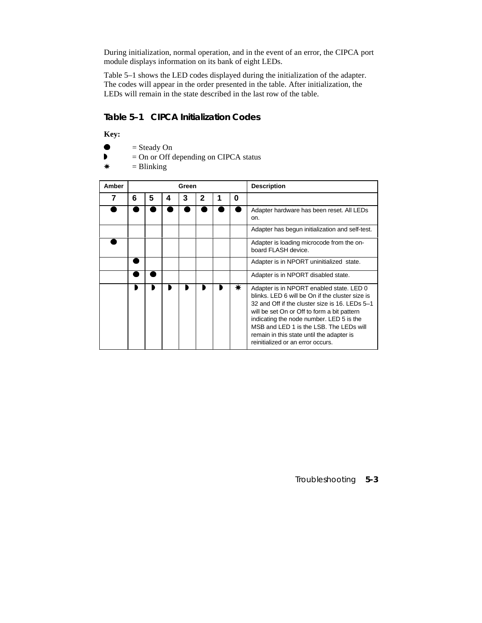During initialization, normal operation, and in the event of an error, the CIPCA port module displays information on its bank of eight LEDs.

Table 5–1 shows the LED codes displayed during the initialization of the adapter. The codes will appear in the order presented in the table. After initialization, the LEDs will remain in the state described in the last row of the table.

#### **Table 5–1 CIPCA Initialization Codes**

**Key:**

- $\bullet$  = Steady On
- $\bullet$  = On or Off depending on CIPCA status
- $*$  = Blinking

| Amber |   |   |   | Green |              |   |   | <b>Description</b>                                                                                                                                                                                                                                                                                                                                                    |
|-------|---|---|---|-------|--------------|---|---|-----------------------------------------------------------------------------------------------------------------------------------------------------------------------------------------------------------------------------------------------------------------------------------------------------------------------------------------------------------------------|
| 7     | 6 | 5 | 4 | 3     | $\mathbf{2}$ | 1 | 0 |                                                                                                                                                                                                                                                                                                                                                                       |
|       |   |   |   |       |              |   |   | Adapter hardware has been reset. All LEDs<br>on.                                                                                                                                                                                                                                                                                                                      |
|       |   |   |   |       |              |   |   | Adapter has begun initialization and self-test.                                                                                                                                                                                                                                                                                                                       |
|       |   |   |   |       |              |   |   | Adapter is loading microcode from the on-<br>board FLASH device.                                                                                                                                                                                                                                                                                                      |
|       |   |   |   |       |              |   |   | Adapter is in NPORT uninitialized state.                                                                                                                                                                                                                                                                                                                              |
|       |   |   |   |       |              |   |   | Adapter is in NPORT disabled state.                                                                                                                                                                                                                                                                                                                                   |
|       |   |   |   |       |              |   | ₩ | Adapter is in NPORT enabled state. LED 0<br>blinks. LED 6 will be On if the cluster size is<br>32 and Off if the cluster size is 16. LEDs 5-1<br>will be set On or Off to form a bit pattern<br>indicating the node number. LED 5 is the<br>MSB and LED 1 is the LSB. The LEDs will<br>remain in this state until the adapter is<br>reinitialized or an error occurs. |

Troubleshooting **5-3**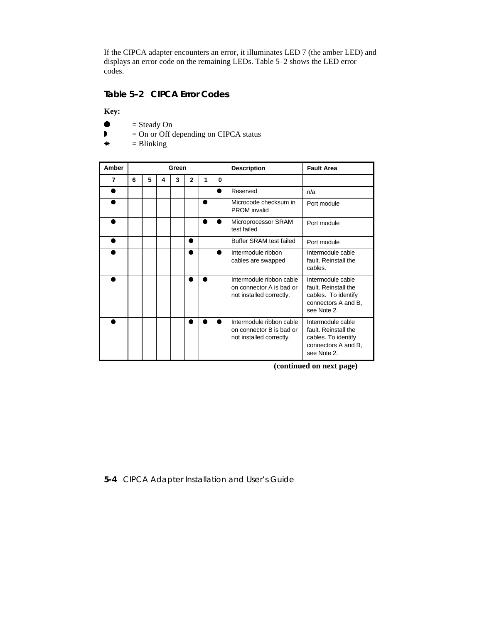If the CIPCA adapter encounters an error, it illuminates LED 7 (the amber LED) and displays an error code on the remaining LEDs. Table 5–2 shows the LED error codes.

#### **Table 5–2 CIPCA Error Codes**

**Key:**

- $\bullet$  = Steady On
- $\bullet$  = On or Off depending on CIPCA status
- $*$  = Blinking

| Amber |   |   |   | Green |              |   |   | <b>Description</b>                                                               | <b>Fault Area</b>                                                                                      |  |  |  |
|-------|---|---|---|-------|--------------|---|---|----------------------------------------------------------------------------------|--------------------------------------------------------------------------------------------------------|--|--|--|
| 7     | 6 | 5 | 4 | 3     | $\mathbf{2}$ | 1 | 0 |                                                                                  |                                                                                                        |  |  |  |
|       |   |   |   |       |              |   | ٠ | Reserved                                                                         | n/a                                                                                                    |  |  |  |
|       |   |   |   |       |              |   |   | Microcode checksum in<br><b>PROM</b> invalid                                     | Port module                                                                                            |  |  |  |
|       |   |   |   |       |              |   |   | Microprocessor SRAM<br>test failed                                               | Port module                                                                                            |  |  |  |
|       |   |   |   |       |              |   |   | Buffer SRAM test failed                                                          | Port module                                                                                            |  |  |  |
|       |   |   |   |       |              |   |   | Intermodule ribbon<br>cables are swapped                                         | Intermodule cable<br>fault. Reinstall the<br>cables.                                                   |  |  |  |
|       |   |   |   |       |              |   |   | Intermodule ribbon cable<br>on connector A is bad or<br>not installed correctly. | Intermodule cable<br>fault. Reinstall the<br>cables. To identify<br>connectors A and B,<br>see Note 2. |  |  |  |
|       |   |   |   |       |              |   |   | Intermodule ribbon cable<br>on connector B is bad or<br>not installed correctly. | Intermodule cable<br>fault. Reinstall the<br>cables. To identify<br>connectors A and B,<br>see Note 2. |  |  |  |

**(continued on next page)**

**5-4** CIPCA Adapter Installation and User's Guide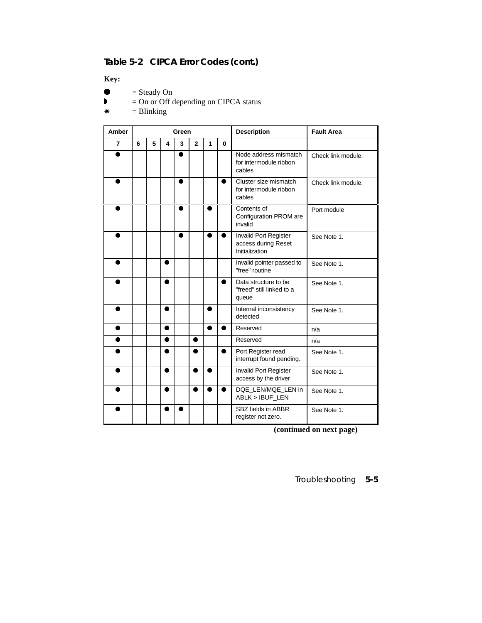## **Table 5-2 CIPCA Error Codes (cont.)**

**Key:**

- $\bullet$  = Steady On
- $\bullet$  = On or Off depending on CIPCA status
- $*$  = Blinking

| Amber          | Green |   |   |   |                |   |   | <b>Description</b>                                             | <b>Fault Area</b>  |
|----------------|-------|---|---|---|----------------|---|---|----------------------------------------------------------------|--------------------|
| $\overline{7}$ | 6     | 5 | 4 | 3 | $\overline{2}$ | 1 | 0 |                                                                |                    |
|                |       |   |   |   |                |   |   | Node address mismatch<br>for intermodule ribbon<br>cables      | Check link module. |
|                |       |   |   |   |                |   | ● | Cluster size mismatch<br>for intermodule ribbon<br>cables      | Check link module. |
|                |       |   |   |   |                |   |   | Contents of<br>Configuration PROM are<br>invalid               | Port module        |
|                |       |   |   |   |                |   |   | Invalid Port Register<br>access during Reset<br>Initialization | See Note 1.        |
|                |       |   | ≏ |   |                |   |   | Invalid pointer passed to<br>"free" routine                    | See Note 1.        |
|                |       |   |   |   |                |   | ● | Data structure to be<br>"freed" still linked to a<br>queue     | See Note 1.        |
|                |       |   | ● |   |                | ● |   | Internal inconsistency<br>detected                             | See Note 1.        |
| ٠              |       |   |   |   |                |   |   | Reserved                                                       | n/a                |
|                |       |   |   |   | ●              |   |   | Reserved                                                       | n/a                |
|                |       |   |   |   |                |   |   | Port Register read<br>interrupt found pending.                 | See Note 1.        |
|                |       |   |   |   |                |   |   | <b>Invalid Port Register</b><br>access by the driver           | See Note 1.        |
|                |       |   |   |   |                |   |   | DQE LEN/MQE LEN in<br>ABLK > IBUF_LEN                          | See Note 1.        |
|                |       |   |   |   |                |   |   | SBZ fields in ABBR<br>register not zero.                       | See Note 1.        |

**(continued on next page)**

Troubleshooting **5-5**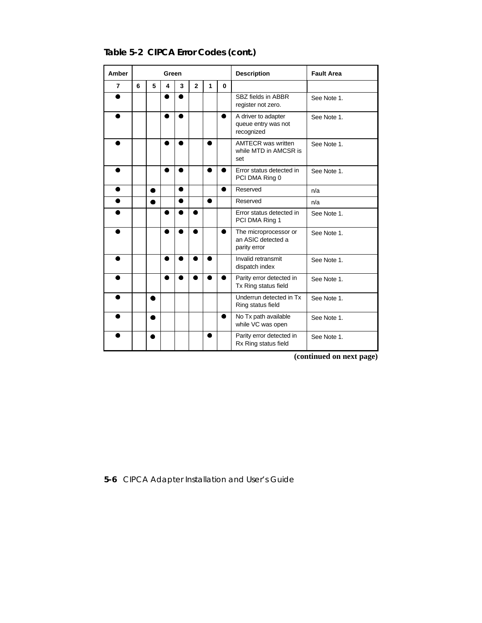| Amber          | Green |   |   |   |                |   |          | <b>Description</b>                                          | <b>Fault Area</b> |
|----------------|-------|---|---|---|----------------|---|----------|-------------------------------------------------------------|-------------------|
| $\overline{7}$ | 6     | 5 | 4 | 3 | $\overline{2}$ | 1 | $\bf{0}$ |                                                             |                   |
|                |       |   |   |   |                |   |          | SBZ fields in ABBR<br>register not zero.                    | See Note 1.       |
|                |       |   | ● |   |                |   |          | A driver to adapter<br>queue entry was not<br>recognized    | See Note 1.       |
|                |       |   |   |   |                |   |          | <b>AMTECR</b> was written<br>while MTD in AMCSR is<br>set   | See Note 1.       |
|                |       |   | ● |   |                | ● |          | Error status detected in<br>PCI DMA Ring 0                  | See Note 1.       |
| 0              |       | ● |   |   |                |   |          | Reserved                                                    | n/a               |
| Ω              |       | ● |   | ۰ |                | ● |          | Reserved                                                    | n/a               |
|                |       |   |   |   |                |   |          | Error status detected in<br>PCI DMA Ring 1                  | See Note 1.       |
| ≏              |       |   | ● |   |                |   |          | The microprocessor or<br>an ASIC detected a<br>parity error | See Note 1.       |
|                |       |   | ● |   |                |   |          | Invalid retransmit<br>dispatch index                        | See Note 1.       |
| Ω              |       |   |   |   |                |   |          | Parity error detected in<br>Tx Ring status field            | See Note 1.       |
|                |       | ٠ |   |   |                |   |          | Underrun detected in Tx<br>Ring status field                | See Note 1.       |
|                |       | Ω |   |   |                |   | ۰        | No Tx path available<br>while VC was open                   | See Note 1.       |
|                |       |   |   |   |                |   |          | Parity error detected in<br>Rx Ring status field            | See Note 1.       |

**Table 5-2 CIPCA Error Codes (cont.)**

**(continued on next page)**

**5-6** CIPCA Adapter Installation and User's Guide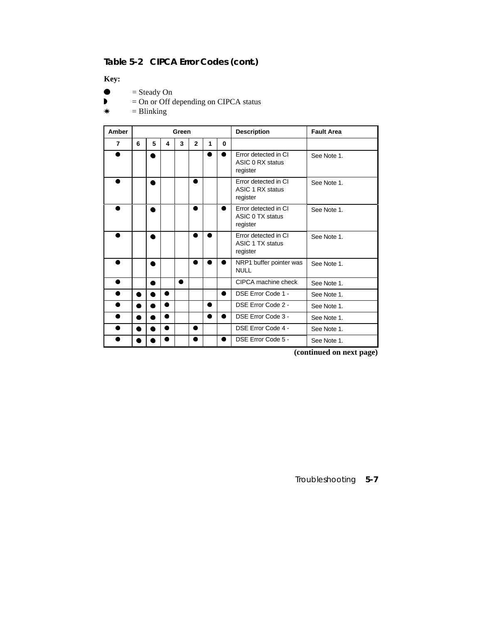## **Table 5-2 CIPCA Error Codes (cont.)**

**Key:**

- $\bullet$  = Steady On
- $\bullet$  = On or Off depending on CIPCA status
- $*$  = Blinking

| Amber          | Green |   |           |   |                |   |          | <b>Description</b>                                   | <b>Fault Area</b> |  |  |  |  |
|----------------|-------|---|-----------|---|----------------|---|----------|------------------------------------------------------|-------------------|--|--|--|--|
| $\overline{7}$ | 6     | 5 | 4         | 3 | $\overline{2}$ | 1 | $\bf{0}$ |                                                      |                   |  |  |  |  |
|                |       | ٠ |           |   |                |   |          | Error detected in CI<br>ASIC 0 RX status<br>register | See Note 1.       |  |  |  |  |
|                |       |   |           |   |                |   |          | Error detected in CI<br>ASIC 1 RX status<br>register | See Note 1.       |  |  |  |  |
|                |       |   |           |   |                |   |          | Error detected in CI<br>ASIC 0 TX status<br>register | See Note 1.       |  |  |  |  |
|                |       |   |           |   |                |   |          | Error detected in CI<br>ASIC 1 TX status<br>register | See Note 1.       |  |  |  |  |
|                |       |   |           |   |                |   |          | NRP1 buffer pointer was<br><b>NULL</b>               | See Note 1.       |  |  |  |  |
| Ω              |       | ۵ |           | ● |                |   |          | CIPCA machine check                                  | See Note 1.       |  |  |  |  |
| c              | ۰     |   |           |   |                |   |          | DSE Error Code 1 -                                   | See Note 1.       |  |  |  |  |
| Ω              |       |   | $\bullet$ |   |                | ● |          | DSE Error Code 2 -                                   | See Note 1.       |  |  |  |  |
| Ω              |       |   | a         |   |                |   |          | DSE Error Code 3 -                                   | See Note 1.       |  |  |  |  |
|                | ۰     | D |           |   | ۰              |   |          | DSE Error Code 4 -                                   | See Note 1.       |  |  |  |  |
|                |       |   | ۰         |   | Ω              |   | e        | DSE Error Code 5 -                                   | See Note 1.       |  |  |  |  |

**(continued on next page)**

Troubleshooting **5-7**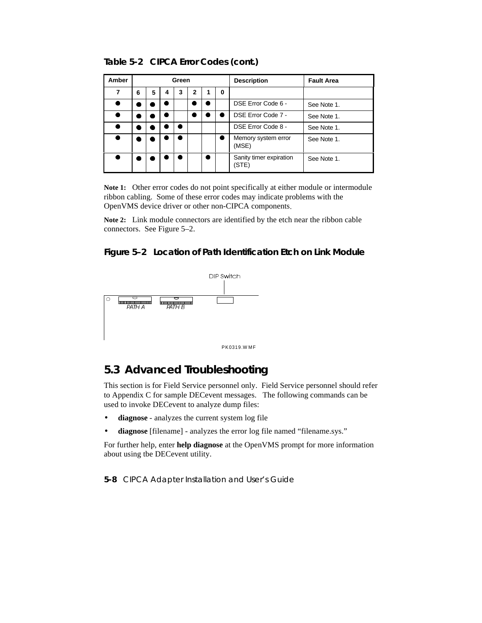**Table 5-2 CIPCA Error Codes (cont.)**

| Amber |   |   |   | Green |   |   |   | <b>Description</b>               | <b>Fault Area</b> |  |  |  |
|-------|---|---|---|-------|---|---|---|----------------------------------|-------------------|--|--|--|
| 7     | 6 | 5 | 4 | 3     | 2 |   | 0 |                                  |                   |  |  |  |
| ۰     |   |   |   |       |   |   |   | DSE Error Code 6 -               | See Note 1.       |  |  |  |
| ●     |   |   |   |       |   |   |   | DSE Error Code 7 -               | See Note 1.       |  |  |  |
|       |   |   |   |       |   |   |   | DSE Error Code 8 -               | See Note 1.       |  |  |  |
| 0     |   |   |   |       |   |   |   | Memory system error<br>(MSE)     | See Note 1.       |  |  |  |
| D     |   |   |   |       |   | ٠ |   | Sanity timer expiration<br>(STE) | See Note 1.       |  |  |  |

**Note 1:** Other error codes do not point specifically at either module or intermodule ribbon cabling. Some of these error codes may indicate problems with the OpenVMS device driver or other non-CIPCA components.

**Note 2:** Link module connectors are identified by the etch near the ribbon cable connectors. See Figure 5–2.

#### **Figure 5–2 Location of Path Identification Etch on Link Module**



## **5.3 Advanced Troubleshooting**

This section is for Field Service personnel only. Field Service personnel should refer to Appendix C for sample DECevent messages. The following commands can be used to invoke DECevent to analyze dump files:

- **diagnose** analyzes the current system log file
- **diagnose** [filename] analyzes the error log file named "filename.sys."

For further help, enter **help diagnose** at the OpenVMS prompt for more information about using tbe DECevent utility.

**5-8** CIPCA Adapter Installation and User's Guide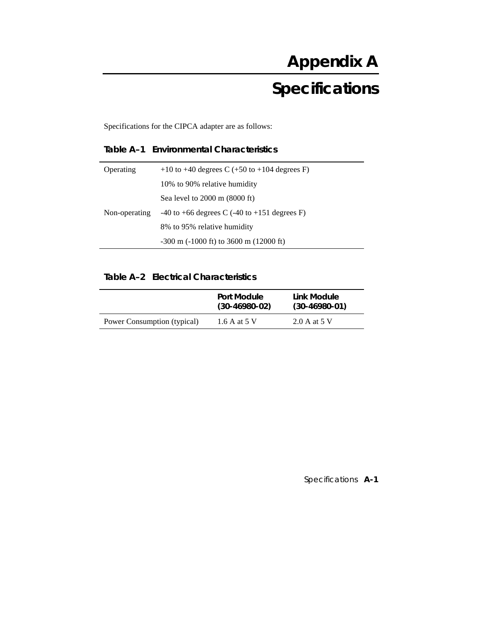Specifications for the CIPCA adapter are as follows:

## **Table A–1 Environmental Characteristics**

| Operating     | +10 to +40 degrees C (+50 to +104 degrees F)          |
|---------------|-------------------------------------------------------|
|               | 10% to 90% relative humidity                          |
|               | Sea level to $2000 \text{ m}$ (8000 ft)               |
| Non-operating | $-40$ to $+66$ degrees C ( $-40$ to $+151$ degrees F) |
|               | 8% to 95% relative humidity                           |
|               | $-300$ m $(-1000$ ft) to $3600$ m $(12000)$ ft)       |
|               |                                                       |

## **Table A–2 Electrical Characteristics**

|                             | Port Module<br>$(30-46980-02)$ | Link Module<br>$(30-46980-01)$ |
|-----------------------------|--------------------------------|--------------------------------|
| Power Consumption (typical) | 1.6 A at 5 V                   | 2.0 A at 5 V                   |

Specifications **A-1**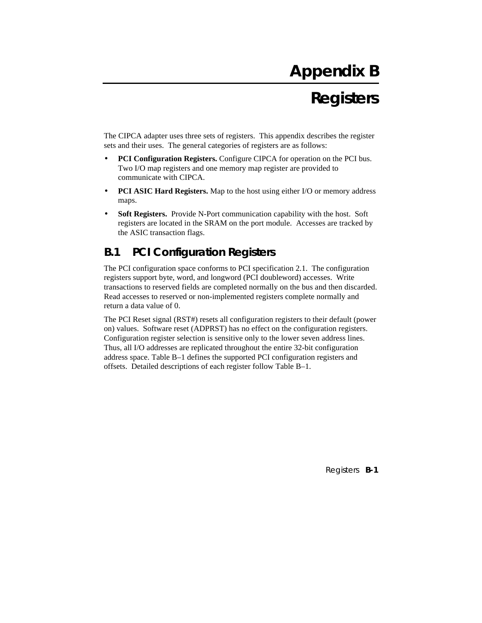# **Appendix B**

# **Registers**

The CIPCA adapter uses three sets of registers. This appendix describes the register sets and their uses. The general categories of registers are as follows:

- **PCI Configuration Registers.** Configure CIPCA for operation on the PCI bus. Two I/O map registers and one memory map register are provided to communicate with CIPCA.
- **PCI ASIC Hard Registers.** Map to the host using either I/O or memory address maps.
- **Soft Registers.** Provide N-Port communication capability with the host. Soft registers are located in the SRAM on the port module. Accesses are tracked by the ASIC transaction flags.

## **B.1 PCI Configuration Registers**

The PCI configuration space conforms to PCI specification 2.1. The configuration registers support byte, word, and longword (PCI doubleword) accesses. Write transactions to reserved fields are completed normally on the bus and then discarded. Read accesses to reserved or non-implemented registers complete normally and return a data value of 0.

The PCI Reset signal (RST#) resets all configuration registers to their default (power on) values. Software reset (ADPRST) has no effect on the configuration registers. Configuration register selection is sensitive only to the lower seven address lines. Thus, all I/O addresses are replicated throughout the entire 32-bit configuration address space. Table B–1 defines the supported PCI configuration registers and offsets. Detailed descriptions of each register follow Table B–1.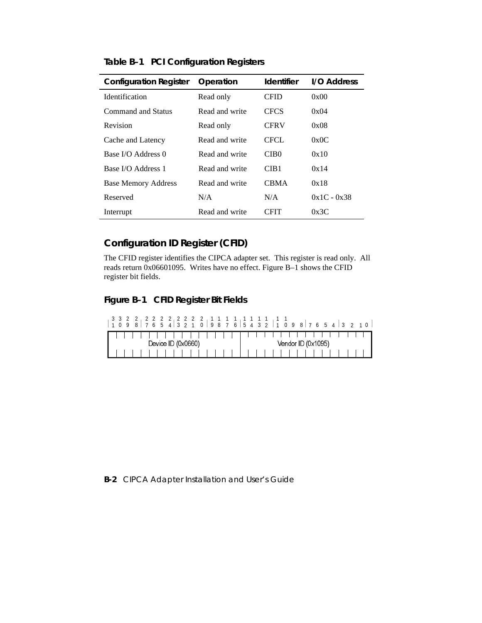| <b>Configuration Register</b> | Operation      | <b>Identifier</b> | I/O Address   |
|-------------------------------|----------------|-------------------|---------------|
| <b>Identification</b>         | Read only      | <b>CFID</b>       | 0x00          |
| Command and Status            | Read and write | <b>CFCS</b>       | 0x04          |
| Revision                      | Read only      | <b>CFRV</b>       | 0x08          |
| Cache and Latency             | Read and write | CFCL.             | 0x0C          |
| Base I/O Address 0            | Read and write | CIB <sub>0</sub>  | 0x10          |
| Base I/O Address 1            | Read and write | CIB <sub>1</sub>  | 0x14          |
| <b>Base Memory Address</b>    | Read and write | <b>CBMA</b>       | 0x18          |
| Reserved                      | N/A            | N/A               | $0x1C - 0x38$ |
| Interrupt                     | Read and write | CFIT              | 0x3C          |

**Table B–1 PCI Configuration Registers**

# **Configuration ID Register (CFID)**

The CFID register identifies the CIPCA adapter set. This register is read only. All reads return 0x06601095. Writes have no effect. Figure B–1 shows the CFID register bit fields.

## **Figure B–1 CFID Register Bit Fields**

|  |  | 3 3 2 2 2 2 2 2 2 2 2 2 2 1 1 1 1 1 |  |                    |  |  |  |  |  |  | 109876543210987654321098765432 |  |  |  |  |  |
|--|--|-------------------------------------|--|--------------------|--|--|--|--|--|--|--------------------------------|--|--|--|--|--|
|  |  |                                     |  |                    |  |  |  |  |  |  | .                              |  |  |  |  |  |
|  |  |                                     |  | Device ID (0x0660) |  |  |  |  |  |  | Vendor $ID(0x1095)$            |  |  |  |  |  |
|  |  |                                     |  |                    |  |  |  |  |  |  |                                |  |  |  |  |  |

#### **B-2** CIPCA Adapter Installation and User's Guide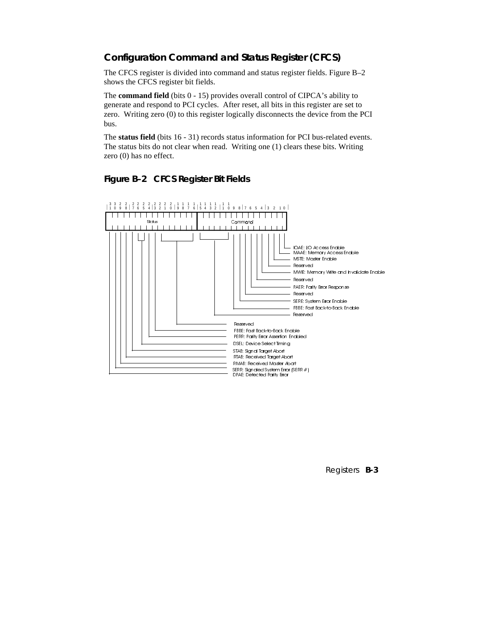## **Configuration Command and Status Register (CFCS)**

The CFCS register is divided into command and status register fields. Figure B–2 shows the CFCS register bit fields.

The **command field** (bits 0 - 15) provides overall control of CIPCA's ability to generate and respond to PCI cycles. After reset, all bits in this register are set to zero. Writing zero (0) to this register logically disconnects the device from the PCI bus.

The **status field** (bits 16 - 31) records status information for PCI bus-related events. The status bits do not clear when read. Writing one (1) clears these bits. Writing zero (0) has no effect.



#### **Figure B–2 CFCS Register Bit Fields**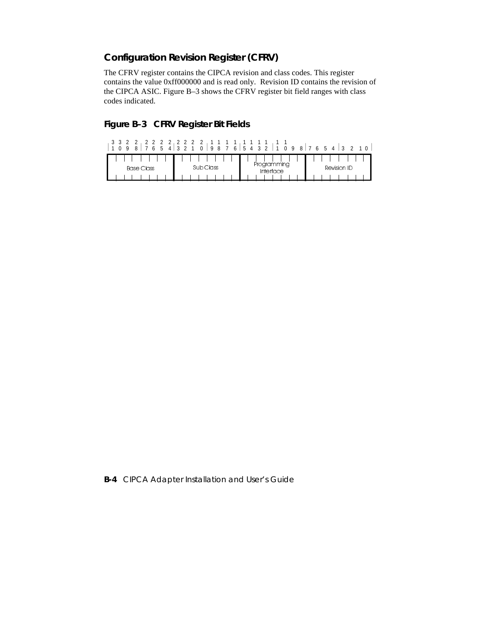## **Configuration Revision Register (CFRV)**

The CFRV register contains the CIPCA revision and class codes. This register contains the value 0xff000000 and is read only. Revision ID contains the revision of the CIPCA ASIC. Figure B–3 shows the CFRV register bit field ranges with class codes indicated.

## **Figure B–3 CFRV Register Bit Fields**

| 6 5 4 3 2<br>Q    | 3 3 2 2 2 2 2 2 2 2 2 2 2 1 1 1 1 1<br>$0$   9 8 7 6   5 4 3 2 |                          | $1 \Omega$<br>$1098$ 7 6 5 4 3 2 |
|-------------------|----------------------------------------------------------------|--------------------------|----------------------------------|
| <b>Base Class</b> | Sub Class                                                      | Programming<br>Interface | Revision ID                      |
|                   |                                                                |                          |                                  |

**B-4** CIPCA Adapter Installation and User's Guide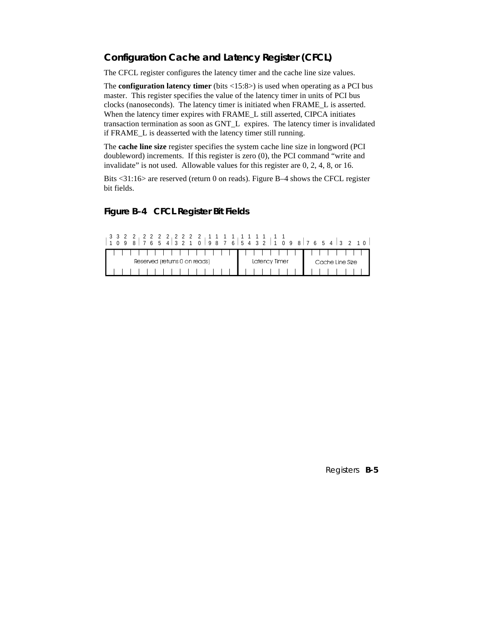## **Configuration Cache and Latency Register (CFCL)**

The CFCL register configures the latency timer and the cache line size values.

The **configuration latency timer** (bits <15:8>) is used when operating as a PCI bus master. This register specifies the value of the latency timer in units of PCI bus clocks (nanoseconds). The latency timer is initiated when FRAME\_L is asserted. When the latency timer expires with FRAME\_L still asserted, CIPCA initiates transaction termination as soon as GNT\_L expires. The latency timer is invalidated if FRAME\_L is deasserted with the latency timer still running.

The **cache line size** register specifies the system cache line size in longword (PCI doubleword) increments. If this register is zero (0), the PCI command "write and invalidate" is not used. Allowable values for this register are 0, 2, 4, 8, or 16.

Bits <31:16> are reserved (return 0 on reads). Figure B–4 shows the CFCL register bit fields.

#### **Figure B–4 CFCL Register Bit Fields**

| $1\; 0\; 9\; 8\; \vert\; 7\; 6\; 5\; 4\; \vert\; 3\; 2\; 1\; 0\; \vert\; 9\; 8\; 7\; 6\; \vert\; 5\; 4\; 3\; 2\; \vert\; 1\; 0\; 9\; 8\; \vert\; 7\; 6\; 5\; 4\; \vert\; 3\; 2\; 1\; 0\; \vert$ |               |                 |
|-------------------------------------------------------------------------------------------------------------------------------------------------------------------------------------------------|---------------|-----------------|
| .                                                                                                                                                                                               | <b>.</b>      |                 |
| Reserved (returns 0 on reads)                                                                                                                                                                   | Latency Timer | Cache Line Size |
|                                                                                                                                                                                                 |               |                 |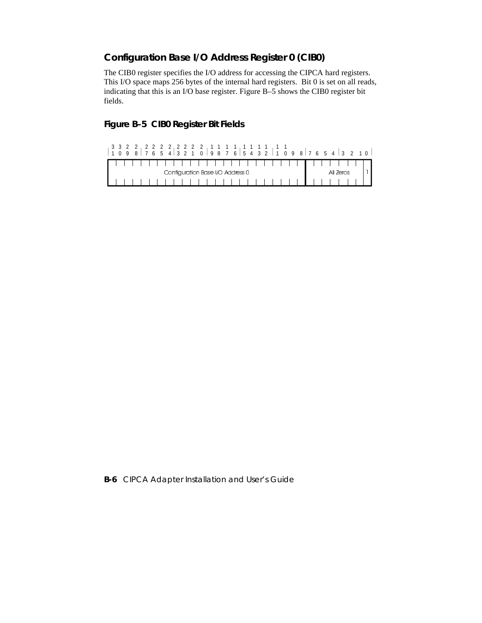## **Configuration Base I/O Address Register 0 (CIB0)**

The CIB0 register specifies the I/O address for accessing the CIPCA hard registers. This I/O space maps 256 bytes of the internal hard registers. Bit 0 is set on all reads, indicating that this is an I/O base register. Figure B–5 shows the CIB0 register bit fields.

## **Figure B–5 CIB0 Register Bit Fields**

|  |  |  |  |                                  |  |  |  |  |  |  | ,,,,,,,,,,,,,,,, |  |  |  |           |  |  |
|--|--|--|--|----------------------------------|--|--|--|--|--|--|------------------|--|--|--|-----------|--|--|
|  |  |  |  | Configuration Base I/O Address 0 |  |  |  |  |  |  |                  |  |  |  | All Zeros |  |  |
|  |  |  |  |                                  |  |  |  |  |  |  |                  |  |  |  |           |  |  |

**B-6** CIPCA Adapter Installation and User's Guide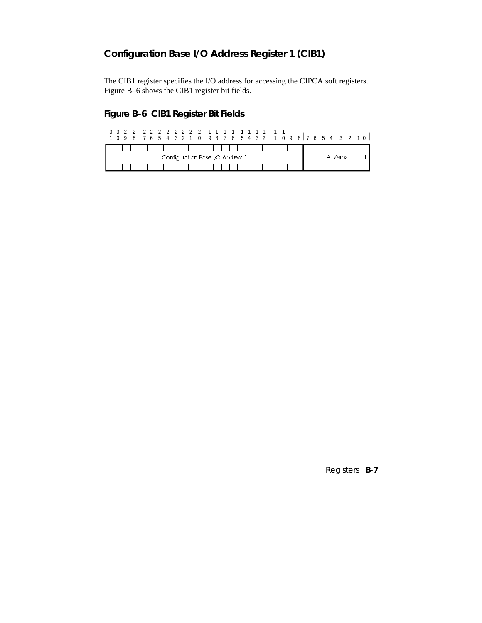## **Configuration Base I/O Address Register 1 (CIB1)**

The CIB1 register specifies the I/O address for accessing the CIPCA soft registers. Figure B–6 shows the CIB1 register bit fields.

## **Figure B–6 CIB1 Register Bit Fields**

|  |  |  |  | Configuration Base I/O Address 1 |  |  |  |  |  |  |  |  |  |  | All Zeros |  |  |
|--|--|--|--|----------------------------------|--|--|--|--|--|--|--|--|--|--|-----------|--|--|
|  |  |  |  |                                  |  |  |  |  |  |  |  |  |  |  |           |  |  |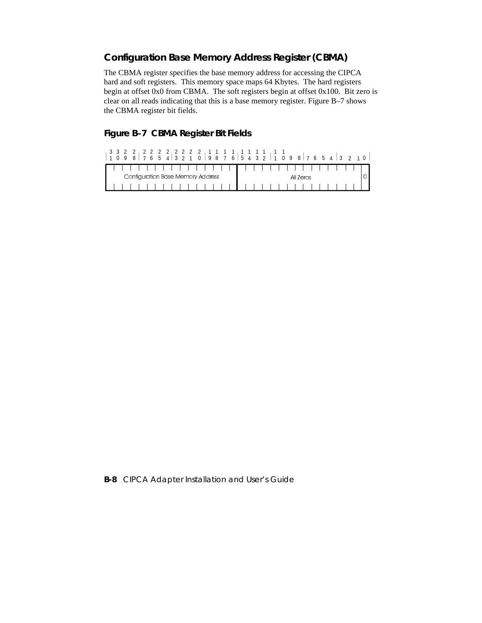## **Configuration Base Memory Address Register (CBMA)**

The CBMA register specifies the base memory address for accessing the CIPCA hard and soft registers. This memory space maps 64 Kbytes. The hard registers begin at offset 0x0 from CBMA. The soft registers begin at offset 0x100. Bit zero is clear on all reads indicating that this is a base memory register. Figure B–7 shows the CBMA register bit fields.

#### **Figure B–7 CBMA Register Bit Fields**

|  | $1\; 0\; 9\; 8\; \vert\; 7\; 6\; 5\; 4\; \vert\; 3\; 2\; 1\; 0\; \vert\; 9\; 8\; 7\; 6\; \vert\; 5\; 4\; 3\; 2\; \vert\; 1\; 0\; 9\; 8\; \vert\; 7\; 6\; 5\; 4\; \vert\; 3\; 2\; 1\; 0\; \vert$ |  |  |  |  |  |  |  |  |           |  |  |  |  |
|--|-------------------------------------------------------------------------------------------------------------------------------------------------------------------------------------------------|--|--|--|--|--|--|--|--|-----------|--|--|--|--|
|  |                                                                                                                                                                                                 |  |  |  |  |  |  |  |  |           |  |  |  |  |
|  | Configuration Base Memory Address                                                                                                                                                               |  |  |  |  |  |  |  |  | All Zeros |  |  |  |  |
|  |                                                                                                                                                                                                 |  |  |  |  |  |  |  |  |           |  |  |  |  |

**B-8** CIPCA Adapter Installation and User's Guide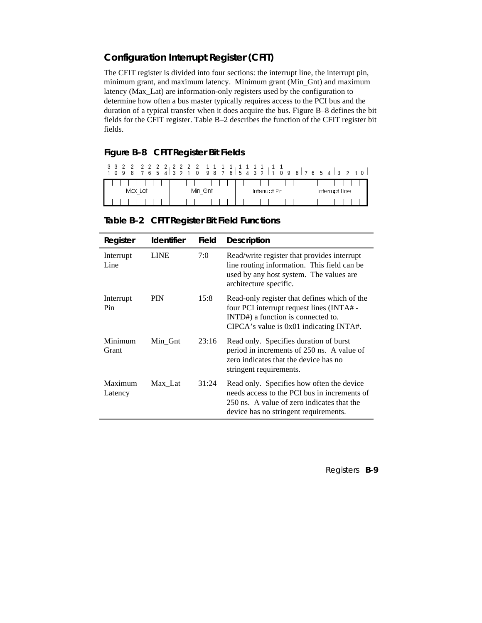## **Configuration Interrupt Register (CFIT)**

The CFIT register is divided into four sections: the interrupt line, the interrupt pin, minimum grant, and maximum latency. Minimum grant (Min\_Gnt) and maximum latency (Max\_Lat) are information-only registers used by the configuration to determine how often a bus master typically requires access to the PCI bus and the duration of a typical transfer when it does acquire the bus. Figure B–8 defines the bit fields for the CFIT register. Table B–2 describes the function of the CFIT register bit fields.

#### **Figure B–8 CFIT Register Bit Fields**

| 3 3 2 2 2 2 2 2 2 2 2 2 2 1 1 1 1 1<br>4<br>8<br>-5<br>6<br>9 | 3 2 1<br>$\Omega$ | 9 8 7 6 5 4 3 2 1 0 9 | 3 <sub>2</sub><br>$1\,0$<br>8 7 6 5<br>$4 \vert$ |
|---------------------------------------------------------------|-------------------|-----------------------|--------------------------------------------------|
|                                                               |                   |                       |                                                  |
| Max Lat                                                       | Min Gnt           | Interrupt Pin         | Interrupt Line                                   |
|                                                               |                   |                       |                                                  |

|  | Table B-2 CFIT Register Bit Field Functions |  |  |
|--|---------------------------------------------|--|--|
|--|---------------------------------------------|--|--|

| Register           | <b>Identifier</b> | <b>Field</b> | <b>Description</b>                                                                                                                                                               |
|--------------------|-------------------|--------------|----------------------------------------------------------------------------------------------------------------------------------------------------------------------------------|
| Interrupt<br>Line  | <b>LINE</b>       | 7:0          | Read/write register that provides interrupt<br>line routing information. This field can be<br>used by any host system. The values are<br>architecture specific.                  |
| Interrupt<br>Pin   | <b>PIN</b>        | 15:8         | Read-only register that defines which of the<br>four PCI interrupt request lines (INTA# -<br>INTD#) a function is connected to.<br>CIPCA's value is $0x01$ indicating INTA#.     |
| Minimum<br>Grant   | Min Gnt           | 23:16        | Read only. Specifies duration of burst<br>period in increments of 250 ns. A value of<br>zero indicates that the device has no<br>stringent requirements.                         |
| Maximum<br>Latency | Max Lat           | 31:24        | Read only. Specifies how often the device<br>needs access to the PCI bus in increments of<br>250 ns. A value of zero indicates that the<br>device has no stringent requirements. |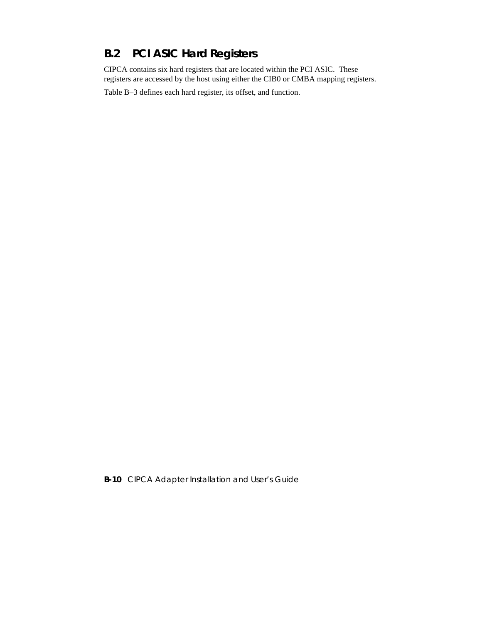# **B.2 PCI ASIC Hard Registers**

CIPCA contains six hard registers that are located within the PCI ASIC. These registers are accessed by the host using either the CIB0 or CMBA mapping registers.

Table B–3 defines each hard register, its offset, and function.

**B-10** CIPCA Adapter Installation and User's Guide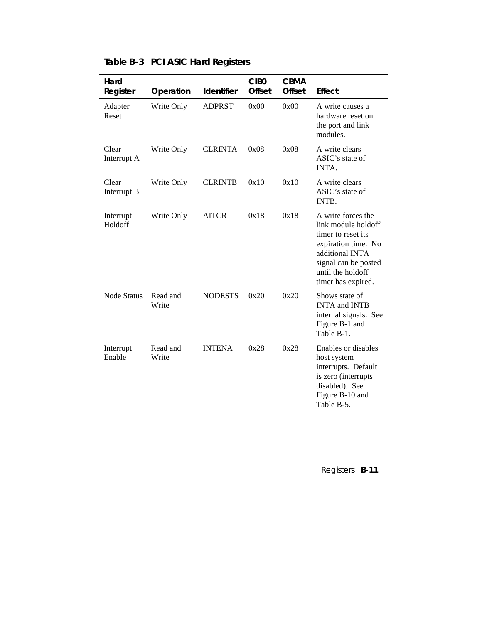| Hard<br>Register     | Operation         | <b>Identifier</b> | CIB <sub>0</sub><br><b>Offset</b> | <b>CBMA</b><br><b>Offset</b> | <b>Effect</b>                                                                                                                                                                |
|----------------------|-------------------|-------------------|-----------------------------------|------------------------------|------------------------------------------------------------------------------------------------------------------------------------------------------------------------------|
| Adapter<br>Reset     | Write Only        | <b>ADPRST</b>     | 0x00                              | 0x00                         | A write causes a<br>hardware reset on<br>the port and link<br>modules.                                                                                                       |
| Clear<br>Interrupt A | Write Only        | <b>CLRINTA</b>    | 0x08                              | 0x08                         | A write clears<br>ASIC's state of<br>INTA.                                                                                                                                   |
| Clear<br>Interrupt B | Write Only        | <b>CLRINTB</b>    | 0x10                              | 0x10                         | A write clears<br>ASIC's state of<br>INTB.                                                                                                                                   |
| Interrupt<br>Holdoff | Write Only        | <b>AITCR</b>      | 0x18                              | 0x18                         | A write forces the<br>link module holdoff<br>timer to reset its<br>expiration time. No<br>additional INTA<br>signal can be posted<br>until the holdoff<br>timer has expired. |
| <b>Node Status</b>   | Read and<br>Write | <b>NODESTS</b>    | 0x20                              | 0x20                         | Shows state of<br><b>INTA and INTB</b><br>internal signals. See<br>Figure B-1 and<br>Table B-1.                                                                              |
| Interrupt<br>Enable  | Read and<br>Write | <b>INTENA</b>     | 0x28                              | 0x28                         | Enables or disables<br>host system<br>interrupts. Default<br>is zero (interrupts<br>disabled). See<br>Figure B-10 and<br>Table B-5.                                          |

## **Table B–3 PCI ASIC Hard Registers**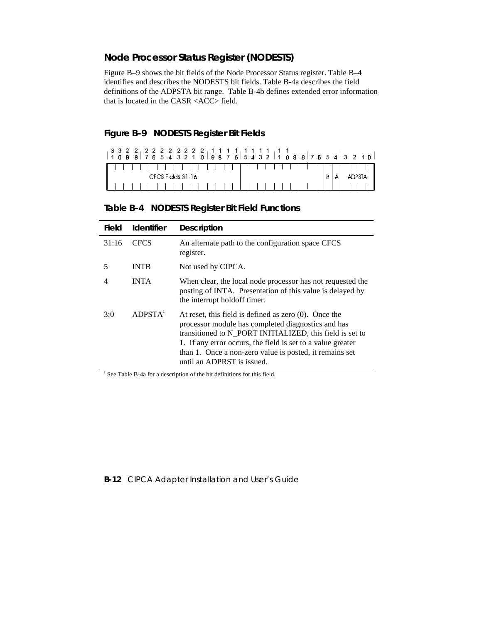## **Node Processor Status Register (NODESTS)**

Figure B–9 shows the bit fields of the Node Processor Status register. Table B–4 identifies and describes the NODESTS bit fields. Table B-4a describes the field definitions of the ADPSTA bit range. Table B-4b defines extended error information that is located in the CASR <ACC> field.

#### **Figure B–9 NODESTS Register Bit Fields**

| ,,,,,,,,,,,,,,,,,,,,,,, |               |
|-------------------------|---------------|
| CFCS Fields 31-16       | <b>ADPSTA</b> |
|                         |               |

## **Table B–4 NODESTS Register Bit Field Functions**

| Field | <b>Identifier</b>   | <b>Description</b>                                                                                                                                                                                                                                                                                                                 |
|-------|---------------------|------------------------------------------------------------------------------------------------------------------------------------------------------------------------------------------------------------------------------------------------------------------------------------------------------------------------------------|
| 31:16 | <b>CFCS</b>         | An alternate path to the configuration space CFCS<br>register.                                                                                                                                                                                                                                                                     |
| 5     | <b>INTB</b>         | Not used by CIPCA.                                                                                                                                                                                                                                                                                                                 |
|       | <b>INTA</b>         | When clear, the local node processor has not requested the<br>posting of INTA. Presentation of this value is delayed by<br>the interrupt holdoff timer.                                                                                                                                                                            |
| 3:0   | ADPSTA <sup>1</sup> | At reset, this field is defined as zero $(0)$ . Once the<br>processor module has completed diagnostics and has<br>transitioned to N_PORT INITIALIZED, this field is set to<br>1. If any error occurs, the field is set to a value greater<br>than 1. Once a non-zero value is posted, it remains set<br>until an ADPRST is issued. |

<sup>1</sup> See Table B-4a for a description of the bit definitions for this field.

#### **B-12** CIPCA Adapter Installation and User's Guide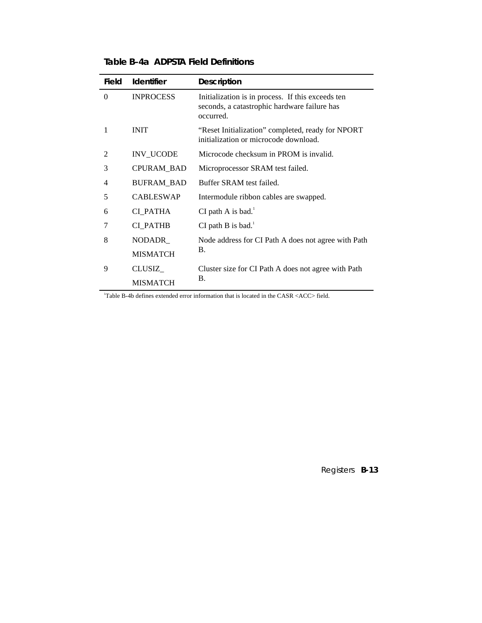| Field          | <b>Identifier</b> | <b>Description</b>                                                                                             |
|----------------|-------------------|----------------------------------------------------------------------------------------------------------------|
| $\Omega$       | <b>INPROCESS</b>  | Initialization is in process. If this exceeds ten<br>seconds, a catastrophic hardware failure has<br>occurred. |
| 1              | <b>INIT</b>       | "Reset Initialization" completed, ready for NPORT<br>initialization or microcode download.                     |
| $\mathfrak{D}$ | INV_UCODE         | Microcode checksum in PROM is invalid.                                                                         |
| 3              | CPURAM_BAD        | Microprocessor SRAM test failed.                                                                               |
| 4              | <b>BUFRAM_BAD</b> | Buffer SRAM test failed.                                                                                       |
| 5              | <b>CABLESWAP</b>  | Intermodule ribbon cables are swapped.                                                                         |
| 6              | CI PATHA          | CI path A is bad. $1$                                                                                          |
| 7              | <b>CI PATHB</b>   | CI path B is bad. $1$                                                                                          |
| 8              | NODADR_           | Node address for CI Path A does not agree with Path                                                            |
|                | <b>MISMATCH</b>   | <b>B.</b>                                                                                                      |
| 9              | CLUSIZ            | Cluster size for CI Path A does not agree with Path                                                            |
|                | <b>MISMATCH</b>   | B.                                                                                                             |

## **Table B–4a ADPSTA Field Definitions**

1 Table B-4b defines extended error information that is located in the CASR <ACC> field.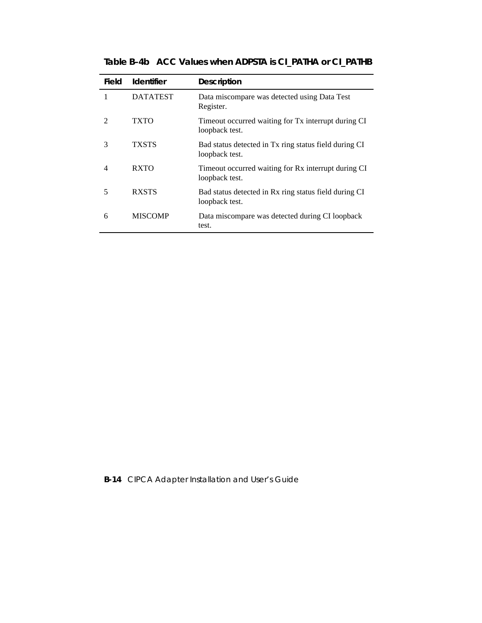| Field                       | <b>Identifier</b> | <b>Description</b>                                                      |
|-----------------------------|-------------------|-------------------------------------------------------------------------|
| 1                           | <b>DATATEST</b>   | Data miscompare was detected using Data Test<br>Register.               |
| $\mathcal{D}_{\mathcal{A}}$ | TXTO              | Timeout occurred waiting for Tx interrupt during CI<br>loopback test.   |
| 3                           | <b>TXSTS</b>      | Bad status detected in Tx ring status field during CI<br>loopback test. |
| 4                           | <b>RXTO</b>       | Timeout occurred waiting for Rx interrupt during CI<br>loopback test.   |
| 5                           | <b>RXSTS</b>      | Bad status detected in Rx ring status field during CI<br>loopback test. |
| 6                           | <b>MISCOMP</b>    | Data miscompare was detected during CI loopback<br>test.                |

**Table B–4b ACC Values when ADPSTA is CI\_PATHA or CI\_PATHB**

**B-14** CIPCA Adapter Installation and User's Guide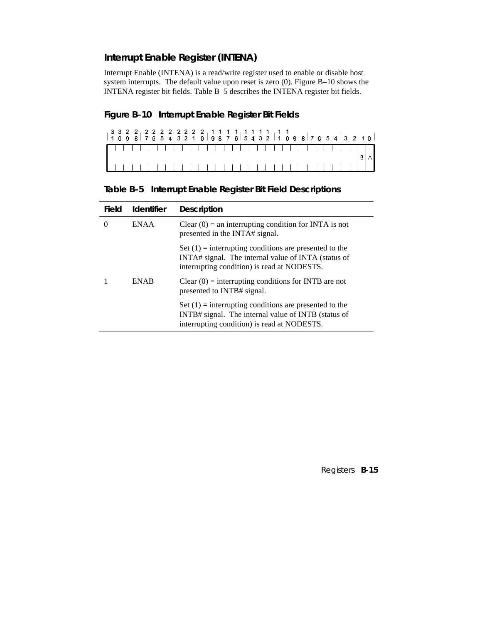## **Interrupt Enable Register (INTENA)**

Interrupt Enable (INTENA) is a read/write register used to enable or disable host system interrupts. The default value upon reset is zero (0). Figure B–10 shows the INTENA register bit fields. Table B–5 describes the INTENA register bit fields.

## **Figure B–10 Interrupt Enable Register Bit Fields**

**Table B–5 Interrupt Enable Register Bit Field Descriptions**

| Field | <b>Identifier</b> | <b>Description</b>                                                                                                                                             |
|-------|-------------------|----------------------------------------------------------------------------------------------------------------------------------------------------------------|
| 0     | ENAA              | Clear $(0)$ = an interrupting condition for INTA is not<br>presented in the INTA# signal.                                                                      |
|       |                   | Set $(1)$ = interrupting conditions are presented to the<br>INTA# signal. The internal value of INTA (status of<br>interrupting condition) is read at NODESTS. |
|       | <b>ENAB</b>       | Clear $(0)$ = interrupting conditions for INTB are not<br>presented to INTB# signal.                                                                           |
|       |                   | Set $(1)$ = interrupting conditions are presented to the<br>INTB# signal. The internal value of INTB (status of<br>interrupting condition) is read at NODESTS. |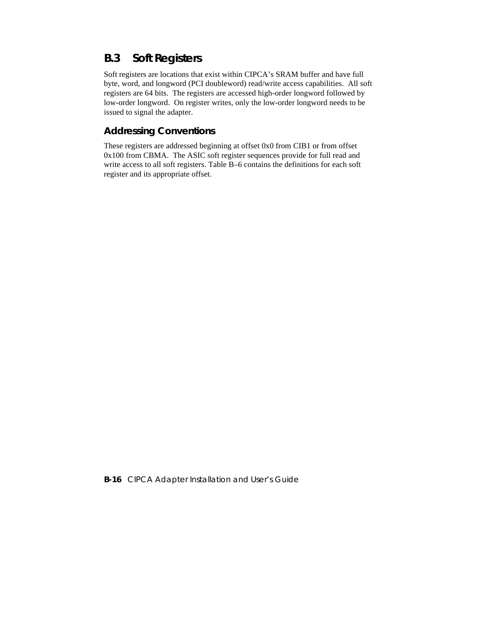## **B.3 Soft Registers**

Soft registers are locations that exist within CIPCA's SRAM buffer and have full byte, word, and longword (PCI doubleword) read/write access capabilities. All soft registers are 64 bits. The registers are accessed high-order longword followed by low-order longword. On register writes, only the low-order longword needs to be issued to signal the adapter.

## **Addressing Conventions**

These registers are addressed beginning at offset 0x0 from CIB1 or from offset 0x100 from CBMA. The ASIC soft register sequences provide for full read and write access to all soft registers. Table B–6 contains the definitions for each soft register and its appropriate offset.

**B-16** CIPCA Adapter Installation and User's Guide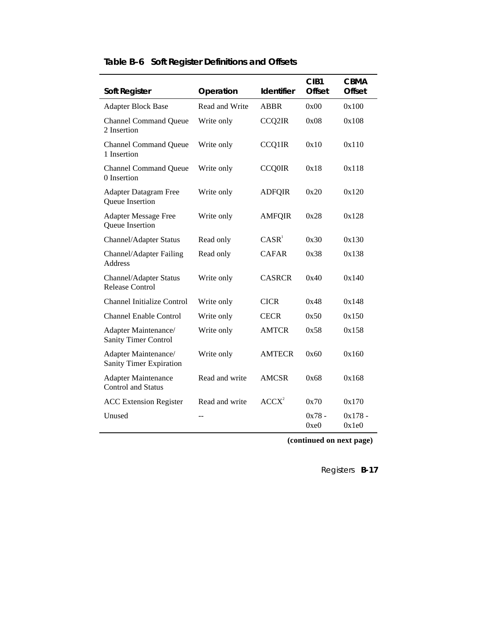| Soft Register                                           | Operation      | Identifier        | CIB <sub>1</sub><br><b>Offset</b> | <b>CBMA</b><br><b>Offset</b> |
|---------------------------------------------------------|----------------|-------------------|-----------------------------------|------------------------------|
| <b>Adapter Block Base</b>                               | Read and Write | <b>ABBR</b>       | 0x00                              | 0x100                        |
| <b>Channel Command Queue</b><br>2 Insertion             | Write only     | CCQ2IR            | 0x08                              | 0x108                        |
| <b>Channel Command Queue</b><br>1 Insertion             | Write only     | <b>CCQ1IR</b>     | 0x10                              | 0x110                        |
| <b>Channel Command Queue</b><br>0 Insertion             | Write only     | <b>CCQ0IR</b>     | 0x18                              | 0x118                        |
| <b>Adapter Datagram Free</b><br>Queue Insertion         | Write only     | <b>ADFQIR</b>     | 0x20                              | 0x120                        |
| <b>Adapter Message Free</b><br>Queue Insertion          | Write only     | <b>AMFQIR</b>     | 0x28                              | 0x128                        |
| Channel/Adapter Status                                  | Read only      | CASR <sup>1</sup> | 0x30                              | 0x130                        |
| Channel/Adapter Failing<br><b>Address</b>               | Read only      | <b>CAFAR</b>      | 0x38                              | 0x138                        |
| Channel/Adapter Status<br><b>Release Control</b>        | Write only     | <b>CASRCR</b>     | 0x40                              | 0x140                        |
| <b>Channel Initialize Control</b>                       | Write only     | <b>CICR</b>       | 0x48                              | 0x148                        |
| <b>Channel Enable Control</b>                           | Write only     | <b>CECR</b>       | 0x50                              | 0x150                        |
| Adapter Maintenance/<br><b>Sanity Timer Control</b>     | Write only     | <b>AMTCR</b>      | 0x58                              | 0x158                        |
| Adapter Maintenance/<br>Sanity Timer Expiration         | Write only     | <b>AMTECR</b>     | 0x60                              | 0x160                        |
| <b>Adapter Maintenance</b><br><b>Control and Status</b> | Read and write | AMCSR             | 0x68                              | 0x168                        |
| <b>ACC Extension Register</b>                           | Read and write | ACCX <sup>2</sup> | 0x70                              | 0x170                        |
| Unused                                                  | $-$            |                   | $0x78 -$<br>0xe0                  | $0x178 -$<br>0x1e0           |

# **Table B–6 Soft Register Definitions and Offsets**

 **(continued on next page)**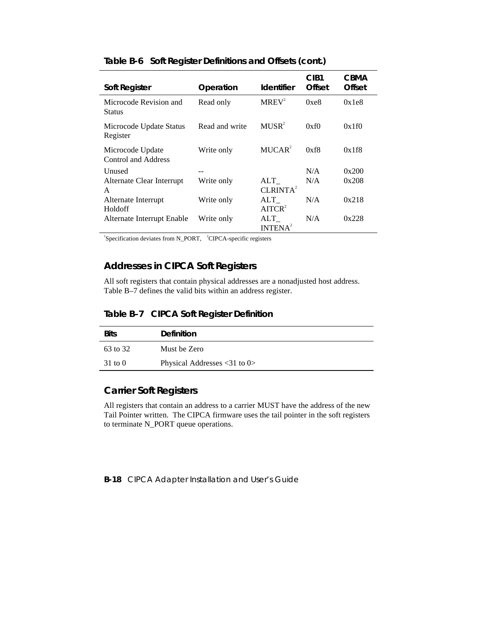| <b>Soft Register</b>                    | Operation      | <b>Identifier</b>           | CIB <sub>1</sub><br>Offset | <b>CBMA</b><br>Offset |
|-----------------------------------------|----------------|-----------------------------|----------------------------|-----------------------|
| Microcode Revision and<br><b>Status</b> | Read only      | $MREV^2$                    | 0xe8                       | 0x1e8                 |
| Microcode Update Status<br>Register     | Read and write | MUSR <sup>2</sup>           | 0xf0                       | 0x1f0                 |
| Microcode Update<br>Control and Address | Write only     | MUCAR <sup>2</sup>          | 0xf8                       | 0x1f8                 |
| Unused                                  |                |                             | N/A                        | 0x200                 |
| Alternate Clear Interrupt<br>A          | Write only     | ALT<br>CLRINTA <sup>2</sup> | N/A                        | 0x208                 |
| Alternate Interrupt<br>Holdoff          | Write only     | ALT<br>AITCR <sup>2</sup>   | N/A                        | 0x218                 |
| Alternate Interrupt Enable              | Write only     | ALT<br>INTENA <sup>2</sup>  | N/A                        | 0x228                 |

#### **Table B-6 Soft Register Definitions and Offsets (cont.)**

<sup>1</sup>Specification deviates from N\_PORT, <sup>2</sup>CIPCA-specific registers

## **Addresses in CIPCA Soft Registers**

All soft registers that contain physical addresses are a nonadjusted host address. Table B–7 defines the valid bits within an address register.

#### **Table B–7 CIPCA Soft Register Definition**

| <b>Bits</b>        | <b>Definition</b>                  |
|--------------------|------------------------------------|
| 63 to 32           | Must be Zero                       |
| $31 \text{ to } 0$ | Physical Addresses $\leq$ 31 to 0> |

## **Carrier Soft Registers**

All registers that contain an address to a carrier MUST have the address of the new Tail Pointer written. The CIPCA firmware uses the tail pointer in the soft registers to terminate N\_PORT queue operations.

**B-18** CIPCA Adapter Installation and User's Guide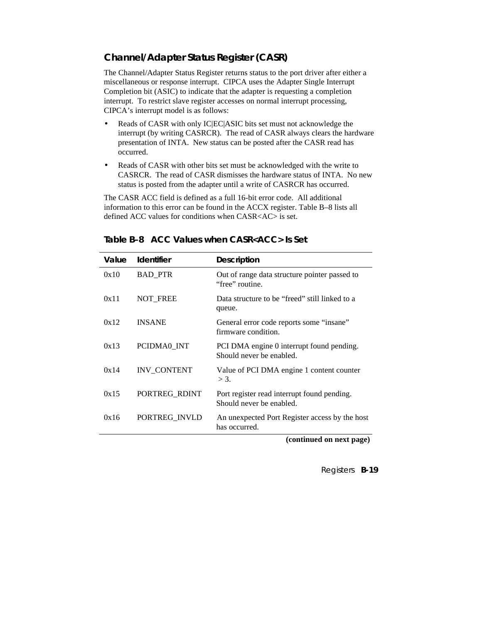## **Channel/Adapter Status Register (CASR)**

The Channel/Adapter Status Register returns status to the port driver after either a miscellaneous or response interrupt. CIPCA uses the Adapter Single Interrupt Completion bit (ASIC) to indicate that the adapter is requesting a completion interrupt. To restrict slave register accesses on normal interrupt processing, CIPCA's interrupt model is as follows:

- Reads of CASR with only IC|EC|ASIC bits set must not acknowledge the interrupt (by writing CASRCR). The read of CASR always clears the hardware presentation of INTA. New status can be posted after the CASR read has occurred.
- Reads of CASR with other bits set must be acknowledged with the write to CASRCR. The read of CASR dismisses the hardware status of INTA. No new status is posted from the adapter until a write of CASRCR has occurred.

The CASR ACC field is defined as a full 16-bit error code. All additional information to this error can be found in the ACCX register. Table B–8 lists all defined ACC values for conditions when CASR<AC> is set.

| Value | <b>Identifier</b>  | <b>Description</b>                                                      |
|-------|--------------------|-------------------------------------------------------------------------|
| 0x10  | <b>BAD_PTR</b>     | Out of range data structure pointer passed to<br>"free" routine.        |
| 0x11  | NOT_FREE           | Data structure to be "freed" still linked to a<br>queue.                |
| 0x12  | <b>INSANE</b>      | General error code reports some "insane"<br>firmware condition.         |
| 0x13  | PCIDMA0 INT        | PCI DMA engine 0 interrupt found pending.<br>Should never be enabled.   |
| 0x14  | <b>INV CONTENT</b> | Value of PCI DMA engine 1 content counter<br>$>$ 3.                     |
| 0x15  | PORTREG_RDINT      | Port register read interrupt found pending.<br>Should never be enabled. |
| 0x16  | PORTREG INVLD      | An unexpected Port Register access by the host<br>has occurred.         |

**Table B–8 ACC Values when CASR<ACC> Is Set**

 **(continued on next page)**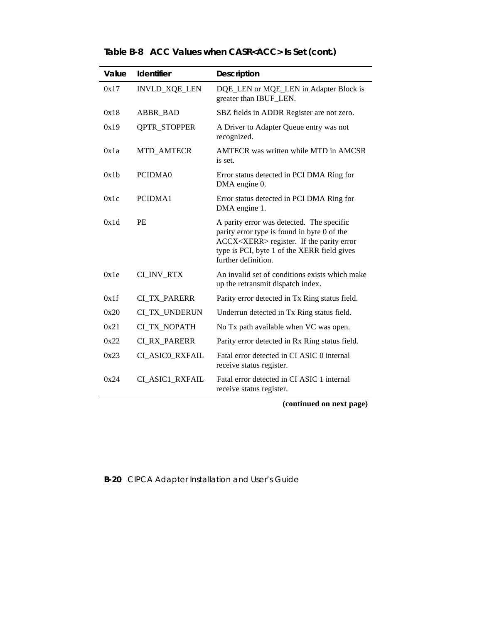|  |  |  | Table B-8 ACC Values when CASR <acc> Is Set (cont.)</acc> |
|--|--|--|-----------------------------------------------------------|
|--|--|--|-----------------------------------------------------------|

| Value | Identifier           | <b>Description</b>                                                                                                                                                                                                   |
|-------|----------------------|----------------------------------------------------------------------------------------------------------------------------------------------------------------------------------------------------------------------|
| 0x17  | <b>INVLD_XQE_LEN</b> | DQE_LEN or MQE_LEN in Adapter Block is<br>greater than IBUF_LEN.                                                                                                                                                     |
| 0x18  | ABBR_BAD             | SBZ fields in ADDR Register are not zero.                                                                                                                                                                            |
| 0x19  | <b>QPTR_STOPPER</b>  | A Driver to Adapter Queue entry was not<br>recognized.                                                                                                                                                               |
| 0x1a  | MTD_AMTECR           | AMTECR was written while MTD in AMCSR<br>is set.                                                                                                                                                                     |
| 0x1h  | PCIDMA0              | Error status detected in PCI DMA Ring for<br>DMA engine 0.                                                                                                                                                           |
| 0x1c  | PCIDMA1              | Error status detected in PCI DMA Ring for<br>DMA engine 1.                                                                                                                                                           |
| 0x1d  | <b>PE</b>            | A parity error was detected. The specific<br>parity error type is found in byte 0 of the<br>ACCX <xerr> register. If the parity error<br/>type is PCI, byte 1 of the XERR field gives<br/>further definition.</xerr> |
| 0x1e  | CI_INV_RTX           | An invalid set of conditions exists which make<br>up the retransmit dispatch index.                                                                                                                                  |
| 0x1f  | <b>CI_TX_PARERR</b>  | Parity error detected in Tx Ring status field.                                                                                                                                                                       |
| 0x20  | CI_TX_UNDERUN        | Underrun detected in Tx Ring status field.                                                                                                                                                                           |
| 0x21  | <b>CI_TX_NOPATH</b>  | No Tx path available when VC was open.                                                                                                                                                                               |
| 0x22  | <b>CI RX PARERR</b>  | Parity error detected in Rx Ring status field.                                                                                                                                                                       |
| 0x23  | CI_ASIC0_RXFAIL      | Fatal error detected in CI ASIC 0 internal<br>receive status register.                                                                                                                                               |
| 0x24  | CI_ASIC1_RXFAIL      | Fatal error detected in CI ASIC 1 internal<br>receive status register.                                                                                                                                               |

 **(continued on next page)**

**B-20** CIPCA Adapter Installation and User's Guide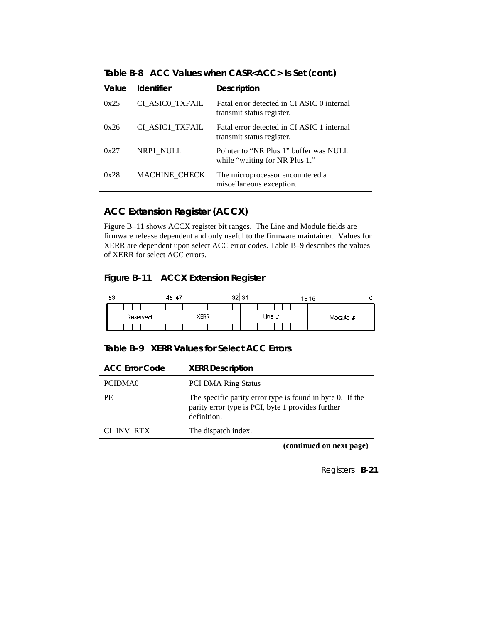|  | Table B-8 ACC Values when CASR <acc> Is Set (cont.)</acc> |  |
|--|-----------------------------------------------------------|--|
|--|-----------------------------------------------------------|--|

| Value | <b>Identifier</b>    | <b>Description</b>                                                       |
|-------|----------------------|--------------------------------------------------------------------------|
| 0x25  | CI ASICO TXFAIL      | Fatal error detected in CI ASIC 0 internal<br>transmit status register.  |
| 0x26  | CI ASIC1 TXFAIL      | Fatal error detected in CI ASIC 1 internal<br>transmit status register.  |
| 0x27  | NRP1 NULL            | Pointer to "NR Plus 1" buffer was NULL<br>while "waiting for NR Plus 1." |
| 0x28  | <b>MACHINE CHECK</b> | The microprocessor encountered a<br>miscellaneous exception.             |

## **ACC Extension Register (ACCX)**

Figure B–11 shows ACCX register bit ranges. The Line and Module fields are firmware release dependent and only useful to the firmware maintainer. Values for XERR are dependent upon select ACC error codes. Table B–9 describes the values of XERR for select ACC errors.

## **Figure B–11 ACCX Extension Register**

| 63 | 48 47    |             | 31<br>32 <sub>2</sub> | 16 15 | 0        |
|----|----------|-------------|-----------------------|-------|----------|
|    |          |             |                       |       |          |
|    | Reserved | <b>XERR</b> | Line $\#$             |       | Module # |
|    |          |             |                       |       |          |

| Table B-9 XERR Values for Select ACC Errors |  |  |  |
|---------------------------------------------|--|--|--|
|---------------------------------------------|--|--|--|

| <b>ACC Error Code</b> | <b>XERR Description</b>                                                                                                       |
|-----------------------|-------------------------------------------------------------------------------------------------------------------------------|
|                       |                                                                                                                               |
| PCIDMA0               | <b>PCI DMA Ring Status</b>                                                                                                    |
| PF.                   | The specific parity error type is found in byte 0. If the<br>parity error type is PCI, byte 1 provides further<br>definition. |
| CL_INV_RTX            | The dispatch index.                                                                                                           |
|                       |                                                                                                                               |

**(continued on next page)**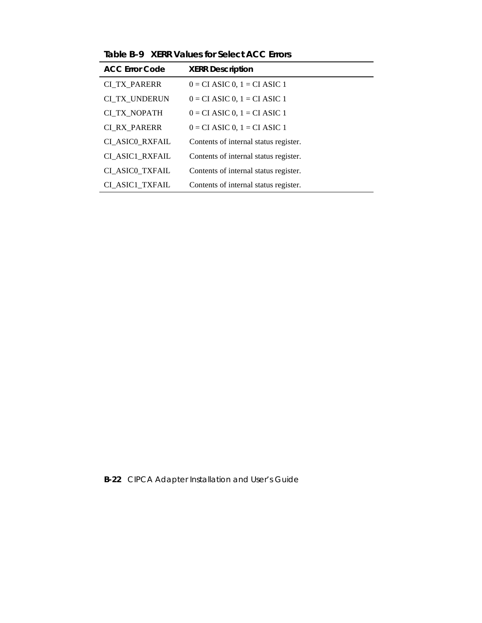| <b>ACC Error Code</b> | <b>XERR Description</b>               |
|-----------------------|---------------------------------------|
| <b>CI TX PARERR</b>   | $0 = CI$ ASIC $0, 1 = CI$ ASIC 1      |
| CI TX UNDERUN         | $0 = CI$ ASIC 0, $1 = CI$ ASIC 1      |
| CI_TX_NOPATH          | $0 = CI$ ASIC 0, $1 = CI$ ASIC 1      |
| <b>CI RX PARERR</b>   | $0 = CI$ ASIC 0, $1 = CI$ ASIC 1      |
| CI ASICO RXFAIL       | Contents of internal status register. |
| CI ASIC1 RXFAIL       | Contents of internal status register. |
| CI ASICO TXFAIL       | Contents of internal status register. |
| CI ASIC1 TXFAIL       | Contents of internal status register. |

**Table B–9 XERR Values for Select ACC Errors**

**B-22** CIPCA Adapter Installation and User's Guide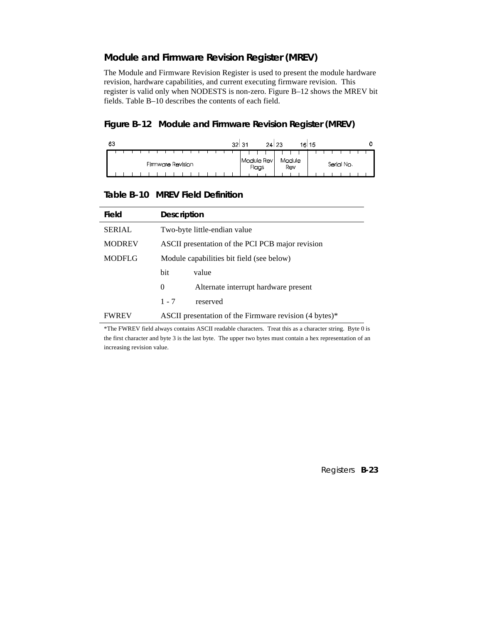## **Module and Firmware Revision Register (MREV)**

The Module and Firmware Revision Register is used to present the module hardware revision, hardware capabilities, and current executing firmware revision. This register is valid only when NODESTS is non-zero. Figure B–12 shows the MREV bit fields. Table B–10 describes the contents of each field.

#### **Figure B–12 Module and Firmware Revision Register (MREV)**

| 63 |  |  |                   |  |  |  |  |  |  | 32 <sub>1</sub> | 31 |       | 24 23      |  |        | 10 15 |  |            |  | 0 |
|----|--|--|-------------------|--|--|--|--|--|--|-----------------|----|-------|------------|--|--------|-------|--|------------|--|---|
|    |  |  | Firmware Revision |  |  |  |  |  |  |                 |    |       | Module Rev |  | Module |       |  | Serial No. |  |   |
|    |  |  |                   |  |  |  |  |  |  |                 |    | Flags |            |  | Rev    |       |  |            |  |   |

#### **Table B–10 MREV Field Definition**

| Field         | <b>Description</b>                               |                                                        |  |  |  |  |  |  |  |  |  |
|---------------|--------------------------------------------------|--------------------------------------------------------|--|--|--|--|--|--|--|--|--|
| <b>SERIAL</b> |                                                  | Two-byte little-endian value                           |  |  |  |  |  |  |  |  |  |
| <b>MODREV</b> | ASCII presentation of the PCI PCB major revision |                                                        |  |  |  |  |  |  |  |  |  |
| <b>MODFLG</b> | Module capabilities bit field (see below)        |                                                        |  |  |  |  |  |  |  |  |  |
|               | bit                                              | value                                                  |  |  |  |  |  |  |  |  |  |
|               | 0                                                | Alternate interrupt hardware present                   |  |  |  |  |  |  |  |  |  |
|               | $1 - 7$                                          | reserved                                               |  |  |  |  |  |  |  |  |  |
| <b>FWREV</b>  |                                                  | ASCII presentation of the Firmware revision (4 bytes)* |  |  |  |  |  |  |  |  |  |

\*The FWREV field always contains ASCII readable characters. Treat this as a character string. Byte 0 is the first character and byte 3 is the last byte. The upper two bytes must contain a hex representation of an increasing revision value.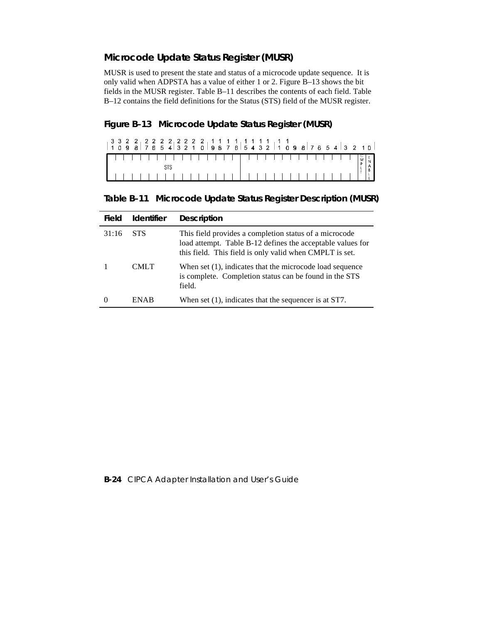## **Microcode Update Status Register (MUSR)**

MUSR is used to present the state and status of a microcode update sequence. It is only valid when ADPSTA has a value of either 1 or 2. Figure B–13 shows the bit fields in the MUSR register. Table B–11 describes the contents of each field. Table B–12 contains the field definitions for the Status (STS) field of the MUSR register.

## **Figure B–13 Microcode Update Status Register (MUSR)**

|  |  | ▌╎╎╎╎╎╎╎╎╎╎╎╎╎╎╎╎┆┆┆╎╎╎╎╎╎╎╎╎╎╎╎╎║╣ <mark>╣</mark> ┋╎ |  |  |  |  |  |  |  |  |  |  |  |  |  |                                                |  |
|--|--|-------------------------------------------------------|--|--|--|--|--|--|--|--|--|--|--|--|--|------------------------------------------------|--|
|  |  |                                                       |  |  |  |  |  |  |  |  |  |  |  |  |  |                                                |  |
|  |  |                                                       |  |  |  |  |  |  |  |  |  |  |  |  |  | $\begin{bmatrix} 1 & 1 \\ 0 & 1 \end{bmatrix}$ |  |

**Table B–11 Microcode Update Status Register Description (MUSR)**

| Field | <b>Identifier</b> | <b>Description</b>                                                                                                                                                              |
|-------|-------------------|---------------------------------------------------------------------------------------------------------------------------------------------------------------------------------|
| 31:16 | <b>STS</b>        | This field provides a completion status of a microcode<br>load attempt. Table B-12 defines the acceptable values for<br>this field. This field is only valid when CMPLT is set. |
|       | CMLT.             | When set (1), indicates that the microcode load sequence<br>is complete. Completion status can be found in the STS<br>field.                                                    |
|       | <b>ENAR</b>       | When set $(1)$ , indicates that the sequencer is at ST7.                                                                                                                        |

#### **B-24** CIPCA Adapter Installation and User's Guide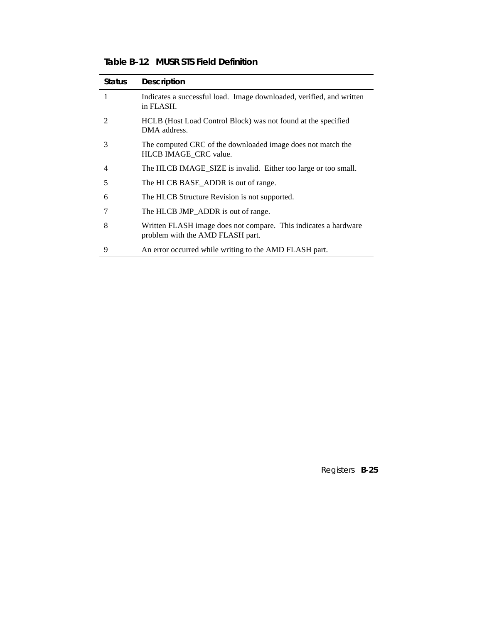| <b>Status</b> | <b>Description</b>                                                                                  |
|---------------|-----------------------------------------------------------------------------------------------------|
| 1             | Indicates a successful load. Image downloaded, verified, and written<br>in FLASH.                   |
| 2             | HCLB (Host Load Control Block) was not found at the specified<br>DMA address.                       |
| 3             | The computed CRC of the downloaded image does not match the<br>HLCB IMAGE CRC value.                |
| 4             | The HLCB IMAGE_SIZE is invalid. Either too large or too small.                                      |
| 5             | The HLCB BASE_ADDR is out of range.                                                                 |
| 6             | The HLCB Structure Revision is not supported.                                                       |
|               | The HLCB JMP_ADDR is out of range.                                                                  |
| 8             | Written FLASH image does not compare. This indicates a hardware<br>problem with the AMD FLASH part. |
| 9             | An error occurred while writing to the AMD FLASH part.                                              |

**Table B–12 MUSR STS Field Definition**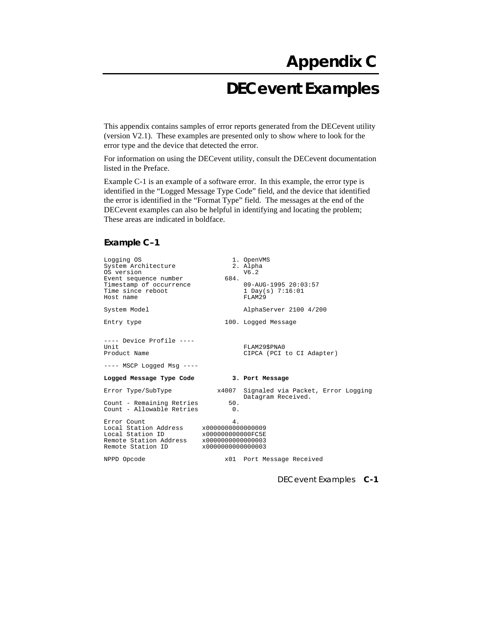# **DECevent Examples**

This appendix contains samples of error reports generated from the DECevent utility (version V2.1). These examples are presented only to show where to look for the error type and the device that detected the error.

For information on using the DECevent utility, consult the DECevent documentation listed in the Preface.

Example C-1 is an example of a software error. In this example, the error type is identified in the "Logged Message Type Code" field, and the device that identified the error is identified in the "Format Type" field. The messages at the end of the DECevent examples can also be helpful in identifying and locating the problem; These areas are indicated in boldface.

#### **Example C–1**

| Logging OS<br>System Architecture<br>OS version                                                         |                                                                                        | 1. OpenVMS<br>2. Alpha<br>V6.2                                 |  |
|---------------------------------------------------------------------------------------------------------|----------------------------------------------------------------------------------------|----------------------------------------------------------------|--|
| Event sequence number<br>Timestamp of occurrence<br>Time since reboot<br>Host name                      | 684.                                                                                   | 09-AUG-1995 20:03:57<br>1 Day(s) $7:16:01$<br>FLAM29           |  |
| System Model                                                                                            |                                                                                        | AlphaServer 2100 4/200                                         |  |
| Entry type                                                                                              |                                                                                        | 100. Logged Message                                            |  |
| $---$ Device Profile $---$<br>Unit<br>Product Name<br>$---$ MSCP Logged Msg $---$                       |                                                                                        | FLAM29\$PNA0<br>CIPCA (PCI to CI Adapter)                      |  |
| Logged Message Type Code                                                                                |                                                                                        | 3. Port Message                                                |  |
| Error Type/SubType                                                                                      |                                                                                        | x4007 Signaled via Packet, Error Logging<br>Datagram Received. |  |
| Count - Remaining Retries<br>Count - Allowable Retries                                                  | 50.<br>$\begin{array}{ccc} & & 0 \end{array}$                                          |                                                                |  |
| Error Count<br>Local Station Address<br>Local Station ID<br>Remote Station Address<br>Remote Station ID | 4.<br>x0000000000000009<br>x000000000000FC5E<br>x0000000000000003<br>x0000000000000003 |                                                                |  |
| NPPD Opcode                                                                                             |                                                                                        | x01 Port Message Received                                      |  |

DECevent Examples **C-1**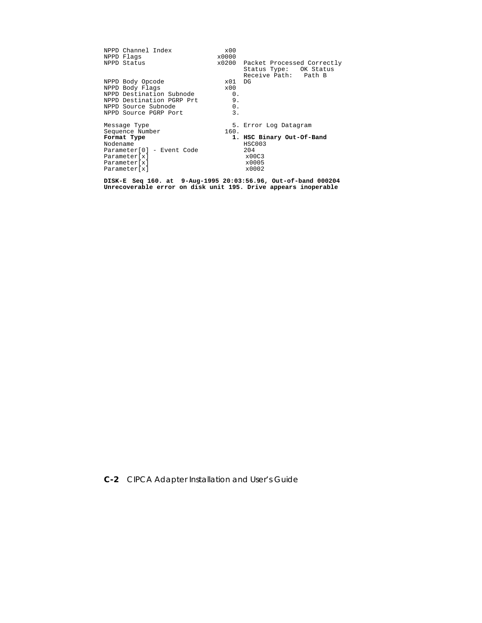| NPPD Channel Index<br>NPPD Flags                     | x00<br>x0000 |                                                                                    |
|------------------------------------------------------|--------------|------------------------------------------------------------------------------------|
| NPPD Status                                          |              | x0200 Packet Processed Correctly<br>Status Type: OK Status<br>Receive Path: Path B |
| NPPD Body Opcode                                     | $\times 01$  | DG                                                                                 |
| NPPD Body Flags                                      | x00          |                                                                                    |
| NPPD Destination Subnode                             | 0.           |                                                                                    |
| NPPD Destination PGRP Prt                            | 9.           |                                                                                    |
| NPPD Source Subnode                                  | 0.           |                                                                                    |
| NPPD Source PGRP Port                                | 3.           |                                                                                    |
| Message Type                                         |              | 5. Error Log Datagram                                                              |
| Sequence Number                                      | 160.         |                                                                                    |
| Format Type<br>Nodename<br>Parameter[0] - Event Code |              | 1. HSC Binary Out-Of-Band<br>HSC003<br>204                                         |
| Parameter[x]                                         |              | x00C3                                                                              |
| Parameter[x]                                         |              | x0005                                                                              |
| Parameter[x]                                         |              | x0002                                                                              |

**DISK-E Seq 160. at 9-Aug-1995 20:03:56.96, Out-of-band 000204 Unrecoverable error on disk unit 195. Drive appears inoperable**

**C-2** CIPCA Adapter Installation and User's Guide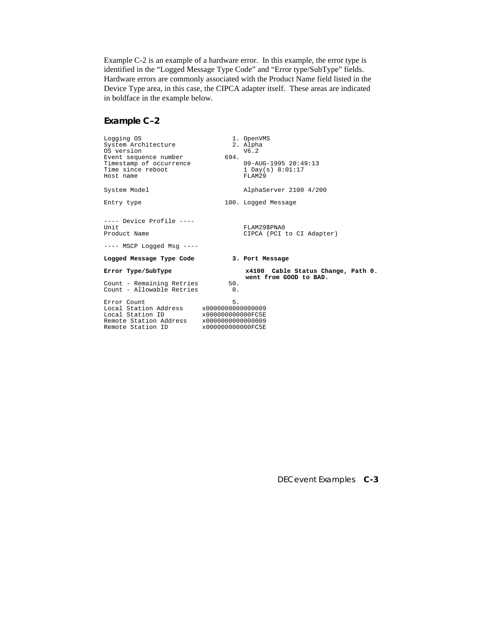Example C-2 is an example of a hardware error. In this example, the error type is identified in the "Logged Message Type Code" and "Error type/SubType" fields. Hardware errors are commonly associated with the Product Name field listed in the Device Type area, in this case, the CIPCA adapter itself. These areas are indicated in boldface in the example below.

#### **Example C–2**

| Logging OS<br>System Architecture<br>OS version<br>Event sequence number<br>Timestamp of occurrence<br>Time since reboot<br>Host name<br>System Model | 694.                                         | 1. OpenVMS<br>2. Alpha<br>V6.2<br>09-AUG-1995 20:49:13<br>1 Day(s) $8:01:17$<br>FLAM29<br>AlphaServer 2100 4/200 |
|-------------------------------------------------------------------------------------------------------------------------------------------------------|----------------------------------------------|------------------------------------------------------------------------------------------------------------------|
| Entry type                                                                                                                                            |                                              | 100. Logged Message                                                                                              |
| ---- Device Profile ----<br>Unit<br>Product Name<br>---- MSCP Logged Msg ----                                                                         |                                              | FLAM29SPNA0<br>CIPCA (PCI to CI Adapter)                                                                         |
| Logged Message Type Code                                                                                                                              |                                              | 3. Port Message                                                                                                  |
| Error Type/SubType                                                                                                                                    |                                              | x4100 Cable Status Change, Path 0.<br>went from GOOD to BAD.                                                     |
| Count - Remaining Retries<br>Count - Allowable Retries                                                                                                | 50.<br>$\Omega$ .                            |                                                                                                                  |
| Error Count<br>Local Station Address x0000000000000009<br>Local Station ID<br>Remote Station Address x0000000000000009<br>Remote Station ID           | 5.<br>x000000000000FC5E<br>x000000000000FC5E |                                                                                                                  |

DECevent Examples **C-3**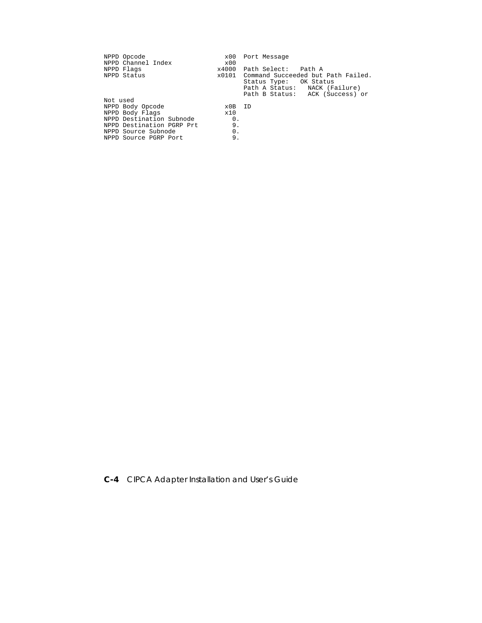| NPPD Opcode               | x00          | Port Message                             |
|---------------------------|--------------|------------------------------------------|
| NPPD Channel Index        | $\times$ 0.0 |                                          |
| NPPD Flags                |              | x4000 Path Select: Path A                |
| NPPD Status               |              | x0101 Command Succeeded but Path Failed. |
|                           |              | Status Type: OK Status                   |
|                           |              | Path A Status: NACK (Failure)            |
|                           |              | Path B Status: ACK (Success) or          |
| Not used                  |              |                                          |
| NPPD Body Opcode          | x0B ID       |                                          |
| NPPD Body Flags           | x10          |                                          |
| NPPD Destination Subnode  | 0.           |                                          |
| NPPD Destination PGRP Prt | 9.           |                                          |
| NPPD Source Subnode       | 0.           |                                          |
| NPPD Source PGRP Port     | 9.           |                                          |

**C-4** CIPCA Adapter Installation and User's Guide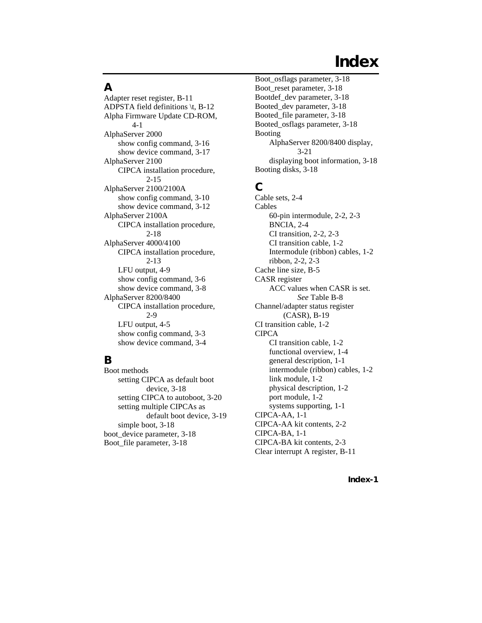# **Index**

## **A**

Adapter reset register, B-11 ADPSTA field definitions \t, B-12 Alpha Firmware Update CD-ROM, 4-1 AlphaServer 2000 show config command, 3-16 show device command, 3-17 AlphaServer 2100 CIPCA installation procedure, 2-15 AlphaServer 2100/2100A show config command, 3-10 show device command, 3-12 AlphaServer 2100A CIPCA installation procedure, 2-18 AlphaServer 4000/4100 CIPCA installation procedure, 2-13 LFU output, 4-9 show config command, 3-6 show device command, 3-8 AlphaServer 8200/8400 CIPCA installation procedure, 2-9 LFU output, 4-5 show config command, 3-3 show device command, 3-4

# **B**

Boot methods setting CIPCA as default boot device, 3-18 setting CIPCA to autoboot, 3-20 setting multiple CIPCAs as default boot device, 3-19 simple boot, 3-18 boot device parameter, 3-18 Boot\_file parameter, 3-18

Boot\_osflags parameter, 3-18 Boot\_reset parameter, 3-18 Bootdef\_dev parameter, 3-18 Booted\_dev parameter, 3-18 Booted\_file parameter, 3-18 Booted\_osflags parameter, 3-18 Booting AlphaServer 8200/8400 display, 3-21 displaying boot information, 3-18 Booting disks, 3-18

# **C**

Cable sets, 2-4 Cables 60-pin intermodule, 2-2, 2-3 BNCIA, 2-4 CI transition, 2-2, 2-3 CI transition cable, 1-2 Intermodule (ribbon) cables, 1-2 ribbon, 2-2, 2-3 Cache line size, B-5 CASR register ACC values when CASR is set. *See* Table B-8 Channel/adapter status register (CASR), B-19 CI transition cable, 1-2 **CIPCA** CI transition cable, 1-2 functional overview, 1-4 general description, 1-1 intermodule (ribbon) cables, 1-2 link module, 1-2 physical description, 1-2 port module, 1-2 systems supporting, 1-1 CIPCA-AA, 1-1 CIPCA-AA kit contents, 2-2 CIPCA-BA, 1-1 CIPCA-BA kit contents, 2-3 Clear interrupt A register, B-11

**Index-1**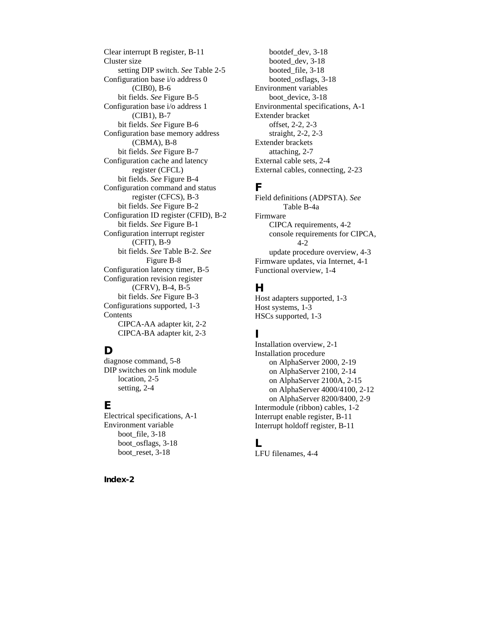Clear interrupt B register, B-11 Cluster size setting DIP switch. *See* Table 2-5 Configuration base i/o address 0 (CIB0), B-6 bit fields. *See* Figure B-5 Configuration base i/o address 1 (CIB1), B-7 bit fields. *See* Figure B-6 Configuration base memory address (CBMA), B-8 bit fields. *See* Figure B-7 Configuration cache and latency register (CFCL) bit fields. *See* Figure B-4 Configuration command and status register (CFCS), B-3 bit fields. *See* Figure B-2 Configuration ID register (CFID), B-2 bit fields. *See* Figure B-1 Configuration interrupt register (CFIT), B-9 bit fields. *See* Table B-2. *See* Figure B-8 Configuration latency timer, B-5 Configuration revision register (CFRV), B-4, B-5 bit fields. *See* Figure B-3 Configurations supported, 1-3 Contents CIPCA-AA adapter kit, 2-2 CIPCA-BA adapter kit, 2-3

# **D**

diagnose command, 5-8 DIP switches on link module location, 2-5 setting, 2-4

## **E**

Electrical specifications, A-1 Environment variable boot file, 3-18 boot\_osflags, 3-18 boot reset, 3-18

**Index-2**

bootdef\_dev, 3-18 booted\_dev, 3-18 booted file, 3-18 booted\_osflags, 3-18 Environment variables boot device, 3-18 Environmental specifications, A-1 Extender bracket offset, 2-2, 2-3 straight, 2-2, 2-3 Extender brackets attaching, 2-7 External cable sets, 2-4 External cables, connecting, 2-23

# **F**

Field definitions (ADPSTA). *See* Table B-4a Firmware CIPCA requirements, 4-2 console requirements for CIPCA, 4-2 update procedure overview, 4-3 Firmware updates, via Internet, 4-1 Functional overview, 1-4

## **H**

Host adapters supported, 1-3 Host systems, 1-3 HSCs supported, 1-3

# **I**

Installation overview, 2-1 Installation procedure on AlphaServer 2000, 2-19 on AlphaServer 2100, 2-14 on AlphaServer 2100A, 2-15 on AlphaServer 4000/4100, 2-12 on AlphaServer 8200/8400, 2-9 Intermodule (ribbon) cables, 1-2 Interrupt enable register, B-11 Interrupt holdoff register, B-11

## **L**

LFU filenames, 4-4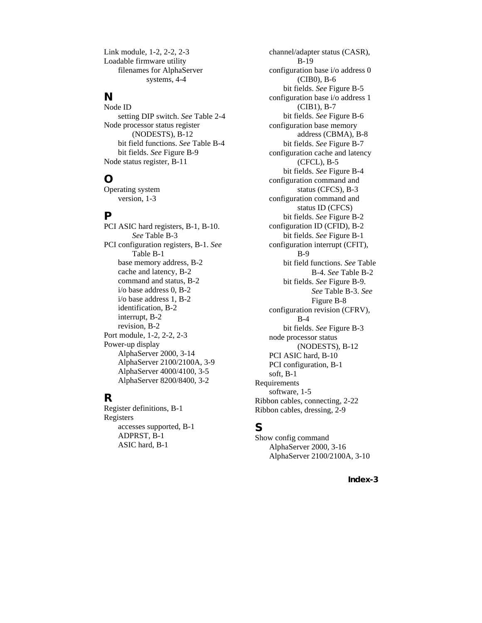Link module, 1-2, 2-2, 2-3 Loadable firmware utility filenames for AlphaServer systems, 4-4

## **N**

Node ID setting DIP switch. *See* Table 2-4 Node processor status register (NODESTS), B-12 bit field functions. *See* Table B-4 bit fields. *See* Figure B-9 Node status register, B-11

# **O**

Operating system version, 1-3

#### **P**

PCI ASIC hard registers, B-1, B-10. *See* Table B-3 PCI configuration registers, B-1. *See* Table B-1 base memory address, B-2 cache and latency, B-2 command and status, B-2 i/o base address 0, B-2 i/o base address 1, B-2 identification, B-2 interrupt, B-2 revision, B-2 Port module, 1-2, 2-2, 2-3 Power-up display AlphaServer 2000, 3-14 AlphaServer 2100/2100A, 3-9 AlphaServer 4000/4100, 3-5 AlphaServer 8200/8400, 3-2

# **R**

Register definitions, B-1 Registers accesses supported, B-1 ADPRST, B-1 ASIC hard, B-1

channel/adapter status (CASR), B-19 configuration base i/o address 0 (CIB0), B-6 bit fields. *See* Figure B-5 configuration base i/o address 1 (CIB1), B-7 bit fields. *See* Figure B-6 configuration base memory address (CBMA), B-8 bit fields. *See* Figure B-7 configuration cache and latency (CFCL), B-5 bit fields. *See* Figure B-4 configuration command and status (CFCS), B-3 configuration command and status ID (CFCS) bit fields. *See* Figure B-2 configuration ID (CFID), B-2 bit fields. *See* Figure B-1 configuration interrupt (CFIT), B-9 bit field functions. *See* Table B-4. *See* Table B-2 bit fields. *See* Figure B-9. *See* Table B-3. *See* Figure B-8 configuration revision (CFRV), B-4 bit fields. *See* Figure B-3 node processor status (NODESTS), B-12 PCI ASIC hard, B-10 PCI configuration, B-1 soft, B-1 Requirements software, 1-5 Ribbon cables, connecting, 2-22 Ribbon cables, dressing, 2-9

## **S**

Show config command AlphaServer 2000, 3-16 AlphaServer 2100/2100A, 3-10

**Index-3**